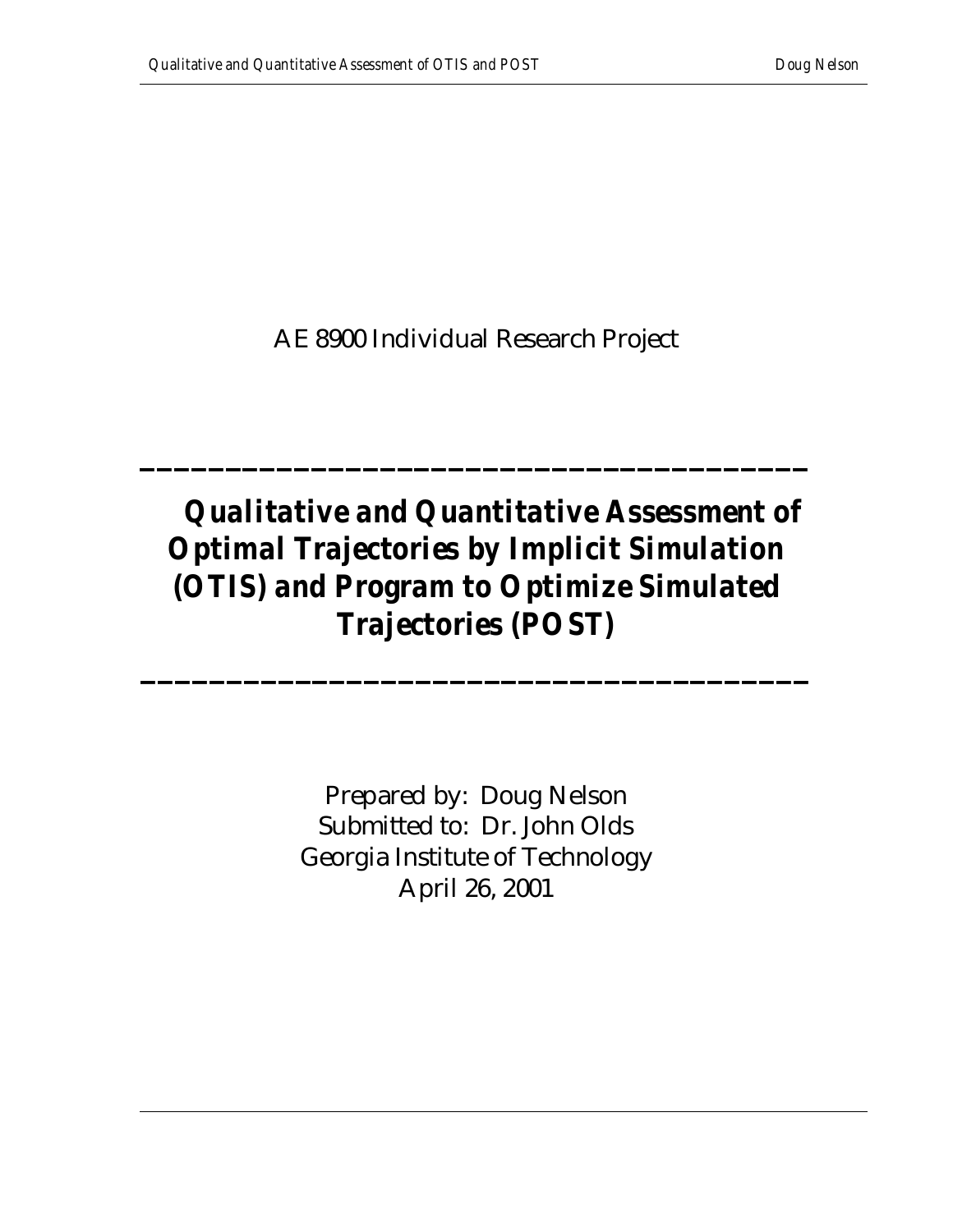AE 8900 Individual Research Project

**\_\_\_\_\_\_\_\_\_\_\_\_\_\_\_\_\_\_\_\_\_\_\_\_\_\_\_\_\_\_\_\_\_\_\_\_\_\_\_**

# *Qualitative and Quantitative Assessment of Optimal Trajectories by Implicit Simulation (OTIS) and Program to Optimize Simulated Trajectories (POST)*

**\_\_\_\_\_\_\_\_\_\_\_\_\_\_\_\_\_\_\_\_\_\_\_\_\_\_\_\_\_\_\_\_\_\_\_\_\_\_\_**

Prepared by: Doug Nelson Submitted to: Dr. John Olds Georgia Institute of Technology April 26, 2001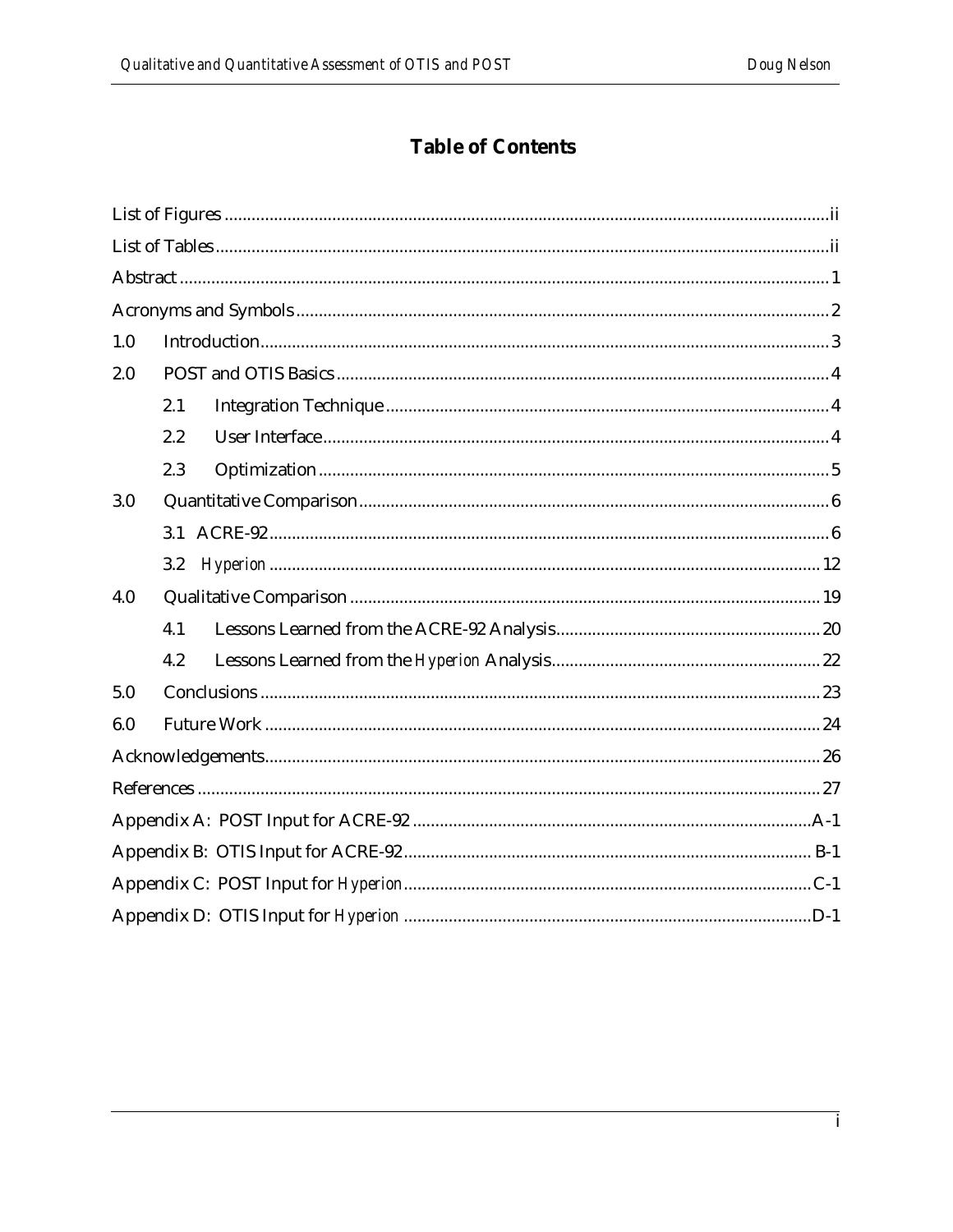## **Table of Contents**

| 1.0 |     |
|-----|-----|
| 2.0 |     |
|     | 2.1 |
|     | 2.2 |
|     | 2.3 |
| 3.0 |     |
|     | 3.1 |
|     | 3.2 |
| 4.0 |     |
|     | 4.1 |
|     | 4.2 |
| 5.0 |     |
| 6.0 |     |
|     |     |
|     |     |
|     |     |
|     |     |
|     |     |
|     |     |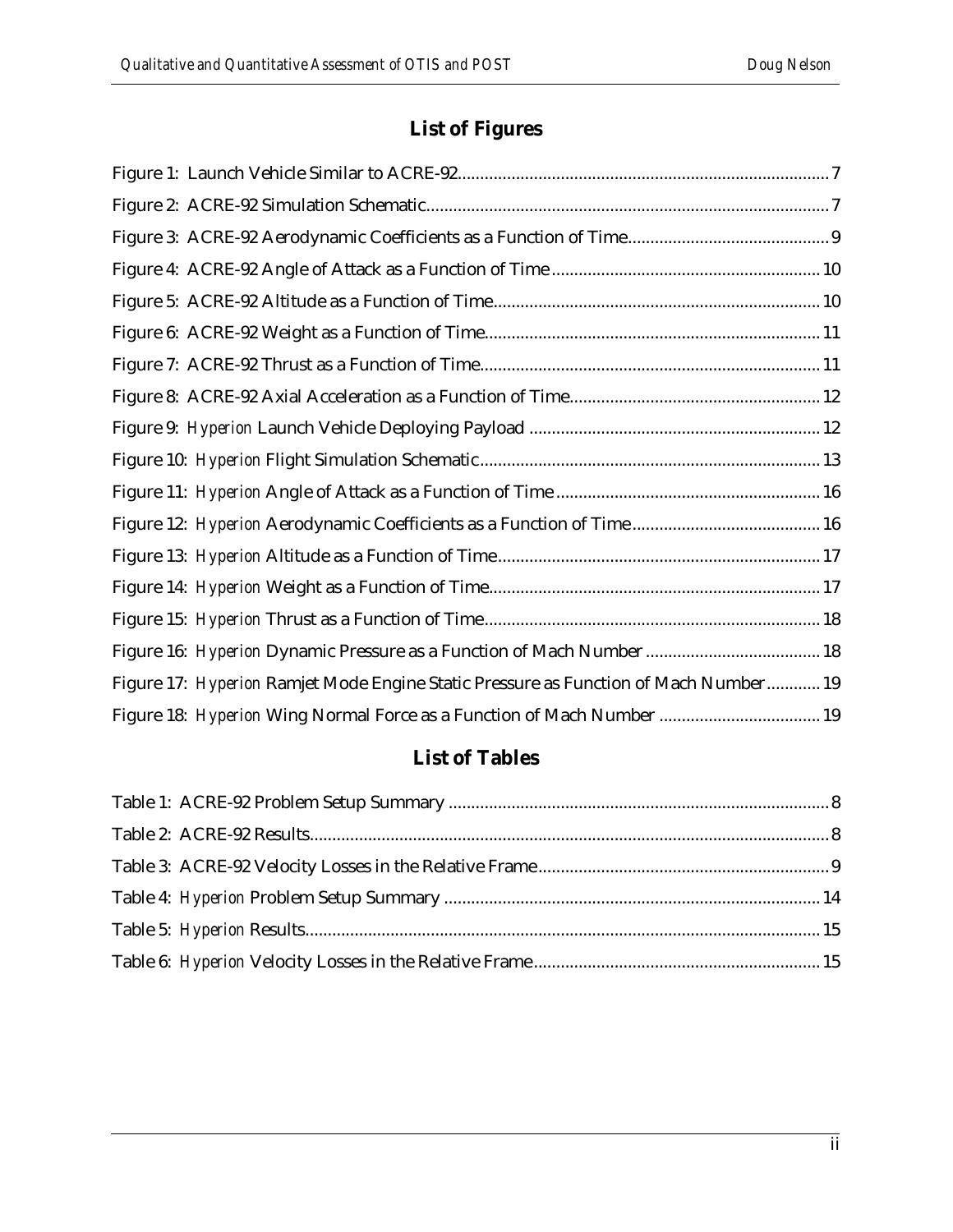## **List of Figures**

| Figure 16: Hyperion Dynamic Pressure as a Function of Mach Number  18                |
|--------------------------------------------------------------------------------------|
| Figure 17: Hyperion Ramjet Mode Engine Static Pressure as Function of Mach Number 19 |
| Figure 18: Hyperion Wing Normal Force as a Function of Mach Number  19               |

## **List of Tables**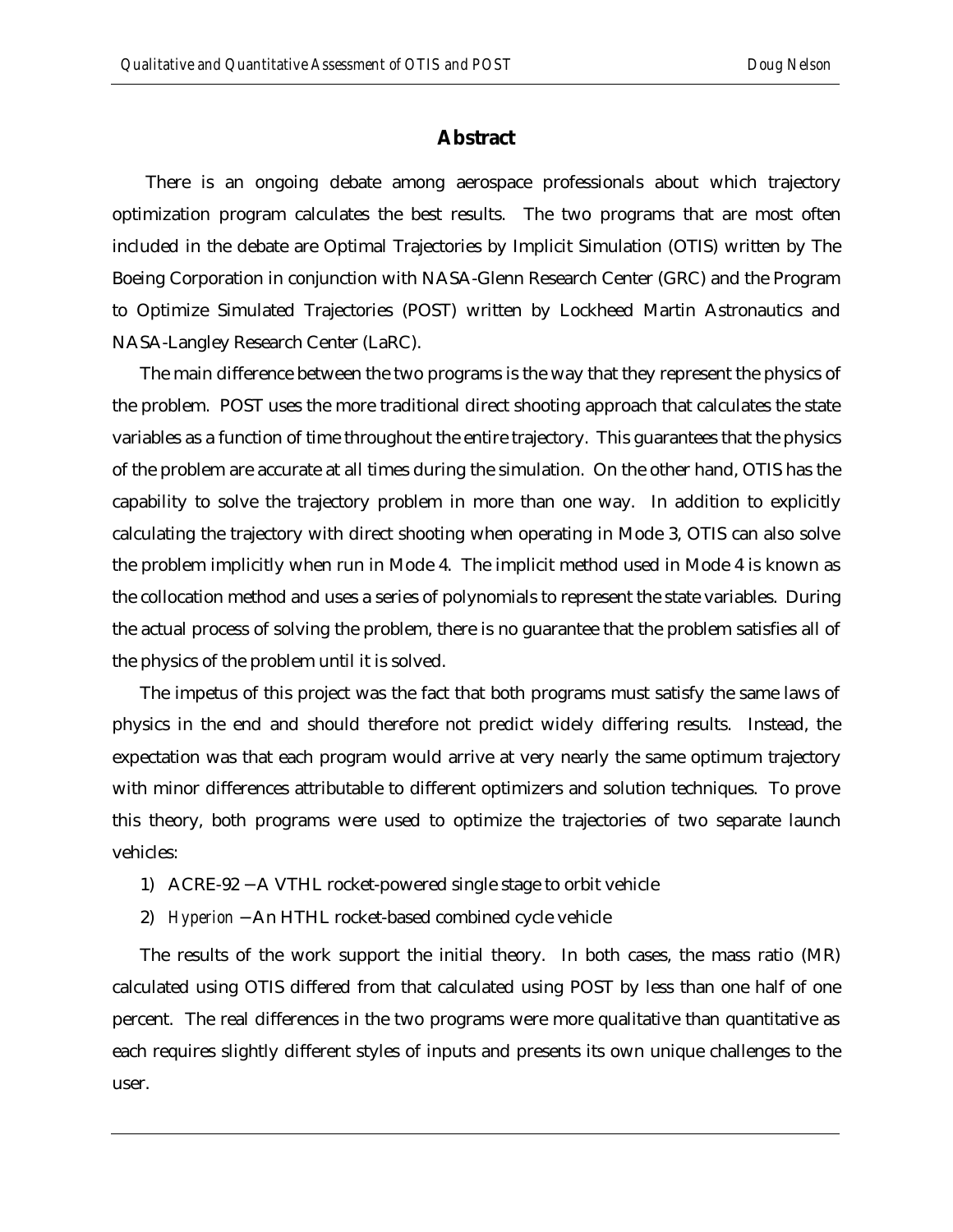### **Abstract**

There is an ongoing debate among aerospace professionals about which trajectory optimization program calculates the best results. The two programs that are most often included in the debate are Optimal Trajectories by Implicit Simulation (OTIS) written by The Boeing Corporation in conjunction with NASA-Glenn Research Center (GRC) and the Program to Optimize Simulated Trajectories (POST) written by Lockheed Martin Astronautics and NASA-Langley Research Center (LaRC).

The main difference between the two programs is the way that they represent the physics of the problem. POST uses the more traditional direct shooting approach that calculates the state variables as a function of time throughout the entire trajectory. This guarantees that the physics of the problem are accurate at all times during the simulation. On the other hand, OTIS has the capability to solve the trajectory problem in more than one way. In addition to explicitly calculating the trajectory with direct shooting when operating in Mode 3, OTIS can also solve the problem implicitly when run in Mode 4. The implicit method used in Mode 4 is known as the collocation method and uses a series of polynomials to represent the state variables. During the actual process of solving the problem, there is no guarantee that the problem satisfies all of the physics of the problem until it is solved.

The impetus of this project was the fact that both programs must satisfy the same laws of physics in the end and should therefore not predict widely differing results. Instead, the expectation was that each program would arrive at very nearly the same optimum trajectory with minor differences attributable to different optimizers and solution techniques. To prove this theory, both programs were used to optimize the trajectories of two separate launch vehicles:

- 1) ACRE-92 − A VTHL rocket-powered single stage to orbit vehicle
- 2) *Hyperion* − An HTHL rocket-based combined cycle vehicle

The results of the work support the initial theory. In both cases, the mass ratio (MR) calculated using OTIS differed from that calculated using POST by less than one half of one percent. The real differences in the two programs were more qualitative than quantitative as each requires slightly different styles of inputs and presents its own unique challenges to the user.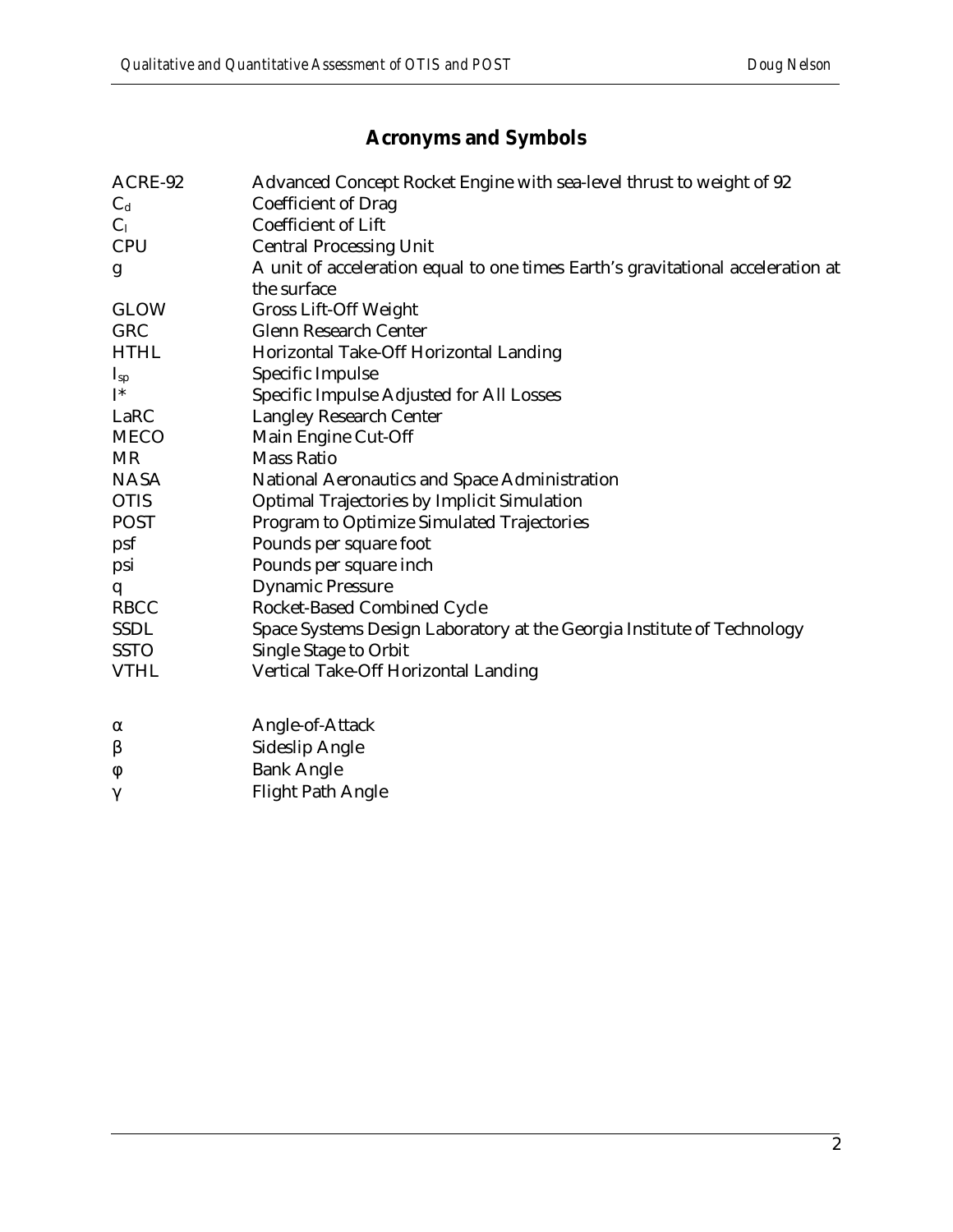## **Acronyms and Symbols**

| ACRE-92        | Advanced Concept Rocket Engine with sea-level thrust to weight of 92            |
|----------------|---------------------------------------------------------------------------------|
| $C_d$          | <b>Coefficient of Drag</b>                                                      |
| C <sub>1</sub> | <b>Coefficient of Lift</b>                                                      |
| <b>CPU</b>     | <b>Central Processing Unit</b>                                                  |
| g              | A unit of acceleration equal to one times Earth's gravitational acceleration at |
|                | the surface                                                                     |
| <b>GLOW</b>    | <b>Gross Lift-Off Weight</b>                                                    |
| GRC            | <b>Glenn Research Center</b>                                                    |
| <b>HTHL</b>    | Horizontal Take-Off Horizontal Landing                                          |
| $I_{sp}$       | Specific Impulse                                                                |
| $I^*$          | Specific Impulse Adjusted for All Losses                                        |
| LaRC           | <b>Langley Research Center</b>                                                  |
| <b>MECO</b>    | Main Engine Cut-Off                                                             |
| <b>MR</b>      | <b>Mass Ratio</b>                                                               |
| <b>NASA</b>    | National Aeronautics and Space Administration                                   |
| <b>OTIS</b>    | Optimal Trajectories by Implicit Simulation                                     |
| <b>POST</b>    | Program to Optimize Simulated Trajectories                                      |
| psf            | Pounds per square foot                                                          |
| psi            | Pounds per square inch                                                          |
| q              | <b>Dynamic Pressure</b>                                                         |
| <b>RBCC</b>    | Rocket-Based Combined Cycle                                                     |
| <b>SSDL</b>    | Space Systems Design Laboratory at the Georgia Institute of Technology          |
| <b>SSTO</b>    | <b>Single Stage to Orbit</b>                                                    |
| <b>VTHL</b>    | Vertical Take-Off Horizontal Landing                                            |
|                |                                                                                 |
| $\alpha$       | Angle-of-Attack                                                                 |
| β              | <b>Sideslip Angle</b>                                                           |
| φ              | <b>Bank Angle</b>                                                               |
| $\gamma$       | <b>Flight Path Angle</b>                                                        |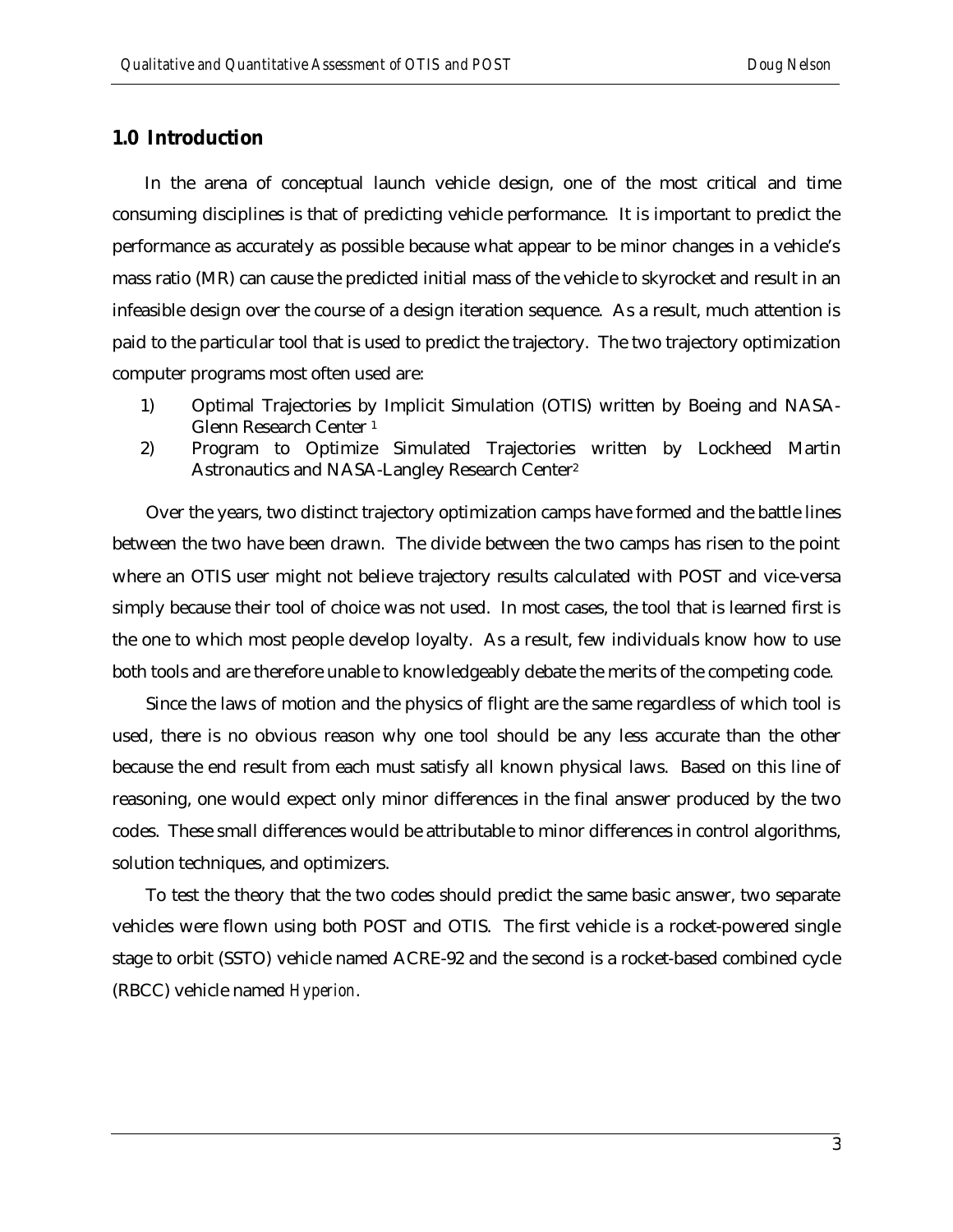### **1.0 Introduction**

 In the arena of conceptual launch vehicle design, one of the most critical and time consuming disciplines is that of predicting vehicle performance. It is important to predict the performance as accurately as possible because what appear to be minor changes in a vehicle's mass ratio (MR) can cause the predicted initial mass of the vehicle to skyrocket and result in an infeasible design over the course of a design iteration sequence. As a result, much attention is paid to the particular tool that is used to predict the trajectory. The two trajectory optimization computer programs most often used are:

- 1) Optimal Trajectories by Implicit Simulation (OTIS) written by Boeing and NASA-Glenn Research Center <sup>1</sup>
- 2) Program to Optimize Simulated Trajectories written by Lockheed Martin Astronautics and NASA-Langley Research Center<sup>2</sup>

Over the years, two distinct trajectory optimization camps have formed and the battle lines between the two have been drawn. The divide between the two camps has risen to the point where an OTIS user might not believe trajectory results calculated with POST and vice-versa simply because their tool of choice was not used. In most cases, the tool that is learned first is the one to which most people develop loyalty. As a result, few individuals know how to use both tools and are therefore unable to knowledgeably debate the merits of the competing code.

Since the laws of motion and the physics of flight are the same regardless of which tool is used, there is no obvious reason why one tool should be any less accurate than the other because the end result from each must satisfy all known physical laws. Based on this line of reasoning, one would expect only minor differences in the final answer produced by the two codes. These small differences would be attributable to minor differences in control algorithms, solution techniques, and optimizers.

To test the theory that the two codes should predict the same basic answer, two separate vehicles were flown using both POST and OTIS. The first vehicle is a rocket-powered single stage to orbit (SSTO) vehicle named ACRE-92 and the second is a rocket-based combined cycle (RBCC) vehicle named *Hyperion*.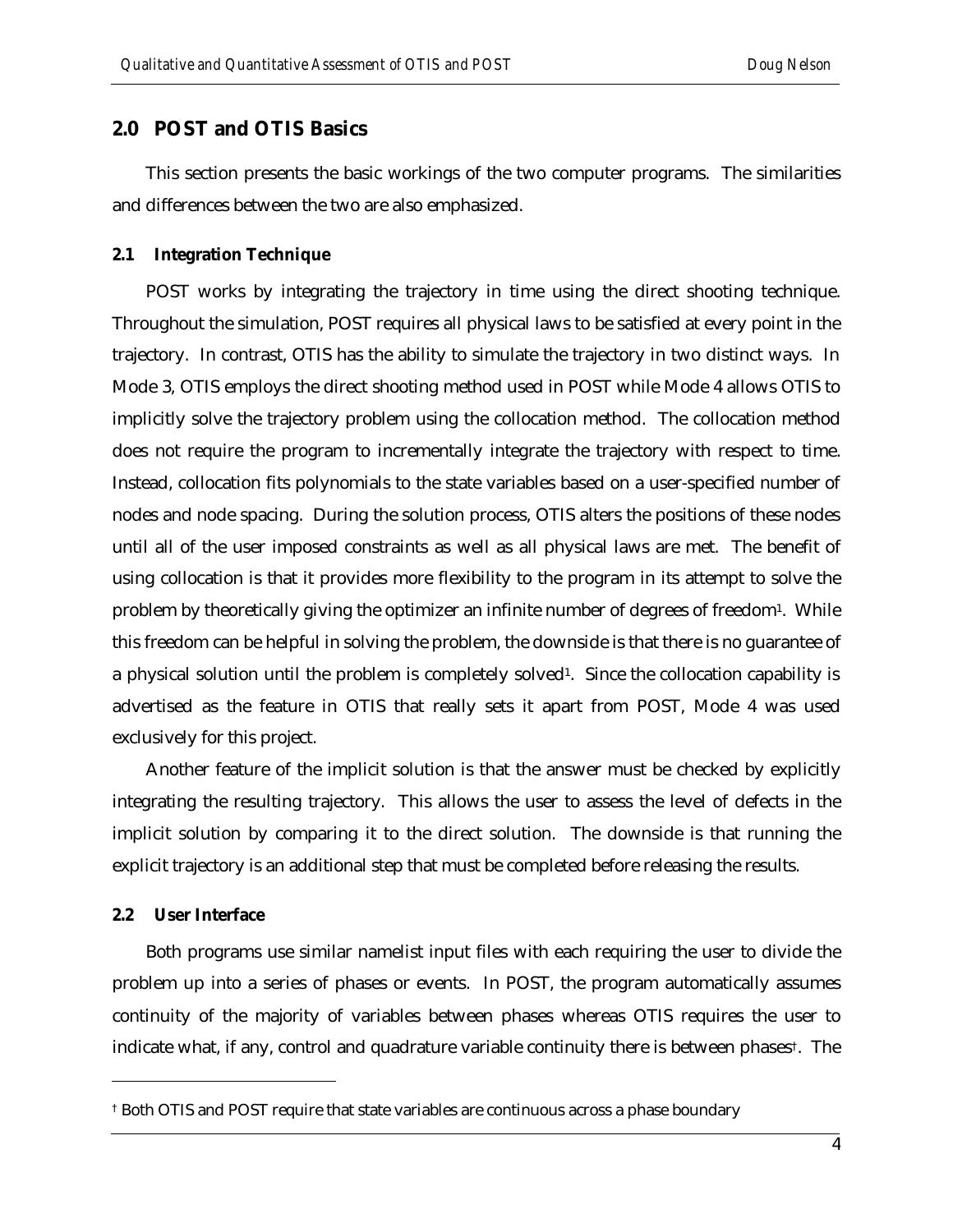### **2.0 POST and OTIS Basics**

This section presents the basic workings of the two computer programs. The similarities and differences between the two are also emphasized.

#### **2.1 Integration Technique**

POST works by integrating the trajectory in time using the direct shooting technique. Throughout the simulation, POST requires all physical laws to be satisfied at every point in the trajectory. In contrast, OTIS has the ability to simulate the trajectory in two distinct ways. In Mode 3, OTIS employs the direct shooting method used in POST while Mode 4 allows OTIS to implicitly solve the trajectory problem using the collocation method. The collocation method does not require the program to incrementally integrate the trajectory with respect to time. Instead, collocation fits polynomials to the state variables based on a user-specified number of nodes and node spacing. During the solution process, OTIS alters the positions of these nodes until all of the user imposed constraints as well as all physical laws are met. The benefit of using collocation is that it provides more flexibility to the program in its attempt to solve the problem by theoretically giving the optimizer an infinite number of degrees of freedom1. While this freedom can be helpful in solving the problem, the downside is that there is no guarantee of a physical solution until the problem is completely solved<sup>1</sup>. Since the collocation capability is advertised as the feature in OTIS that really sets it apart from POST, Mode 4 was used exclusively for this project.

Another feature of the implicit solution is that the answer must be checked by explicitly integrating the resulting trajectory. This allows the user to assess the level of defects in the implicit solution by comparing it to the direct solution. The downside is that running the explicit trajectory is an additional step that must be completed before releasing the results.

#### **2.2 User Interface**

 $\overline{a}$ 

Both programs use similar namelist input files with each requiring the user to divide the problem up into a series of phases or events. In POST, the program automatically assumes continuity of the majority of variables between phases whereas OTIS requires the user to indicate what, if any, control and quadrature variable continuity there is between phases†. The

<sup>†</sup> Both OTIS and POST require that state variables are continuous across a phase boundary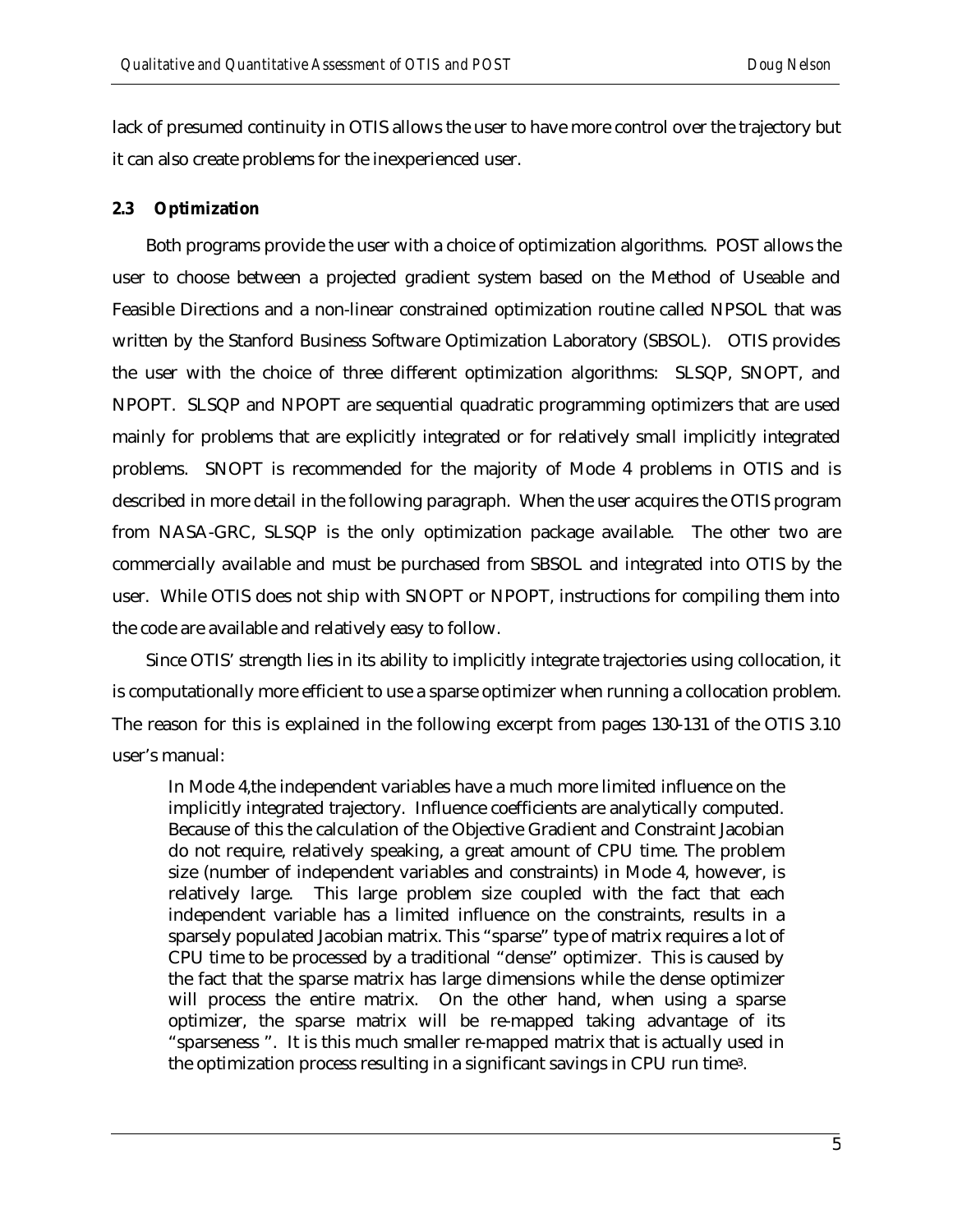lack of presumed continuity in OTIS allows the user to have more control over the trajectory but it can also create problems for the inexperienced user.

#### **2.3 Optimization**

Both programs provide the user with a choice of optimization algorithms. POST allows the user to choose between a projected gradient system based on the Method of Useable and Feasible Directions and a non-linear constrained optimization routine called NPSOL that was written by the Stanford Business Software Optimization Laboratory (SBSOL). OTIS provides the user with the choice of three different optimization algorithms: SLSQP, SNOPT, and NPOPT. SLSQP and NPOPT are sequential quadratic programming optimizers that are used mainly for problems that are explicitly integrated or for relatively small implicitly integrated problems. SNOPT is recommended for the majority of Mode 4 problems in OTIS and is described in more detail in the following paragraph. When the user acquires the OTIS program from NASA-GRC, SLSQP is the only optimization package available. The other two are commercially available and must be purchased from SBSOL and integrated into OTIS by the user. While OTIS does not ship with SNOPT or NPOPT, instructions for compiling them into the code are available and relatively easy to follow.

Since OTIS' strength lies in its ability to implicitly integrate trajectories using collocation, it is computationally more efficient to use a sparse optimizer when running a collocation problem. The reason for this is explained in the following excerpt from pages 130-131 of the OTIS 3.10 user's manual:

In Mode 4,the independent variables have a much more limited influence on the implicitly integrated trajectory. Influence coefficients are analytically computed. Because of this the calculation of the Objective Gradient and Constraint Jacobian do not require, relatively speaking, a great amount of CPU time. The problem size (number of independent variables and constraints) in Mode 4, however, is relatively large. This large problem size coupled with the fact that each independent variable has a limited influence on the constraints, results in a sparsely populated Jacobian matrix. This "sparse" type of matrix requires a lot of CPU time to be processed by a traditional "dense" optimizer. This is caused by the fact that the sparse matrix has large dimensions while the dense optimizer will process the entire matrix. On the other hand, when using a sparse optimizer, the sparse matrix will be re-mapped taking advantage of its "sparseness ". It is this much smaller re-mapped matrix that is actually used in the optimization process resulting in a significant savings in CPU run time3.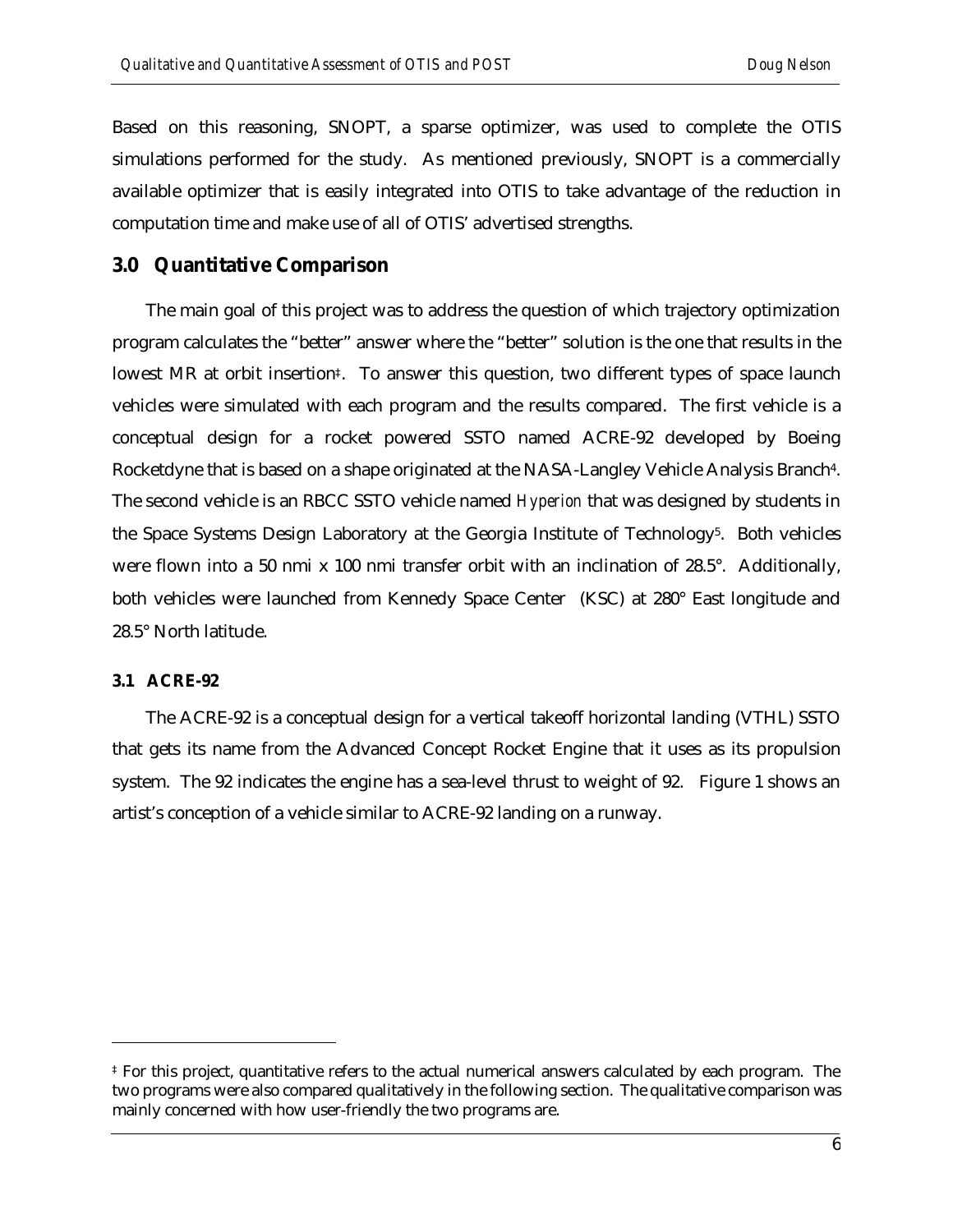Based on this reasoning, SNOPT, a sparse optimizer, was used to complete the OTIS simulations performed for the study. As mentioned previously, SNOPT is a commercially available optimizer that is easily integrated into OTIS to take advantage of the reduction in computation time and make use of all of OTIS' advertised strengths.

#### **3.0 Quantitative Comparison**

The main goal of this project was to address the question of which trajectory optimization program calculates the "better" answer where the "better" solution is the one that results in the lowest MR at orbit insertion‡. To answer this question, two different types of space launch vehicles were simulated with each program and the results compared. The first vehicle is a conceptual design for a rocket powered SSTO named ACRE-92 developed by Boeing Rocketdyne that is based on a shape originated at the NASA-Langley Vehicle Analysis Branch4. The second vehicle is an RBCC SSTO vehicle named *Hyperion* that was designed by students in the Space Systems Design Laboratory at the Georgia Institute of Technology<sup>5</sup>. Both vehicles were flown into a 50 nmi x 100 nmi transfer orbit with an inclination of 28.5°. Additionally, both vehicles were launched from Kennedy Space Center (KSC) at 280° East longitude and 28.5° North latitude.

#### **3.1 ACRE-92**

l

The ACRE-92 is a conceptual design for a vertical takeoff horizontal landing (VTHL) SSTO that gets its name from the Advanced Concept Rocket Engine that it uses as its propulsion system. The 92 indicates the engine has a sea-level thrust to weight of 92. Figure 1 shows an artist's conception of a vehicle similar to ACRE-92 landing on a runway.

<sup>‡</sup> For this project, quantitative refers to the actual numerical answers calculated by each program. The two programs were also compared qualitatively in the following section. The qualitative comparison was mainly concerned with how user-friendly the two programs are.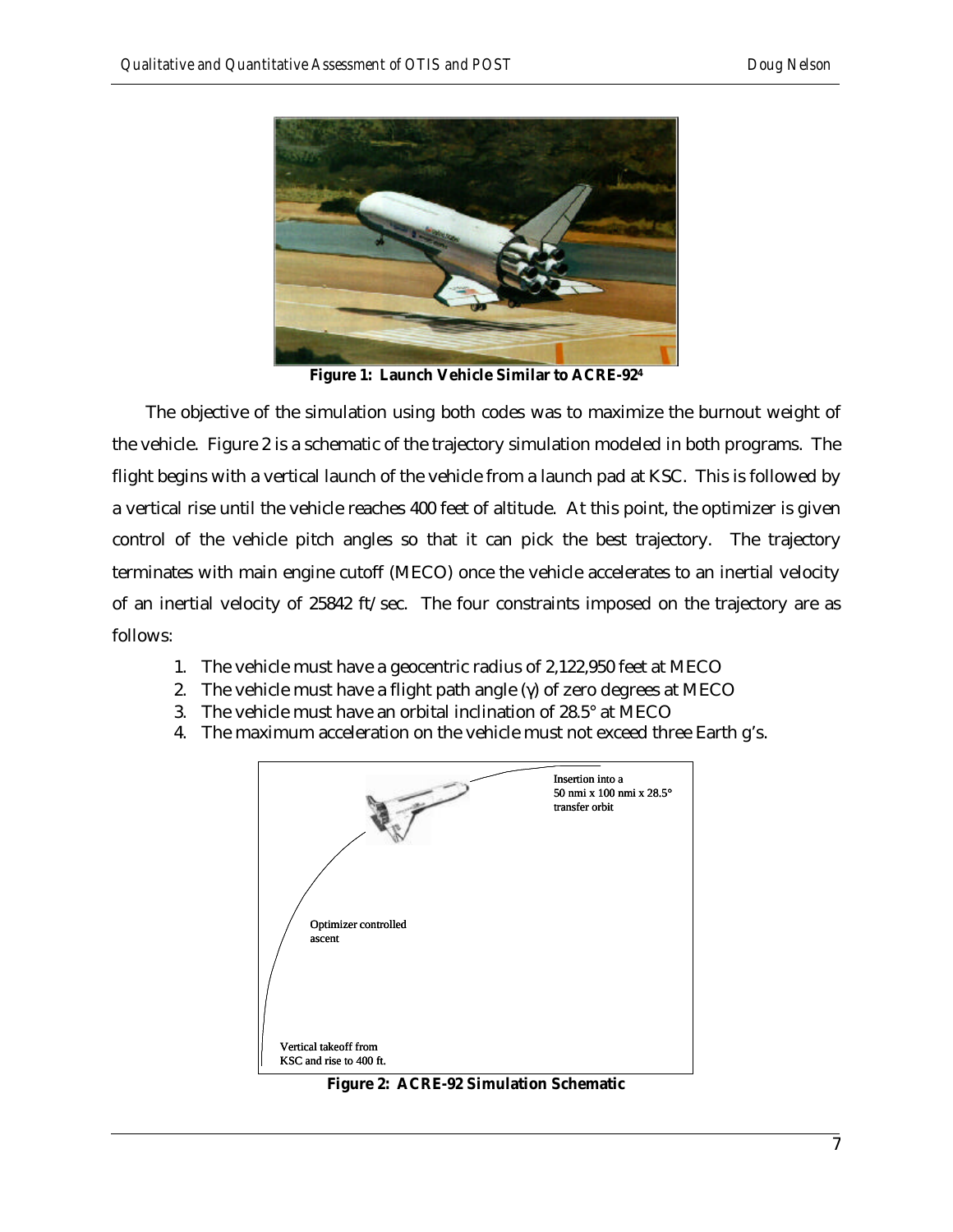

**Figure 1: Launch Vehicle Similar to ACRE-92<sup>4</sup>**

The objective of the simulation using both codes was to maximize the burnout weight of the vehicle. Figure 2 is a schematic of the trajectory simulation modeled in both programs. The flight begins with a vertical launch of the vehicle from a launch pad at KSC. This is followed by a vertical rise until the vehicle reaches 400 feet of altitude. At this point, the optimizer is given control of the vehicle pitch angles so that it can pick the best trajectory. The trajectory terminates with main engine cutoff (MECO) once the vehicle accelerates to an inertial velocity of an inertial velocity of 25842 ft/sec. The four constraints imposed on the trajectory are as follows:

- 1. The vehicle must have a geocentric radius of 2,122,950 feet at MECO
- 2. The vehicle must have a flight path angle  $(\gamma)$  of zero degrees at MECO
- 3. The vehicle must have an orbital inclination of 28.5° at MECO
- 4. The maximum acceleration on the vehicle must not exceed three Earth g's.



**Figure 2: ACRE-92 Simulation Schematic**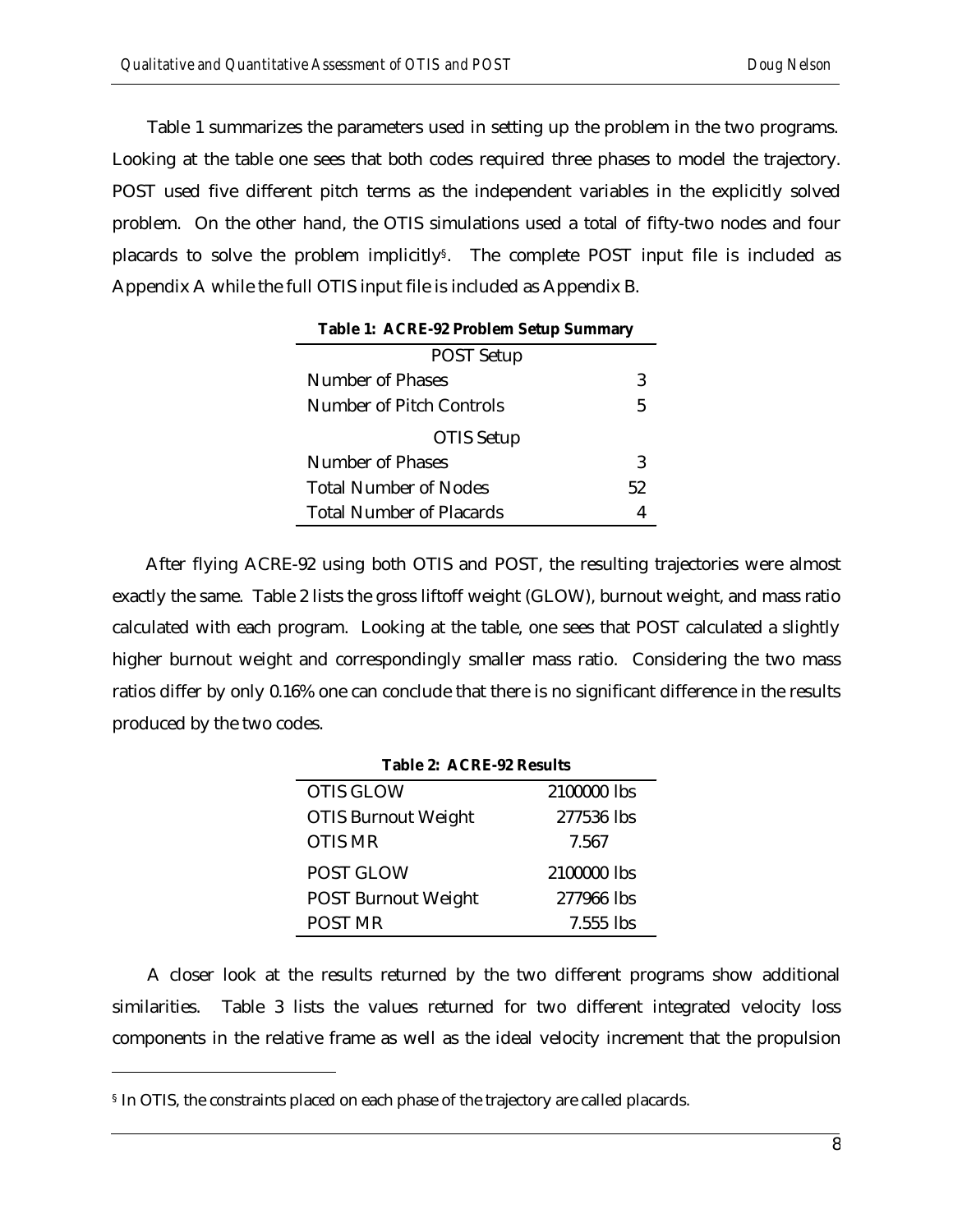Table 1 summarizes the parameters used in setting up the problem in the two programs. Looking at the table one sees that both codes required three phases to model the trajectory. POST used five different pitch terms as the independent variables in the explicitly solved problem. On the other hand, the OTIS simulations used a total of fifty-two nodes and four placards to solve the problem implicitly§. The complete POST input file is included as Appendix A while the full OTIS input file is included as Appendix B.

| <b>Table 1: ACRE-92 Problem Setup Summary</b> |    |
|-----------------------------------------------|----|
| <b>POST Setup</b>                             |    |
| Number of Phases                              | 3  |
| Number of Pitch Controls                      | 5  |
| OTIS Setup                                    |    |
| Number of Phases                              | 3  |
| Total Number of Nodes                         | 52 |
| <b>Total Number of Placards</b>               |    |

After flying ACRE-92 using both OTIS and POST, the resulting trajectories were almost exactly the same. Table 2 lists the gross liftoff weight (GLOW), burnout weight, and mass ratio calculated with each program. Looking at the table, one sees that POST calculated a slightly higher burnout weight and correspondingly smaller mass ratio. Considering the two mass ratios differ by only 0.16% one can conclude that there is no significant difference in the results produced by the two codes.

| <b>Table 2: ACRE-92 Results</b> |             |
|---------------------------------|-------------|
| <b>OTIS GLOW</b>                | 2100000 lbs |
| <b>OTIS Burnout Weight</b>      | 277536 lbs  |
| <b>OTIS MR</b>                  | 7.567       |
| <b>POST GLOW</b>                | 2100000 lbs |
| <b>POST Burnout Weight</b>      | 277966 lbs  |
| POST MR                         | $7.555$ lbs |

A closer look at the results returned by the two different programs show additional similarities. Table 3 lists the values returned for two different integrated velocity loss components in the relative frame as well as the ideal velocity increment that the propulsion

 $\overline{a}$ 

<sup>§</sup> In OTIS, the constraints placed on each phase of the trajectory are called placards.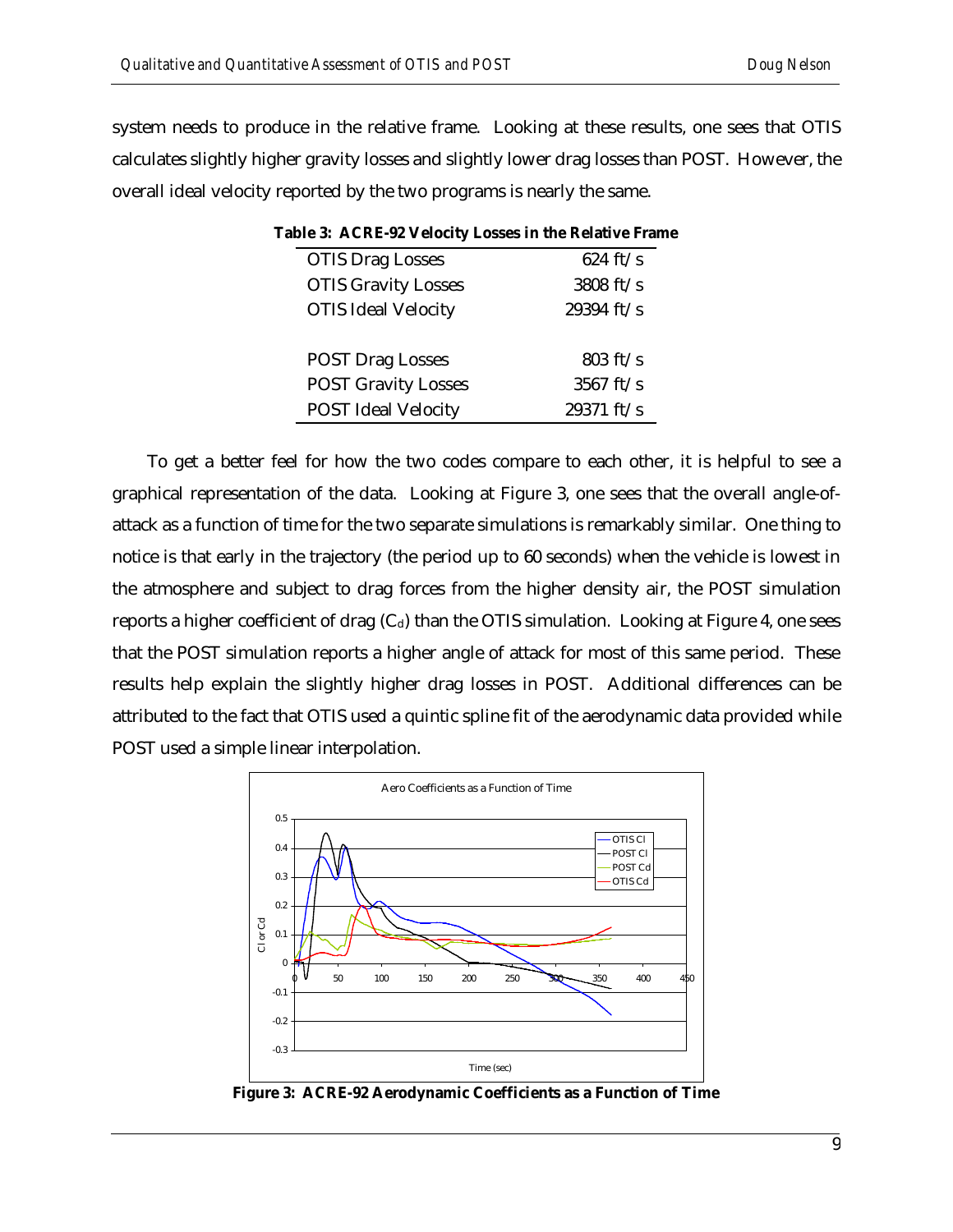system needs to produce in the relative frame. Looking at these results, one sees that OTIS calculates slightly higher gravity losses and slightly lower drag losses than POST. However, the overall ideal velocity reported by the two programs is nearly the same.

| Table 3: ACRE-92 Velocity Losses in the Relative Frame |                     |                    |
|--------------------------------------------------------|---------------------|--------------------|
| <b>OTIS Drag Losses</b>                                |                     | $624 \text{ ft/s}$ |
| <b>OTIS Gravity Losses</b>                             | 3808 ft/s           |                    |
| <b>OTIS Ideal Velocity</b>                             | 29394 ft/s          |                    |
| <b>POST Drag Losses</b>                                |                     | $803 \text{ ft/s}$ |
| <b>POST Gravity Losses</b>                             | $3567 \text{ ft/s}$ |                    |
| <b>POST Ideal Velocity</b>                             | 29371 ft/s          |                    |

To get a better feel for how the two codes compare to each other, it is helpful to see a graphical representation of the data. Looking at Figure 3, one sees that the overall angle-ofattack as a function of time for the two separate simulations is remarkably similar. One thing to notice is that early in the trajectory (the period up to 60 seconds) when the vehicle is lowest in the atmosphere and subject to drag forces from the higher density air, the POST simulation reports a higher coefficient of drag  $(C_d)$  than the OTIS simulation. Looking at Figure 4, one sees that the POST simulation reports a higher angle of attack for most of this same period. These results help explain the slightly higher drag losses in POST. Additional differences can be attributed to the fact that OTIS used a quintic spline fit of the aerodynamic data provided while POST used a simple linear interpolation.



**Figure 3: ACRE-92 Aerodynamic Coefficients as a Function of Time**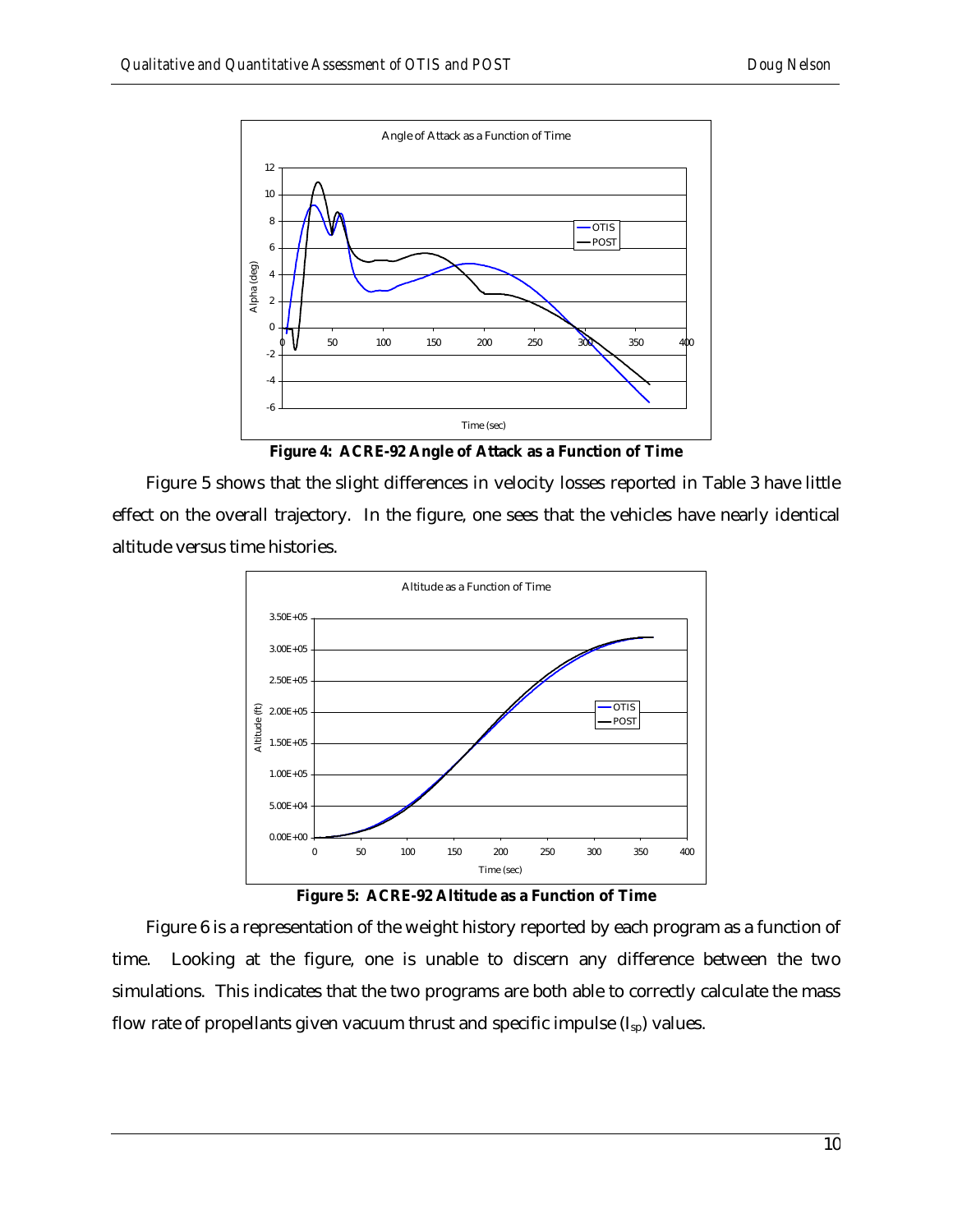

**Figure 4: ACRE-92 Angle of Attack as a Function of Time**

Figure 5 shows that the slight differences in velocity losses reported in Table 3 have little effect on the overall trajectory. In the figure, one sees that the vehicles have nearly identical altitude versus time histories.



**Figure 5: ACRE-92 Altitude as a Function of Time**

Figure 6 is a representation of the weight history reported by each program as a function of time. Looking at the figure, one is unable to discern any difference between the two simulations. This indicates that the two programs are both able to correctly calculate the mass flow rate of propellants given vacuum thrust and specific impulse  $(I_{sp})$  values.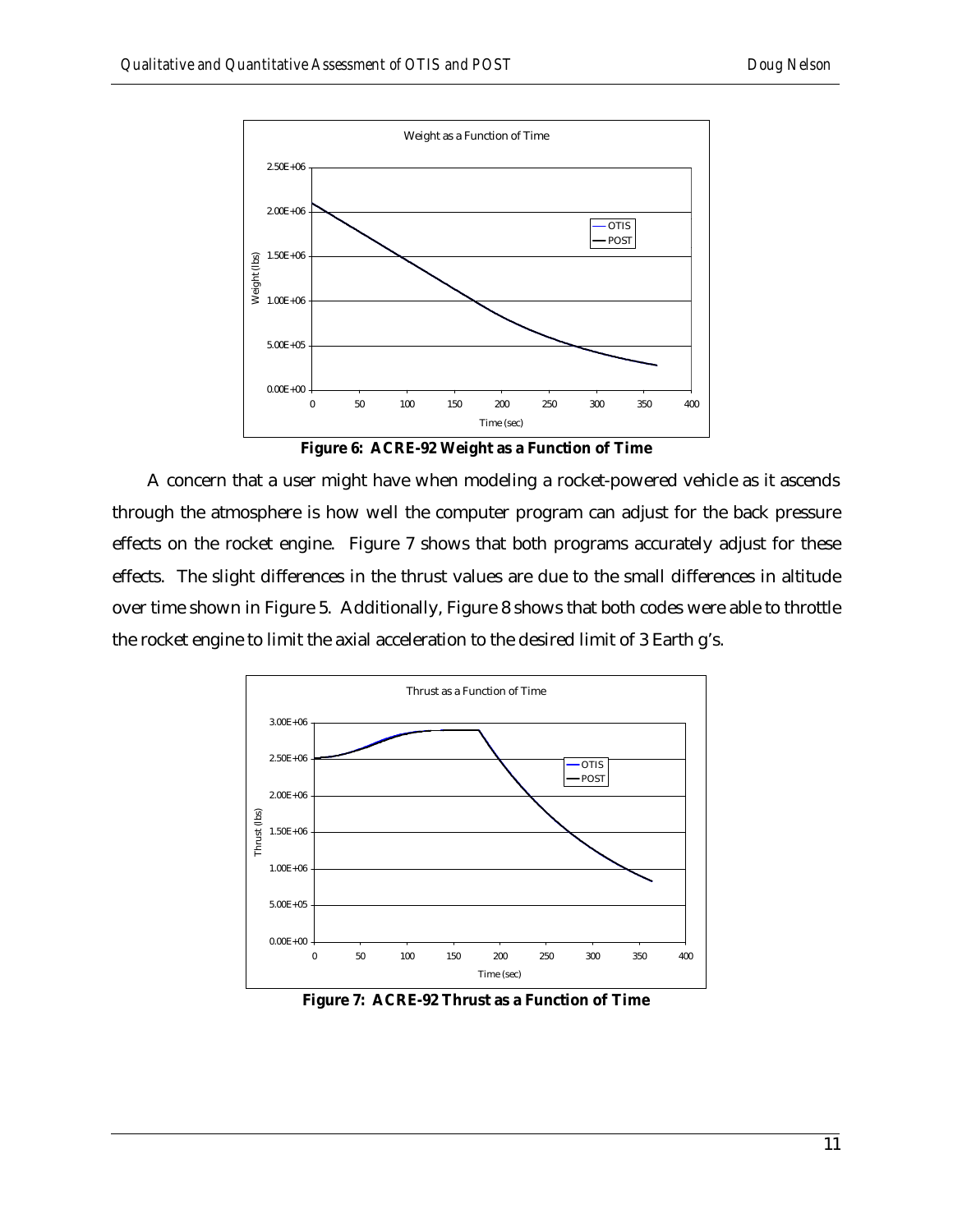

**Figure 6: ACRE-92 Weight as a Function of Time**

A concern that a user might have when modeling a rocket-powered vehicle as it ascends through the atmosphere is how well the computer program can adjust for the back pressure effects on the rocket engine. Figure 7 shows that both programs accurately adjust for these effects. The slight differences in the thrust values are due to the small differences in altitude over time shown in Figure 5. Additionally, Figure 8 shows that both codes were able to throttle the rocket engine to limit the axial acceleration to the desired limit of 3 Earth g's.



**Figure 7: ACRE-92 Thrust as a Function of Time**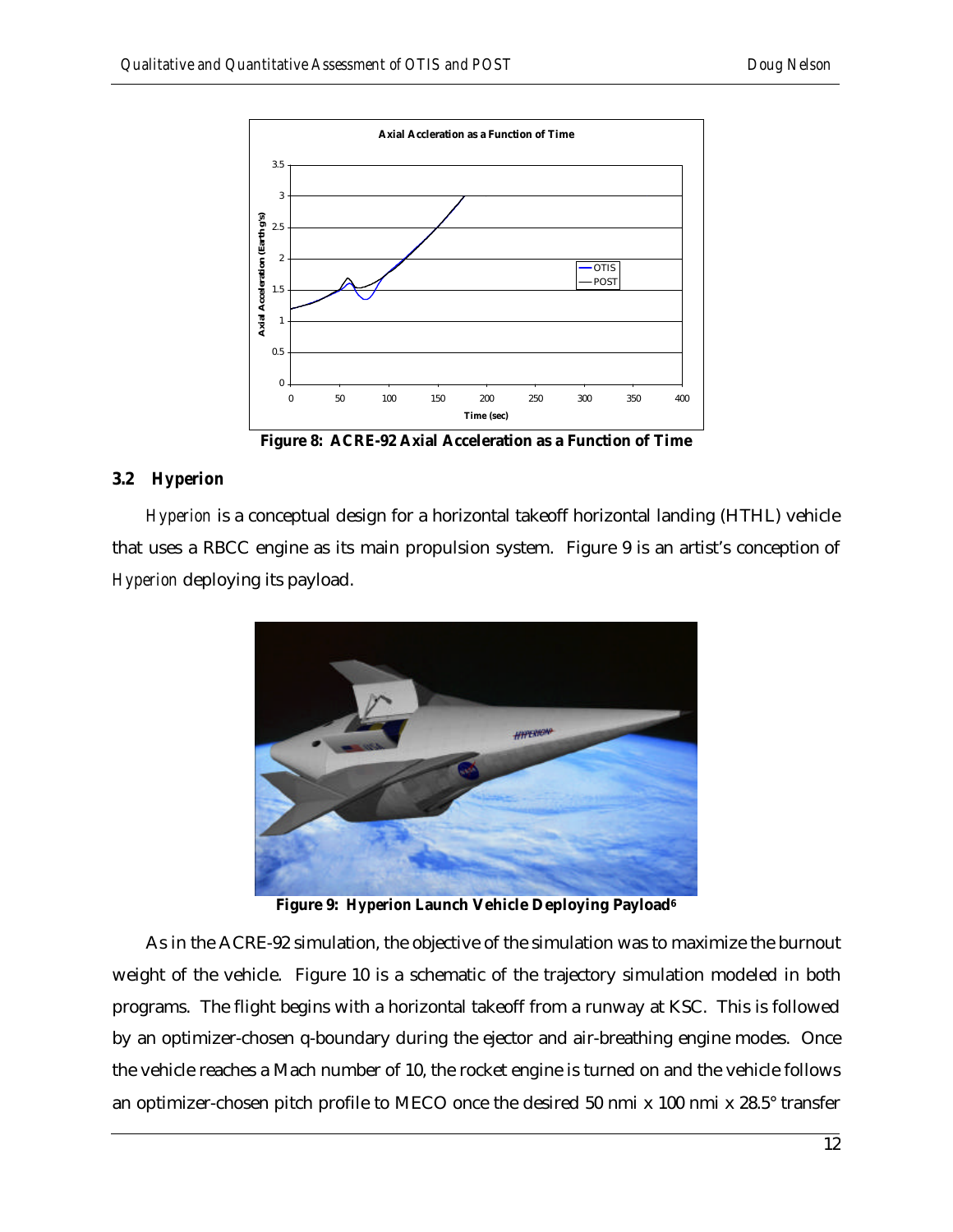

**Figure 8: ACRE-92 Axial Acceleration as a Function of Time**

### **3.2** *Hyperion*

*Hyperion* is a conceptual design for a horizontal takeoff horizontal landing (HTHL) vehicle that uses a RBCC engine as its main propulsion system. Figure 9 is an artist's conception of *Hyperion* deploying its payload.



**Figure 9:** *Hyperion* **Launch Vehicle Deploying Payload<sup>6</sup>**

As in the ACRE-92 simulation, the objective of the simulation was to maximize the burnout weight of the vehicle. Figure 10 is a schematic of the trajectory simulation modeled in both programs. The flight begins with a horizontal takeoff from a runway at KSC. This is followed by an optimizer-chosen q-boundary during the ejector and air-breathing engine modes. Once the vehicle reaches a Mach number of 10, the rocket engine is turned on and the vehicle follows an optimizer-chosen pitch profile to MECO once the desired 50 nmi x 100 nmi x 28.5° transfer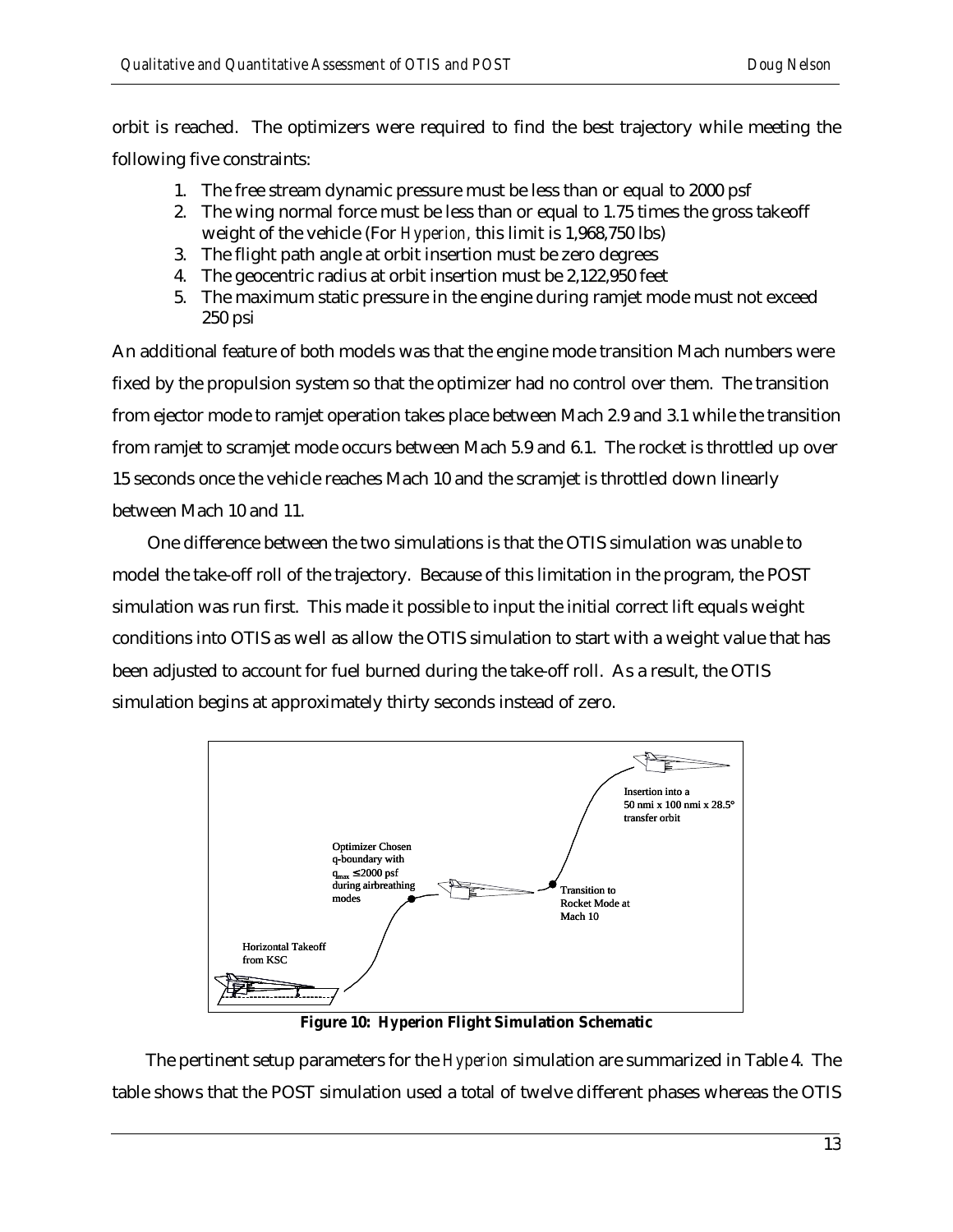orbit is reached. The optimizers were required to find the best trajectory while meeting the following five constraints:

- 1. The free stream dynamic pressure must be less than or equal to 2000 psf
- 2. The wing normal force must be less than or equal to 1.75 times the gross takeoff weight of the vehicle (For *Hyperion,* this limit is 1,968,750 lbs)
- 3. The flight path angle at orbit insertion must be zero degrees
- 4. The geocentric radius at orbit insertion must be 2,122,950 feet
- 5. The maximum static pressure in the engine during ramjet mode must not exceed 250 psi

An additional feature of both models was that the engine mode transition Mach numbers were fixed by the propulsion system so that the optimizer had no control over them. The transition from ejector mode to ramjet operation takes place between Mach 2.9 and 3.1 while the transition from ramjet to scramjet mode occurs between Mach 5.9 and 6.1. The rocket is throttled up over 15 seconds once the vehicle reaches Mach 10 and the scramjet is throttled down linearly between Mach 10 and 11.

One difference between the two simulations is that the OTIS simulation was unable to model the take-off roll of the trajectory. Because of this limitation in the program, the POST simulation was run first. This made it possible to input the initial correct lift equals weight conditions into OTIS as well as allow the OTIS simulation to start with a weight value that has been adjusted to account for fuel burned during the take-off roll. As a result, the OTIS simulation begins at approximately thirty seconds instead of zero.



**Figure 10:** *Hyperion* **Flight Simulation Schematic**

The pertinent setup parameters for the *Hyperion* simulation are summarized in Table 4. The table shows that the POST simulation used a total of twelve different phases whereas the OTIS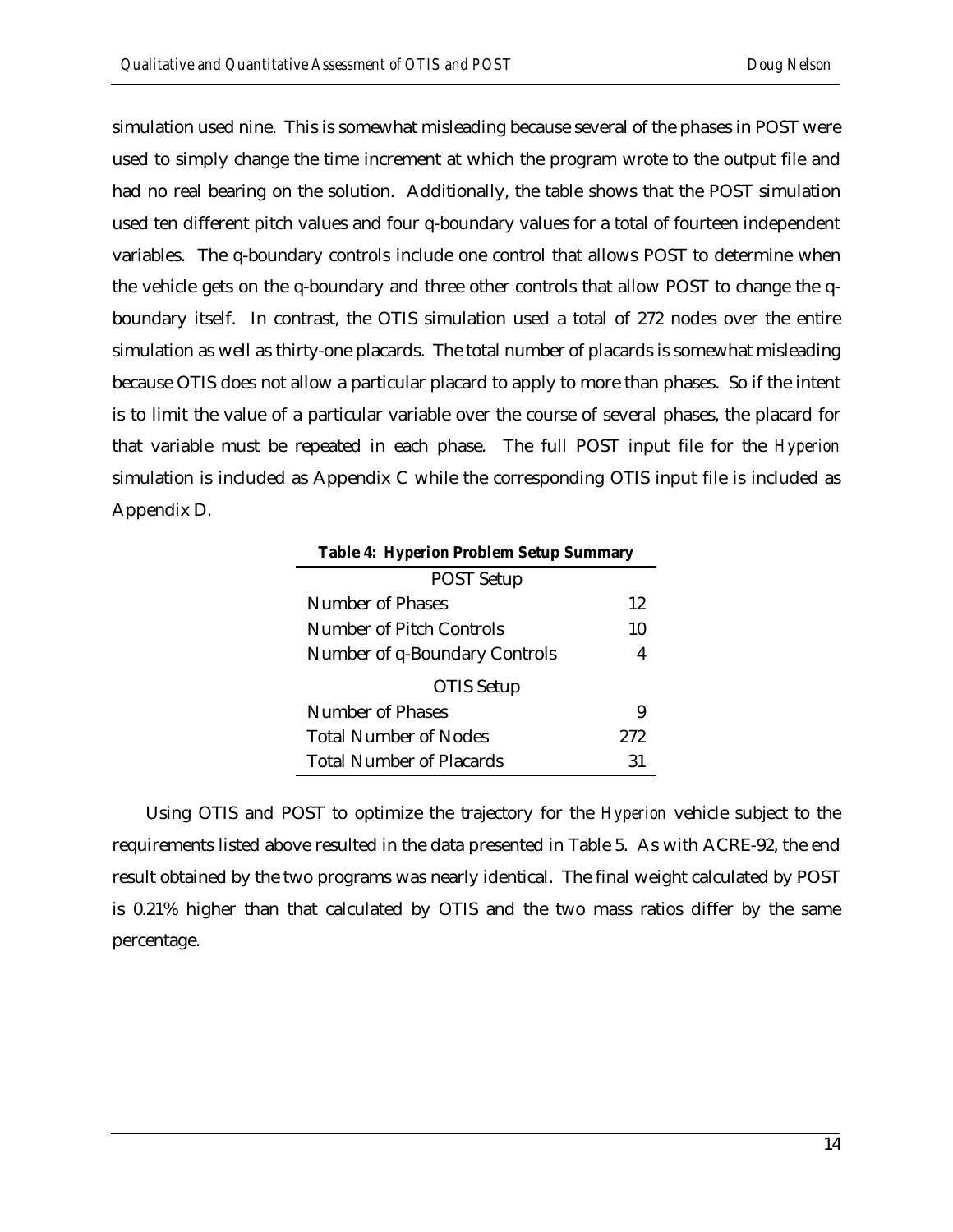simulation used nine. This is somewhat misleading because several of the phases in POST were used to simply change the time increment at which the program wrote to the output file and had no real bearing on the solution. Additionally, the table shows that the POST simulation used ten different pitch values and four q-boundary values for a total of fourteen independent variables. The q-boundary controls include one control that allows POST to determine when the vehicle gets on the q-boundary and three other controls that allow POST to change the qboundary itself. In contrast, the OTIS simulation used a total of 272 nodes over the entire simulation as well as thirty-one placards. The total number of placards is somewhat misleading because OTIS does not allow a particular placard to apply to more than phases. So if the intent is to limit the value of a particular variable over the course of several phases, the placard for that variable must be repeated in each phase. The full POST input file for the *Hyperion* simulation is included as Appendix C while the corresponding OTIS input file is included as Appendix D.

| <b>Table 4: Hyperion Problem Setup Summary</b> |     |
|------------------------------------------------|-----|
| <b>POST Setup</b>                              |     |
| Number of Phases                               | 12  |
| Number of Pitch Controls                       | 10  |
| Number of q-Boundary Controls                  | 4   |
| OTIS Setup                                     |     |
| Number of Phases                               | 9   |
| <b>Total Number of Nodes</b>                   | 272 |
| <b>Total Number of Placards</b>                | 31  |

Using OTIS and POST to optimize the trajectory for the *Hyperion* vehicle subject to the requirements listed above resulted in the data presented in Table 5. As with ACRE-92, the end result obtained by the two programs was nearly identical. The final weight calculated by POST is 0.21% higher than that calculated by OTIS and the two mass ratios differ by the same percentage.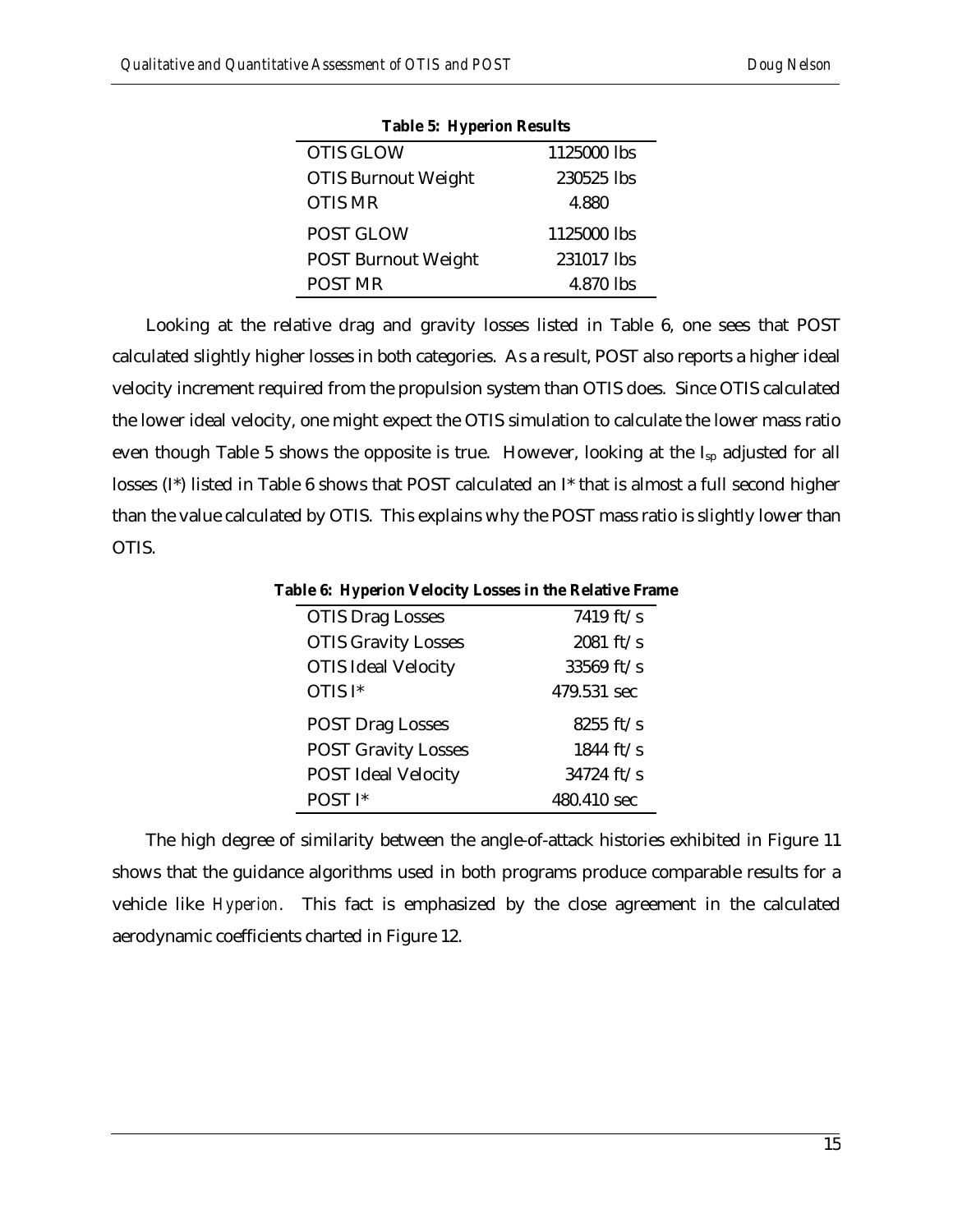| <b>Table 5: Hyperion Results</b> |             |
|----------------------------------|-------------|
| <b>OTIS GLOW</b>                 | 1125000 lbs |
| <b>OTIS Burnout Weight</b>       | 230525 lbs  |
| <b>OTIS MR</b>                   | 4.880       |
| <b>POST GLOW</b>                 | 1125000 lbs |
| <b>POST Burnout Weight</b>       | 231017 lbs  |
| <b>POST MR</b>                   | 4.870 lbs   |

Looking at the relative drag and gravity losses listed in Table 6, one sees that POST calculated slightly higher losses in both categories. As a result, POST also reports a higher ideal velocity increment required from the propulsion system than OTIS does. Since OTIS calculated the lower ideal velocity, one might expect the OTIS simulation to calculate the lower mass ratio even though Table 5 shows the opposite is true. However, looking at the I<sub>sp</sub> adjusted for all losses (I\*) listed in Table 6 shows that POST calculated an I\* that is almost a full second higher than the value calculated by OTIS. This explains why the POST mass ratio is slightly lower than OTIS.

**Table 6:** *Hyperion* **Velocity Losses in the Relative Frame**

| <b>OTIS Drag Losses</b>    | 7419 ft/s           |
|----------------------------|---------------------|
| <b>OTIS Gravity Losses</b> | 2081 ft/s           |
| <b>OTIS Ideal Velocity</b> | 33569 ft/s          |
| OTIS I*                    | 479.531 sec         |
|                            |                     |
| <b>POST Drag Losses</b>    | $8255 \text{ ft/s}$ |
| <b>POST Gravity Losses</b> | 1844 ft/s           |
| <b>POST Ideal Velocity</b> | $34724$ ft/s        |

The high degree of similarity between the angle-of-attack histories exhibited in Figure 11 shows that the guidance algorithms used in both programs produce comparable results for a vehicle like *Hyperion*. This fact is emphasized by the close agreement in the calculated aerodynamic coefficients charted in Figure 12.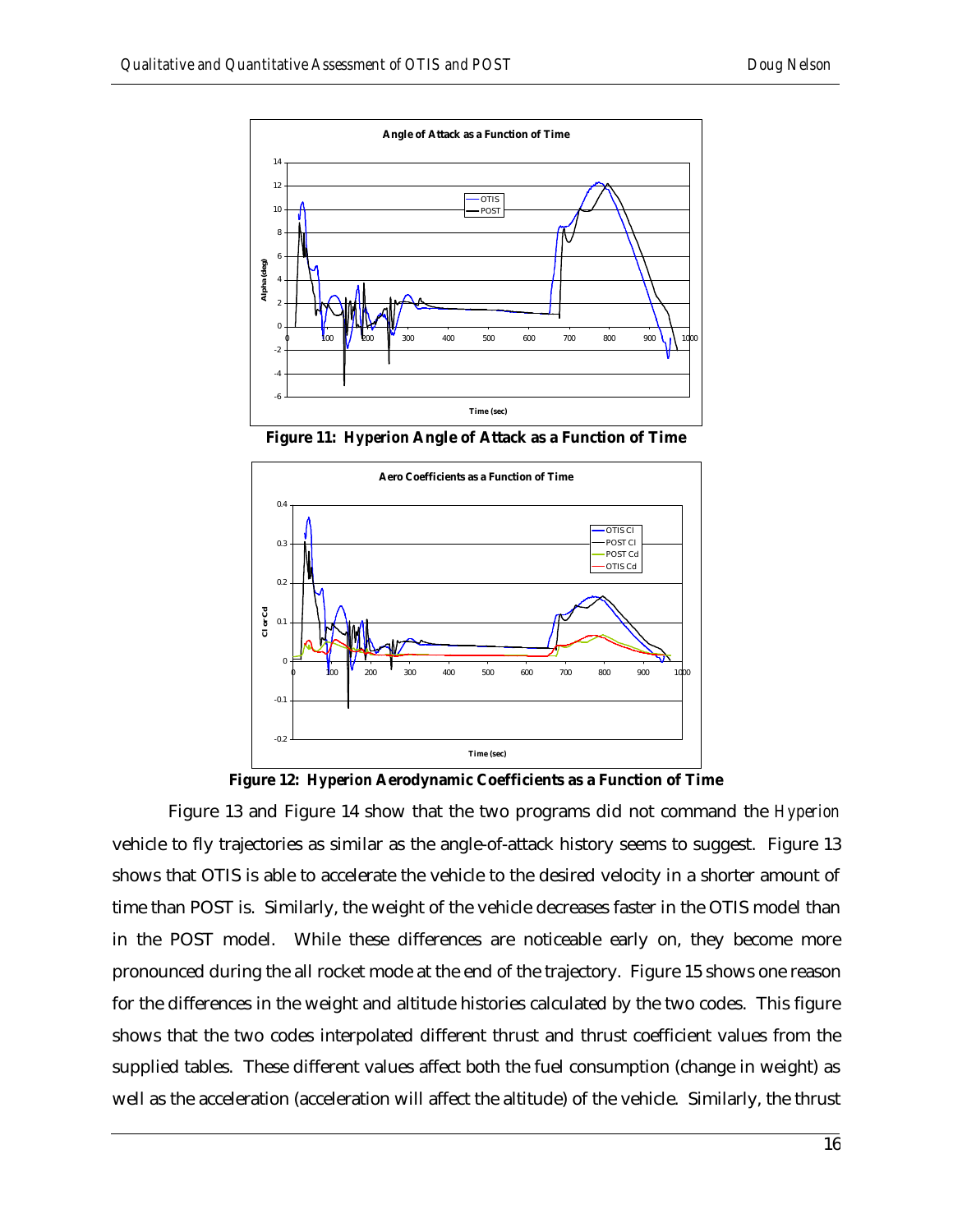

**Figure 11:** *Hyperion* **Angle of Attack as a Function of Time**



**Figure 12:** *Hyperion* **Aerodynamic Coefficients as a Function of Time**

Figure 13 and Figure 14 show that the two programs did not command the *Hyperion* vehicle to fly trajectories as similar as the angle-of-attack history seems to suggest. Figure 13 shows that OTIS is able to accelerate the vehicle to the desired velocity in a shorter amount of time than POST is. Similarly, the weight of the vehicle decreases faster in the OTIS model than in the POST model. While these differences are noticeable early on, they become more pronounced during the all rocket mode at the end of the trajectory. Figure 15 shows one reason for the differences in the weight and altitude histories calculated by the two codes. This figure shows that the two codes interpolated different thrust and thrust coefficient values from the supplied tables. These different values affect both the fuel consumption (change in weight) as well as the acceleration (acceleration will affect the altitude) of the vehicle. Similarly, the thrust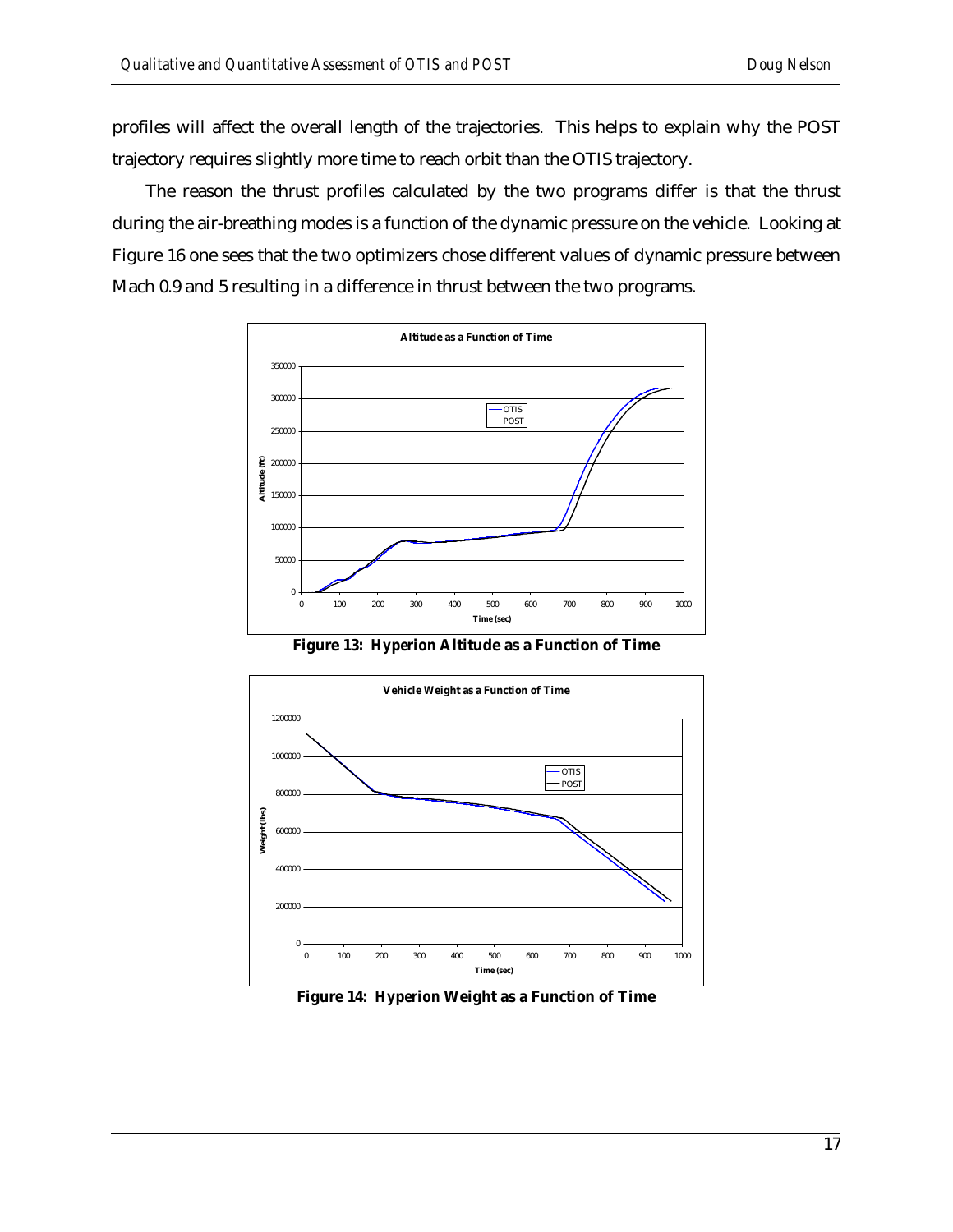profiles will affect the overall length of the trajectories. This helps to explain why the POST trajectory requires slightly more time to reach orbit than the OTIS trajectory.

The reason the thrust profiles calculated by the two programs differ is that the thrust during the air-breathing modes is a function of the dynamic pressure on the vehicle. Looking at Figure 16 one sees that the two optimizers chose different values of dynamic pressure between Mach 0.9 and 5 resulting in a difference in thrust between the two programs.



**Figure 13:** *Hyperion* **Altitude as a Function of Time**



**Figure 14:** *Hyperion* **Weight as a Function of Time**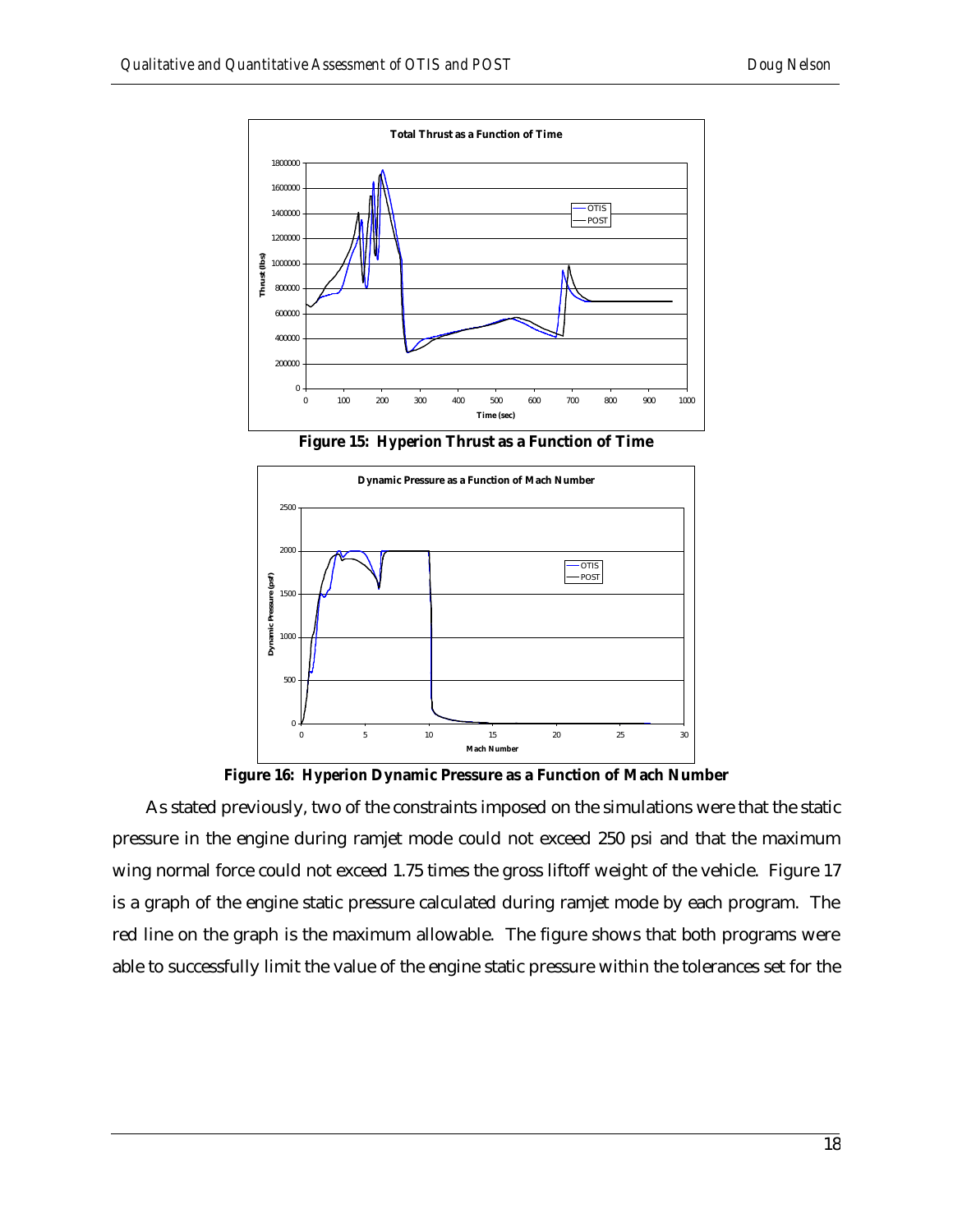

**Figure 15:** *Hyperion* **Thrust as a Function of Time**



**Figure 16:** *Hyperion* **Dynamic Pressure as a Function of Mach Number**

As stated previously, two of the constraints imposed on the simulations were that the static pressure in the engine during ramjet mode could not exceed 250 psi and that the maximum wing normal force could not exceed 1.75 times the gross liftoff weight of the vehicle. Figure 17 is a graph of the engine static pressure calculated during ramjet mode by each program. The red line on the graph is the maximum allowable. The figure shows that both programs were able to successfully limit the value of the engine static pressure within the tolerances set for the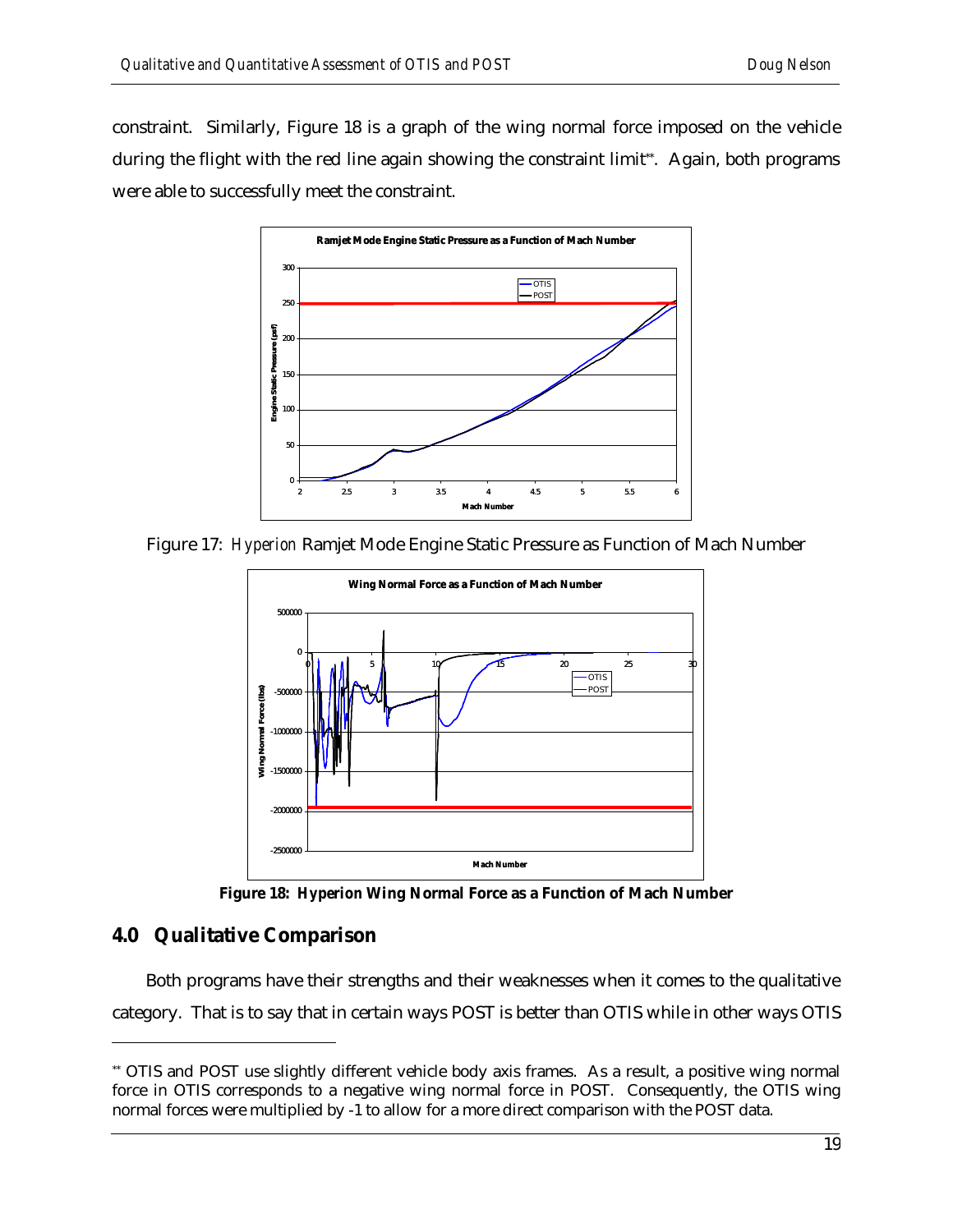constraint. Similarly, Figure 18 is a graph of the wing normal force imposed on the vehicle during the flight with the red line again showing the constraint limit\*\*. Again, both programs were able to successfully meet the constraint.



Figure 17: *Hyperion* Ramjet Mode Engine Static Pressure as Function of Mach Number



**Figure 18:** *Hyperion* **Wing Normal Force as a Function of Mach Number**

## **4.0 Qualitative Comparison**

l

Both programs have their strengths and their weaknesses when it comes to the qualitative category. That is to say that in certain ways POST is better than OTIS while in other ways OTIS

<sup>\*\*</sup> OTIS and POST use slightly different vehicle body axis frames. As a result, a positive wing normal force in OTIS corresponds to a negative wing normal force in POST. Consequently, the OTIS wing normal forces were multiplied by -1 to allow for a more direct comparison with the POST data.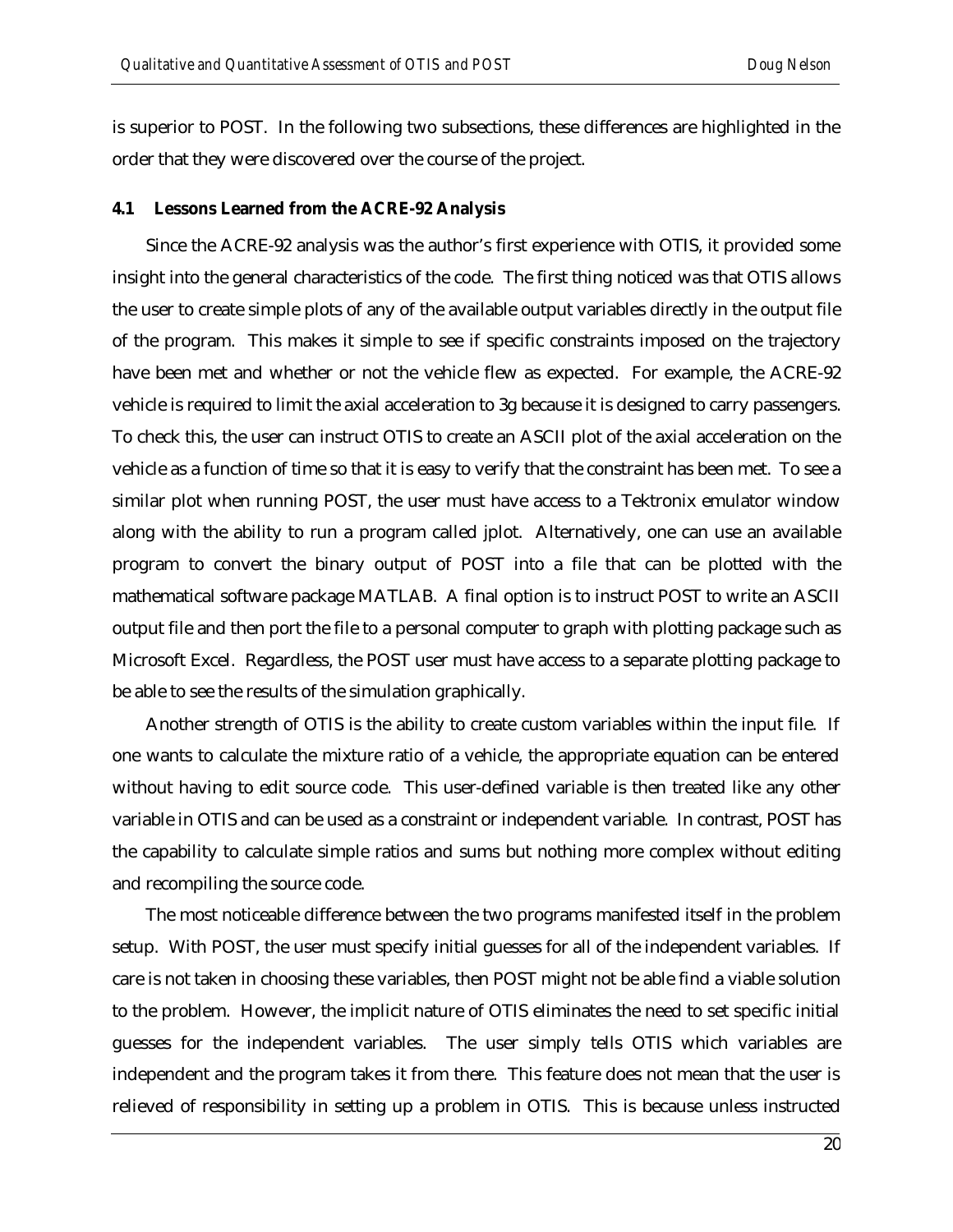is superior to POST. In the following two subsections, these differences are highlighted in the order that they were discovered over the course of the project.

#### **4.1 Lessons Learned from the ACRE-92 Analysis**

Since the ACRE-92 analysis was the author's first experience with OTIS, it provided some insight into the general characteristics of the code. The first thing noticed was that OTIS allows the user to create simple plots of any of the available output variables directly in the output file of the program. This makes it simple to see if specific constraints imposed on the trajectory have been met and whether or not the vehicle flew as expected. For example, the ACRE-92 vehicle is required to limit the axial acceleration to 3g because it is designed to carry passengers. To check this, the user can instruct OTIS to create an ASCII plot of the axial acceleration on the vehicle as a function of time so that it is easy to verify that the constraint has been met. To see a similar plot when running POST, the user must have access to a Tektronix emulator window along with the ability to run a program called jplot. Alternatively, one can use an available program to convert the binary output of POST into a file that can be plotted with the mathematical software package MATLAB. A final option is to instruct POST to write an ASCII output file and then port the file to a personal computer to graph with plotting package such as Microsoft Excel. Regardless, the POST user must have access to a separate plotting package to be able to see the results of the simulation graphically.

Another strength of OTIS is the ability to create custom variables within the input file. If one wants to calculate the mixture ratio of a vehicle, the appropriate equation can be entered without having to edit source code. This user-defined variable is then treated like any other variable in OTIS and can be used as a constraint or independent variable. In contrast, POST has the capability to calculate simple ratios and sums but nothing more complex without editing and recompiling the source code.

The most noticeable difference between the two programs manifested itself in the problem setup. With POST, the user must specify initial guesses for all of the independent variables. If care is not taken in choosing these variables, then POST might not be able find a viable solution to the problem. However, the implicit nature of OTIS eliminates the need to set specific initial guesses for the independent variables. The user simply tells OTIS which variables are independent and the program takes it from there. This feature does not mean that the user is relieved of responsibility in setting up a problem in OTIS. This is because unless instructed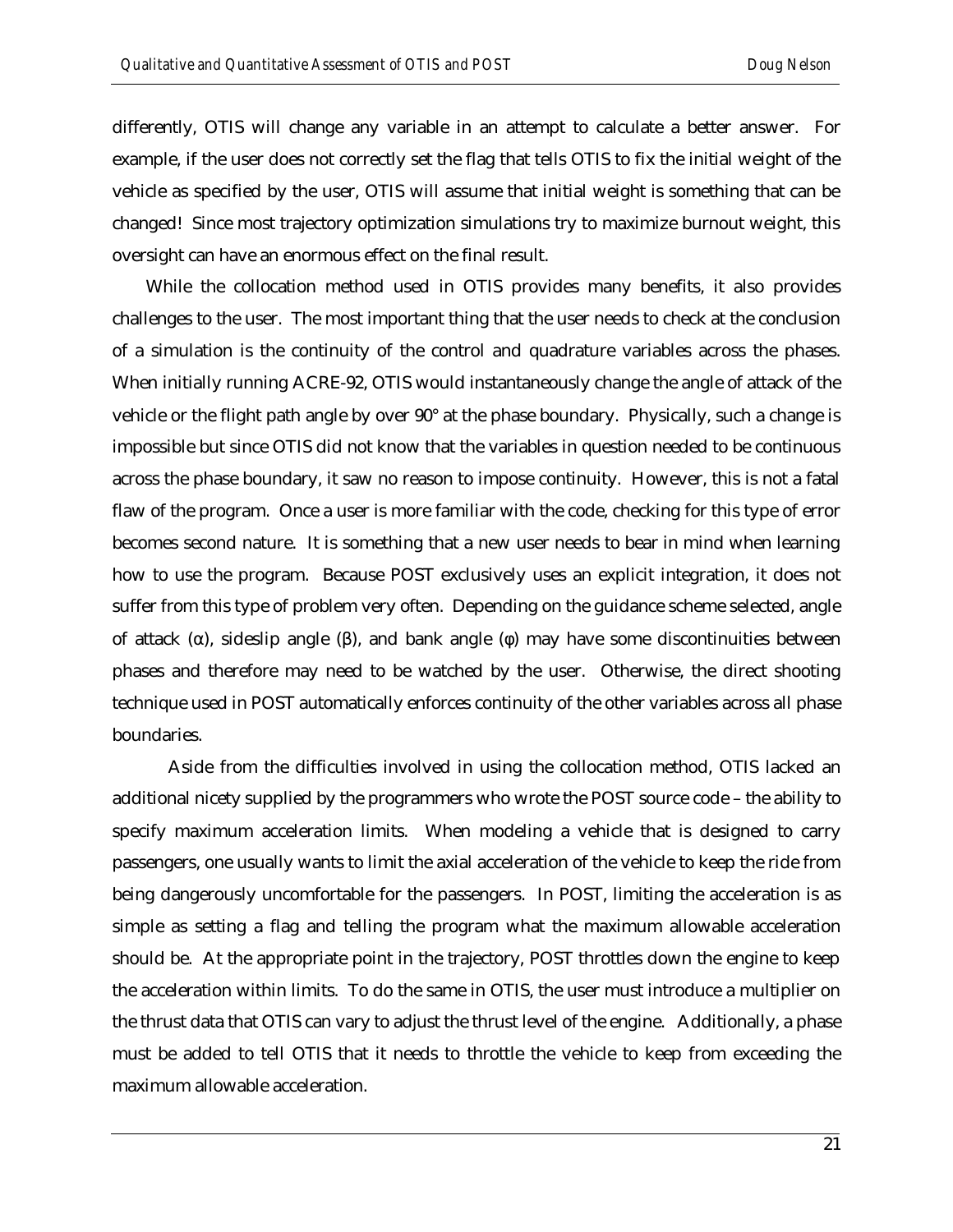differently, OTIS will change any variable in an attempt to calculate a better answer. For example, if the user does not correctly set the flag that tells OTIS to fix the initial weight of the vehicle as specified by the user, OTIS will assume that initial weight is something that can be changed! Since most trajectory optimization simulations try to maximize burnout weight, this oversight can have an enormous effect on the final result.

While the collocation method used in OTIS provides many benefits, it also provides challenges to the user. The most important thing that the user needs to check at the conclusion of a simulation is the continuity of the control and quadrature variables across the phases. When initially running ACRE-92, OTIS would instantaneously change the angle of attack of the vehicle or the flight path angle by over 90° at the phase boundary. Physically, such a change is impossible but since OTIS did not know that the variables in question needed to be continuous across the phase boundary, it saw no reason to impose continuity. However, this is not a fatal flaw of the program. Once a user is more familiar with the code, checking for this type of error becomes second nature. It is something that a new user needs to bear in mind when learning how to use the program. Because POST exclusively uses an explicit integration, it does not suffer from this type of problem very often. Depending on the guidance scheme selected, angle of attack (α), sideslip angle (β), and bank angle (φ) may have some discontinuities between phases and therefore may need to be watched by the user. Otherwise, the direct shooting technique used in POST automatically enforces continuity of the other variables across all phase boundaries.

Aside from the difficulties involved in using the collocation method, OTIS lacked an additional nicety supplied by the programmers who wrote the POST source code – the ability to specify maximum acceleration limits. When modeling a vehicle that is designed to carry passengers, one usually wants to limit the axial acceleration of the vehicle to keep the ride from being dangerously uncomfortable for the passengers. In POST, limiting the acceleration is as simple as setting a flag and telling the program what the maximum allowable acceleration should be. At the appropriate point in the trajectory, POST throttles down the engine to keep the acceleration within limits. To do the same in OTIS, the user must introduce a multiplier on the thrust data that OTIS can vary to adjust the thrust level of the engine. Additionally, a phase must be added to tell OTIS that it needs to throttle the vehicle to keep from exceeding the maximum allowable acceleration.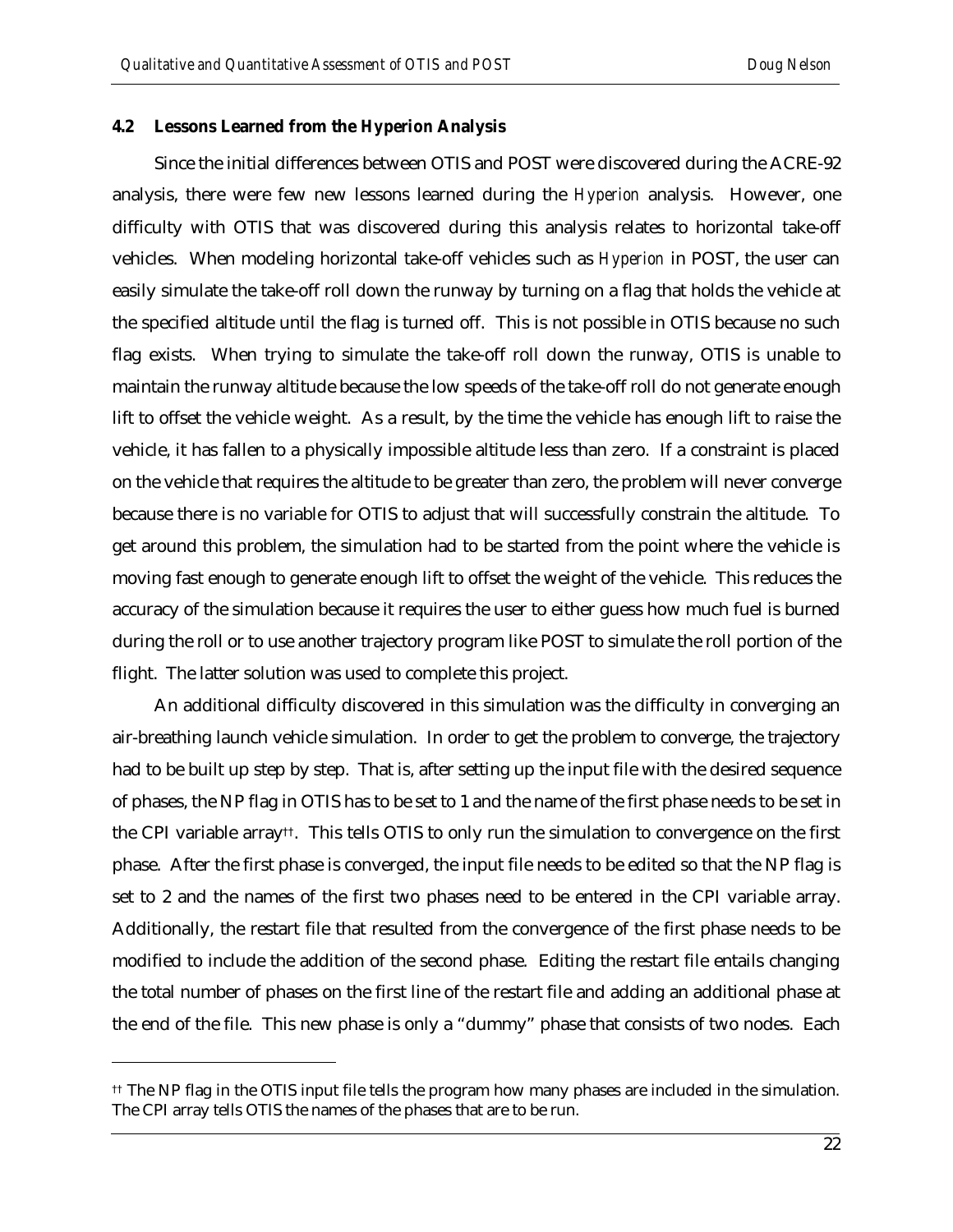#### **4.2 Lessons Learned from the** *Hyperion* **Analysis**

Since the initial differences between OTIS and POST were discovered during the ACRE-92 analysis, there were few new lessons learned during the *Hyperion* analysis. However, one difficulty with OTIS that was discovered during this analysis relates to horizontal take-off vehicles. When modeling horizontal take-off vehicles such as *Hyperion* in POST, the user can easily simulate the take-off roll down the runway by turning on a flag that holds the vehicle at the specified altitude until the flag is turned off. This is not possible in OTIS because no such flag exists. When trying to simulate the take-off roll down the runway, OTIS is unable to maintain the runway altitude because the low speeds of the take-off roll do not generate enough lift to offset the vehicle weight. As a result, by the time the vehicle has enough lift to raise the vehicle, it has fallen to a physically impossible altitude less than zero. If a constraint is placed on the vehicle that requires the altitude to be greater than zero, the problem will never converge because there is no variable for OTIS to adjust that will successfully constrain the altitude. To get around this problem, the simulation had to be started from the point where the vehicle is moving fast enough to generate enough lift to offset the weight of the vehicle. This reduces the accuracy of the simulation because it requires the user to either guess how much fuel is burned during the roll or to use another trajectory program like POST to simulate the roll portion of the flight. The latter solution was used to complete this project.

An additional difficulty discovered in this simulation was the difficulty in converging an air-breathing launch vehicle simulation. In order to get the problem to converge, the trajectory had to be built up step by step. That is, after setting up the input file with the desired sequence of phases, the NP flag in OTIS has to be set to 1 and the name of the first phase needs to be set in the CPI variable array††. This tells OTIS to only run the simulation to convergence on the first phase. After the first phase is converged, the input file needs to be edited so that the NP flag is set to 2 and the names of the first two phases need to be entered in the CPI variable array. Additionally, the restart file that resulted from the convergence of the first phase needs to be modified to include the addition of the second phase. Editing the restart file entails changing the total number of phases on the first line of the restart file and adding an additional phase at the end of the file. This new phase is only a "dummy" phase that consists of two nodes. Each

 $\overline{a}$ 

<sup>††</sup> The NP flag in the OTIS input file tells the program how many phases are included in the simulation. The CPI array tells OTIS the names of the phases that are to be run.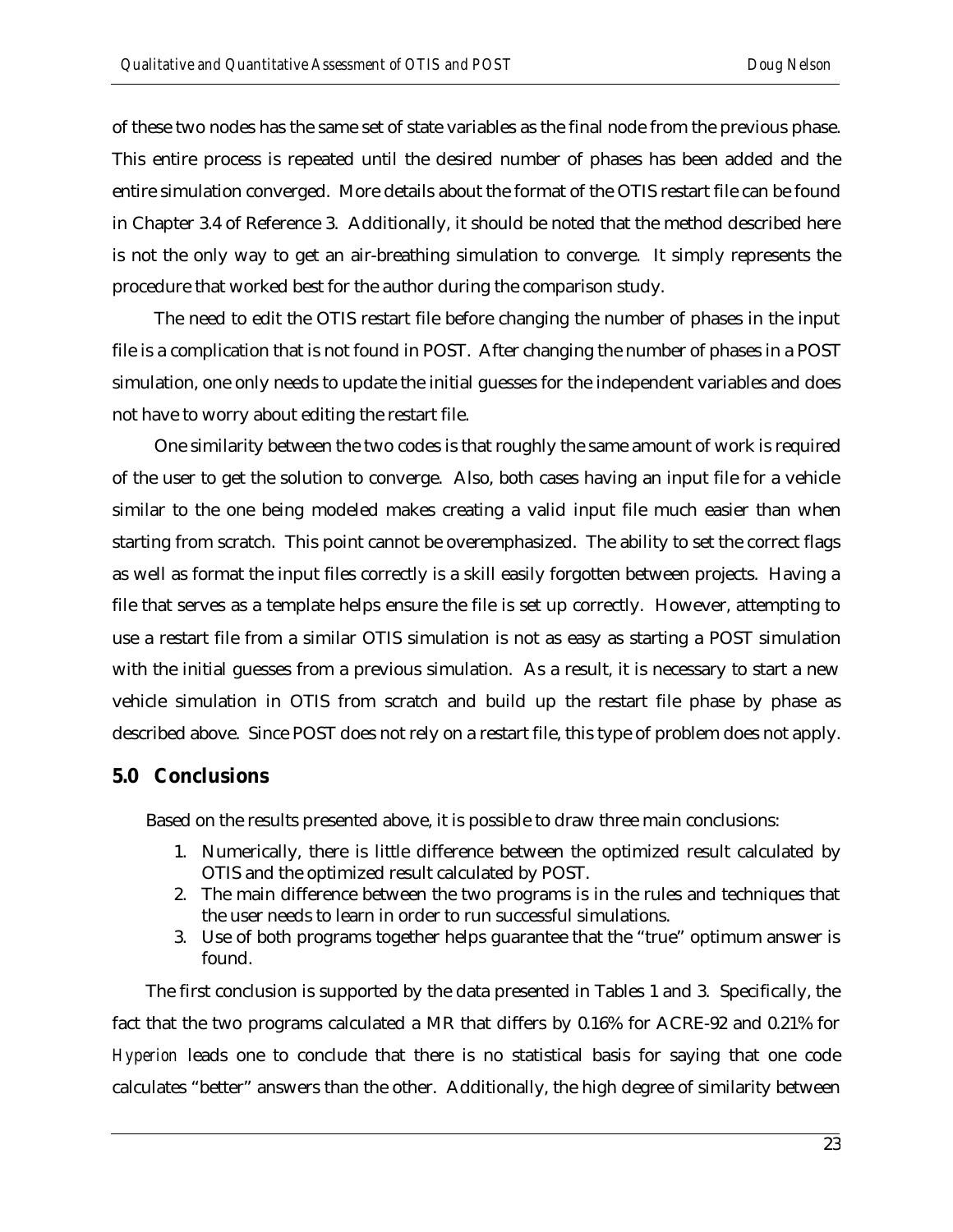of these two nodes has the same set of state variables as the final node from the previous phase. This entire process is repeated until the desired number of phases has been added and the entire simulation converged. More details about the format of the OTIS restart file can be found in Chapter 3.4 of Reference 3. Additionally, it should be noted that the method described here is not the only way to get an air-breathing simulation to converge. It simply represents the procedure that worked best for the author during the comparison study.

The need to edit the OTIS restart file before changing the number of phases in the input file is a complication that is not found in POST. After changing the number of phases in a POST simulation, one only needs to update the initial guesses for the independent variables and does not have to worry about editing the restart file.

One similarity between the two codes is that roughly the same amount of work is required of the user to get the solution to converge. Also, both cases having an input file for a vehicle similar to the one being modeled makes creating a valid input file much easier than when starting from scratch. This point cannot be overemphasized. The ability to set the correct flags as well as format the input files correctly is a skill easily forgotten between projects. Having a file that serves as a template helps ensure the file is set up correctly. However, attempting to use a restart file from a similar OTIS simulation is not as easy as starting a POST simulation with the initial guesses from a previous simulation. As a result, it is necessary to start a new vehicle simulation in OTIS from scratch and build up the restart file phase by phase as described above. Since POST does not rely on a restart file, this type of problem does not apply.

## **5.0 Conclusions**

Based on the results presented above, it is possible to draw three main conclusions:

- 1. Numerically, there is little difference between the optimized result calculated by OTIS and the optimized result calculated by POST.
- 2. The main difference between the two programs is in the rules and techniques that the user needs to learn in order to run successful simulations.
- 3. Use of both programs together helps guarantee that the "true" optimum answer is found.

The first conclusion is supported by the data presented in Tables 1 and 3. Specifically, the fact that the two programs calculated a MR that differs by 0.16% for ACRE-92 and 0.21% for *Hyperion* leads one to conclude that there is no statistical basis for saying that one code calculates "better" answers than the other. Additionally, the high degree of similarity between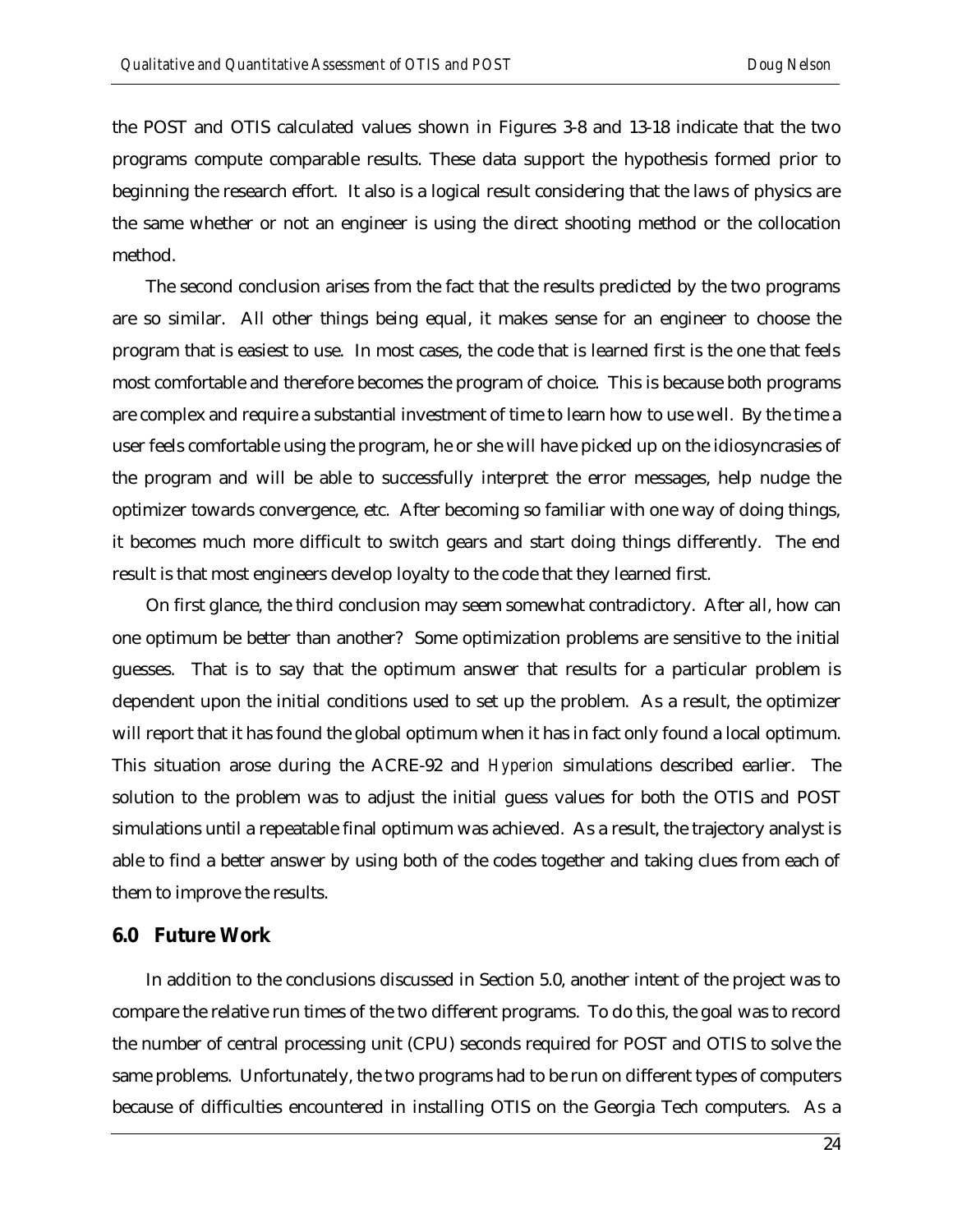the POST and OTIS calculated values shown in Figures 3-8 and 13-18 indicate that the two programs compute comparable results. These data support the hypothesis formed prior to beginning the research effort. It also is a logical result considering that the laws of physics are the same whether or not an engineer is using the direct shooting method or the collocation method.

The second conclusion arises from the fact that the results predicted by the two programs are so similar. All other things being equal, it makes sense for an engineer to choose the program that is easiest to use. In most cases, the code that is learned first is the one that feels most comfortable and therefore becomes the program of choice. This is because both programs are complex and require a substantial investment of time to learn how to use well. By the time a user feels comfortable using the program, he or she will have picked up on the idiosyncrasies of the program and will be able to successfully interpret the error messages, help nudge the optimizer towards convergence, etc. After becoming so familiar with one way of doing things, it becomes much more difficult to switch gears and start doing things differently. The end result is that most engineers develop loyalty to the code that they learned first.

On first glance, the third conclusion may seem somewhat contradictory. After all, how can one optimum be better than another? Some optimization problems are sensitive to the initial guesses. That is to say that the optimum answer that results for a particular problem is dependent upon the initial conditions used to set up the problem. As a result, the optimizer will report that it has found the global optimum when it has in fact only found a local optimum. This situation arose during the ACRE-92 and *Hyperion* simulations described earlier. The solution to the problem was to adjust the initial guess values for both the OTIS and POST simulations until a repeatable final optimum was achieved. As a result, the trajectory analyst is able to find a better answer by using both of the codes together and taking clues from each of them to improve the results.

#### **6.0 Future Work**

In addition to the conclusions discussed in Section 5.0, another intent of the project was to compare the relative run times of the two different programs. To do this, the goal was to record the number of central processing unit (CPU) seconds required for POST and OTIS to solve the same problems. Unfortunately, the two programs had to be run on different types of computers because of difficulties encountered in installing OTIS on the Georgia Tech computers. As a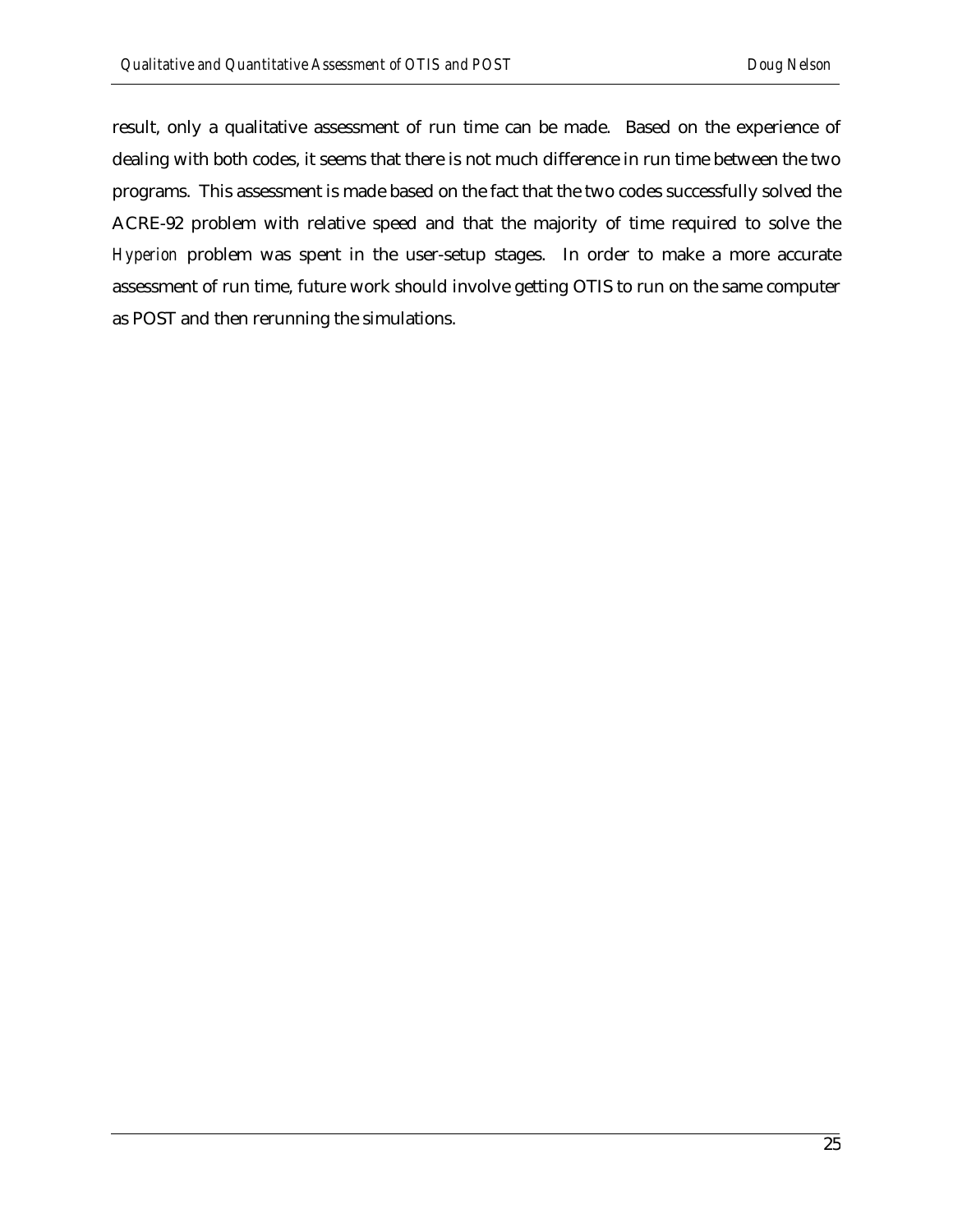result, only a qualitative assessment of run time can be made. Based on the experience of dealing with both codes, it seems that there is not much difference in run time between the two programs. This assessment is made based on the fact that the two codes successfully solved the ACRE-92 problem with relative speed and that the majority of time required to solve the *Hyperion* problem was spent in the user-setup stages. In order to make a more accurate assessment of run time, future work should involve getting OTIS to run on the same computer as POST and then rerunning the simulations.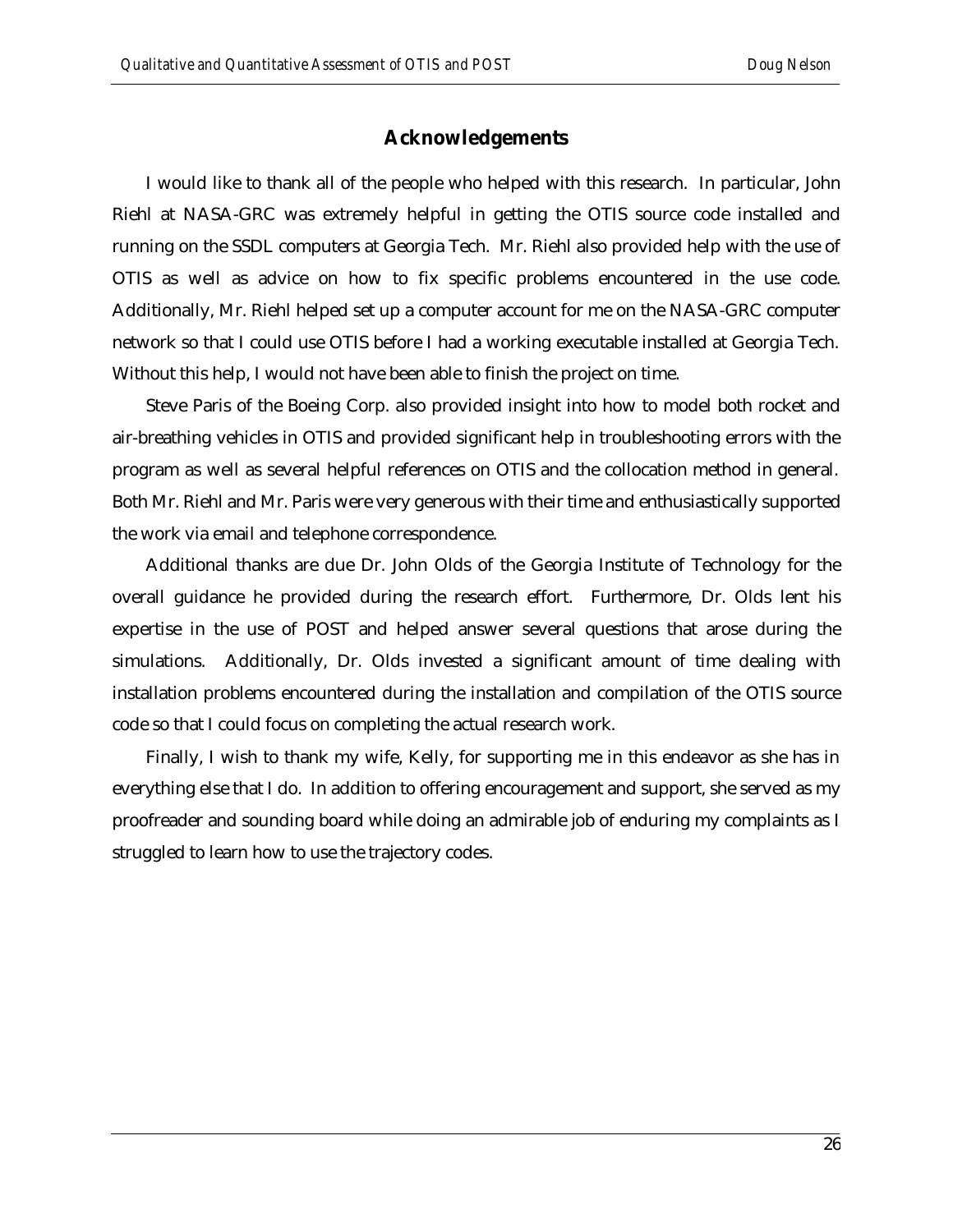## **Acknowledgements**

I would like to thank all of the people who helped with this research. In particular, John Riehl at NASA-GRC was extremely helpful in getting the OTIS source code installed and running on the SSDL computers at Georgia Tech. Mr. Riehl also provided help with the use of OTIS as well as advice on how to fix specific problems encountered in the use code. Additionally, Mr. Riehl helped set up a computer account for me on the NASA-GRC computer network so that I could use OTIS before I had a working executable installed at Georgia Tech. Without this help, I would not have been able to finish the project on time.

Steve Paris of the Boeing Corp. also provided insight into how to model both rocket and air-breathing vehicles in OTIS and provided significant help in troubleshooting errors with the program as well as several helpful references on OTIS and the collocation method in general. Both Mr. Riehl and Mr. Paris were very generous with their time and enthusiastically supported the work via email and telephone correspondence.

Additional thanks are due Dr. John Olds of the Georgia Institute of Technology for the overall guidance he provided during the research effort. Furthermore, Dr. Olds lent his expertise in the use of POST and helped answer several questions that arose during the simulations. Additionally, Dr. Olds invested a significant amount of time dealing with installation problems encountered during the installation and compilation of the OTIS source code so that I could focus on completing the actual research work.

Finally, I wish to thank my wife, Kelly, for supporting me in this endeavor as she has in everything else that I do. In addition to offering encouragement and support, she served as my proofreader and sounding board while doing an admirable job of enduring my complaints as I struggled to learn how to use the trajectory codes.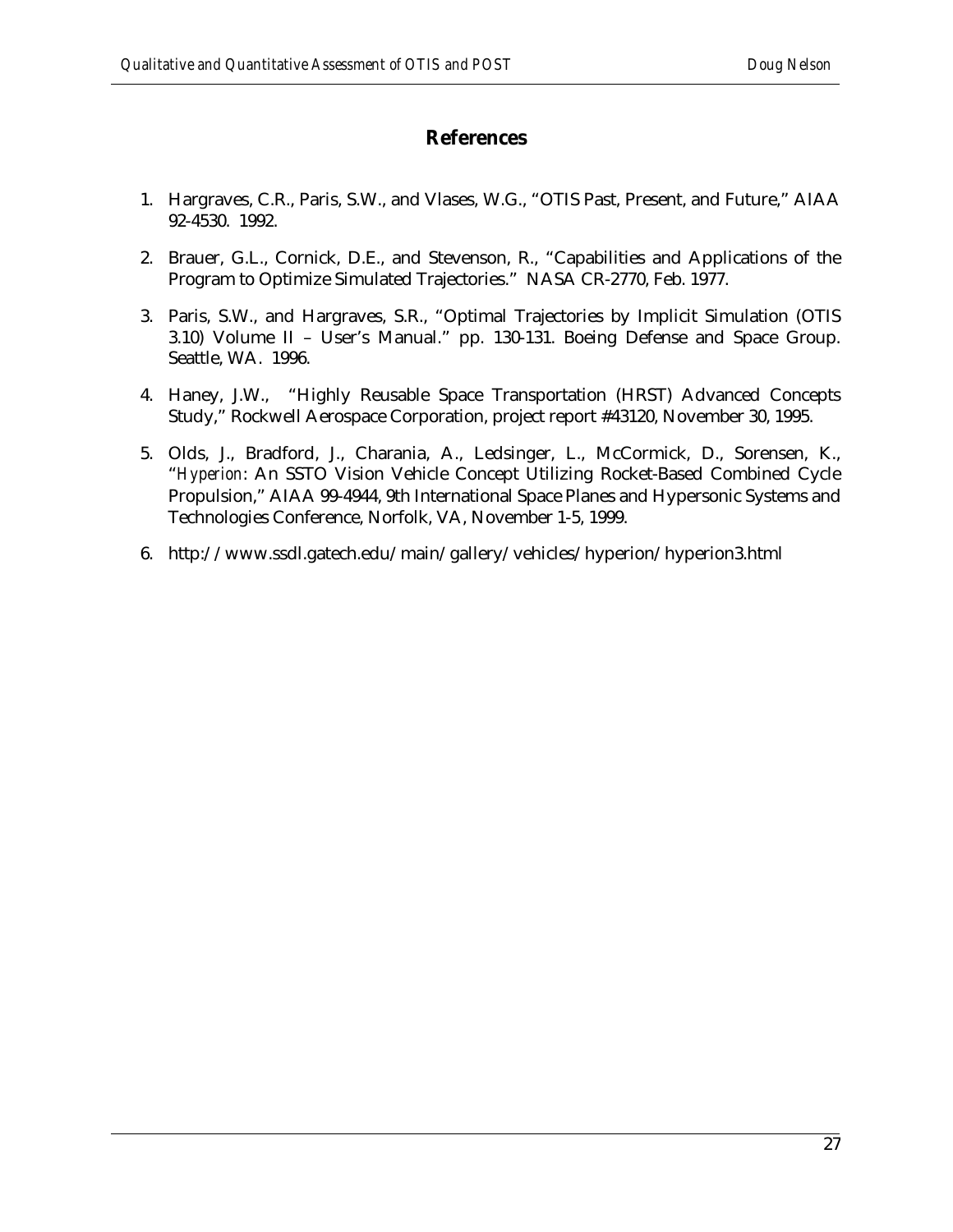## **References**

- 1. Hargraves, C.R., Paris, S.W., and Vlases, W.G., "OTIS Past, Present, and Future," AIAA 92-4530. 1992.
- 2. Brauer, G.L., Cornick, D.E., and Stevenson, R., "Capabilities and Applications of the Program to Optimize Simulated Trajectories." NASA CR-2770, Feb. 1977.
- 3. Paris, S.W., and Hargraves, S.R., "Optimal Trajectories by Implicit Simulation (OTIS 3.10) Volume II – User's Manual." pp. 130-131. Boeing Defense and Space Group. Seattle, WA. 1996.
- 4. Haney, J.W., "Highly Reusable Space Transportation (HRST) Advanced Concepts Study," Rockwell Aerospace Corporation, project report #43120, November 30, 1995.
- 5. Olds, J., Bradford, J., Charania, A., Ledsinger, L., McCormick, D., Sorensen, K., "*Hyperion*: An SSTO Vision Vehicle Concept Utilizing Rocket-Based Combined Cycle Propulsion," AIAA 99-4944, 9th International Space Planes and Hypersonic Systems and Technologies Conference, Norfolk, VA, November 1-5, 1999.
- 6. http://www.ssdl.gatech.edu/main/gallery/vehicles/hyperion/hyperion3.html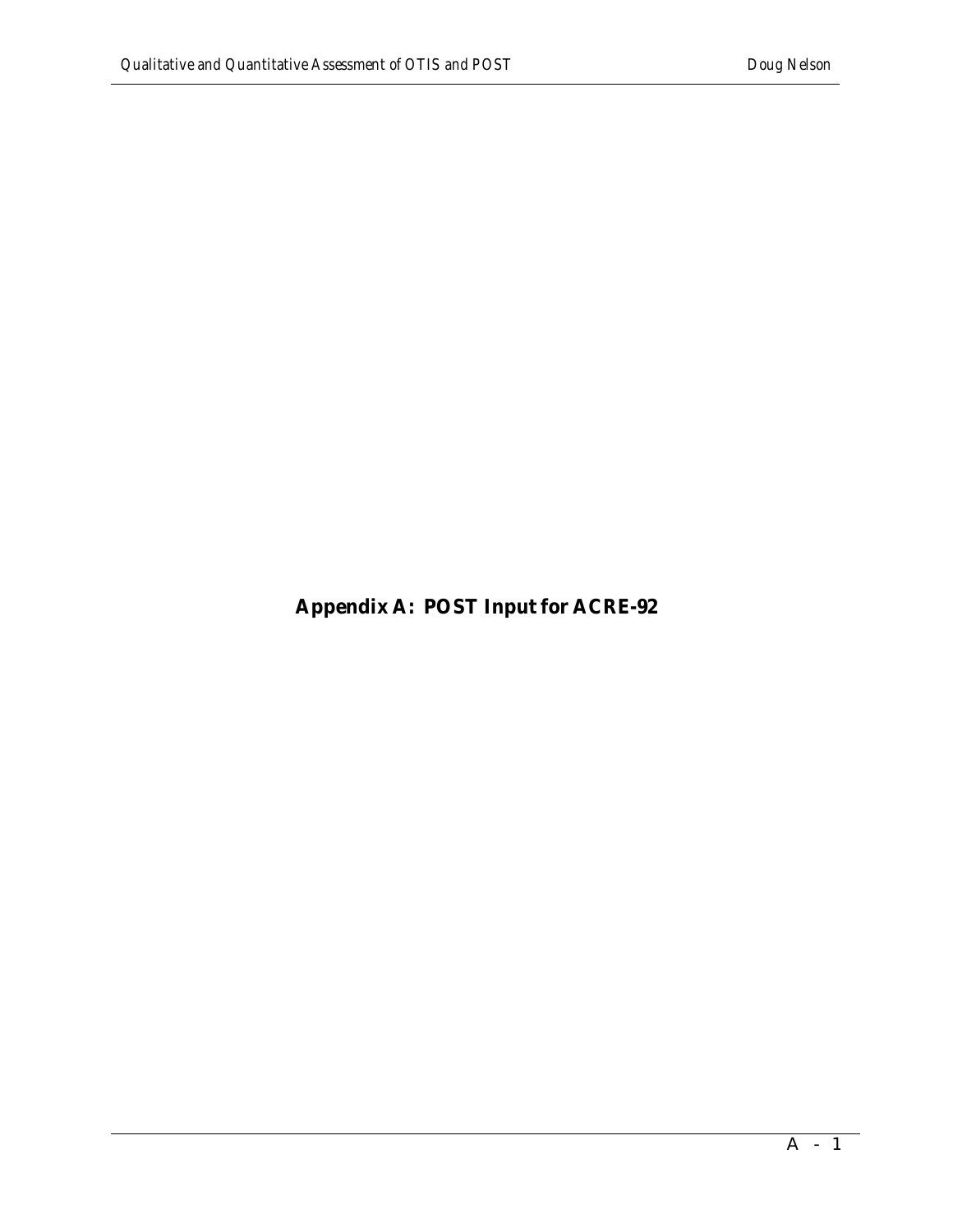**Appendix A: POST Input for ACRE-92**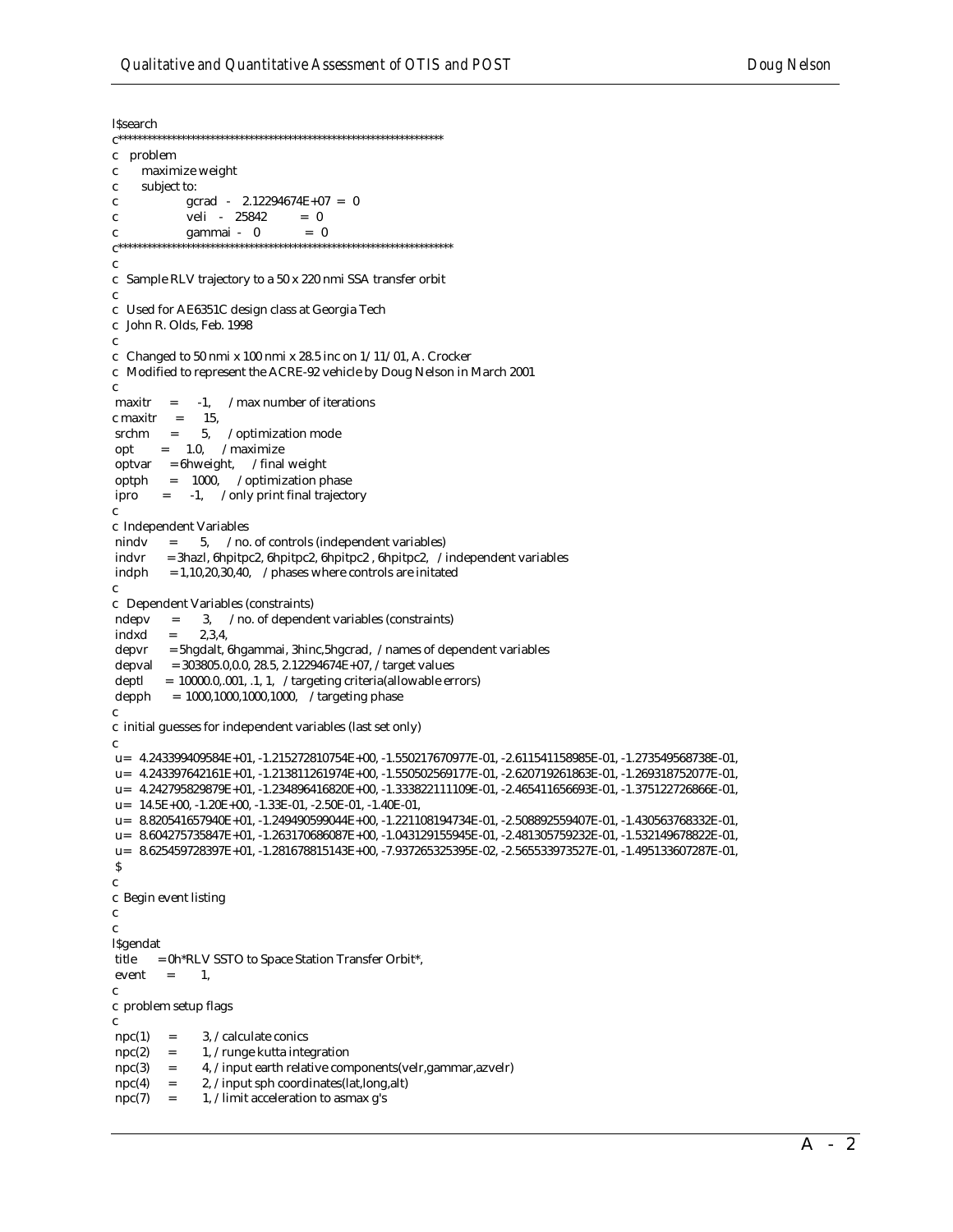**ISsearch**  $\mathbf{c}$ problem maximize weight  $\mathbf c$  ${\bf c}$ subject to: gcrad -  $2.12294674E+07 = 0$  $\mathbf{c}$ veli - 25842  $= 0$  $\mathbf{c}$ gammai - 0  $= 0$  $\mathbf{c}$ }<br> $C^{****************}$  $\mathbf{c}$  $\mathbf{c}$ Sample RLV trajectory to a 50 x 220 nmi SSA transfer orbit  $\mathbf{c}$ c Used for AE6351C design class at Georgia Tech c John R. Olds, Feb. 1998  $\mathbf{c}$ c Changed to 50 nmi x 100 nmi x 28.5 inc on  $1/11/01$ , A. Crocker c Modified to represent the ACRE-92 vehicle by Doug Nelson in March 2001  $\mathbf c$  $maxitr =$  $-1,$ /max number of iterations c maxitr  $=$ 15,  $\operatorname{srchm}$  = 5, /optimization mode  $=$  1.0,  $/$ maximize opt optvar =  $6$ hweight, /final weight optph =  $1000$ , /optimization phase  $= -1$ , /only print final trajectory ipro  $\mathbf c$ c Independent Variables 5, /no. of controls (independent variables) nindy  $=$ indvr = 3hazl, 6hpitpc2, 6hpitpc2, 6hpitpc2, 6hpitpc2, /independent variables indph  $= 1,10,20,30,40,$  /phases where controls are initated  $\mathbf{c}$ c Dependent Variables (constraints) 3, /no. of dependent variables (constraints) ndepv  $\equiv$ indxd  $2,3,4,$  $=$ depvr = 5hgdalt, 6hgammai, 3hinc, 5hgcrad, /names of dependent variables depval =  $303805.0, 0.0, 28.5, 2.12294674E+07$ , /target values deptl = 10000.0,.001, .1, 1, /targeting criteria(allowable errors) depph = 1000,1000,1000,1000, /targeting phase  $\mathbf c$ c initial guesses for independent variables (last set only)  $\mathbf c$ u= 4.243399409584E+01, -1.215272810754E+00, -1.550217670977E-01, -2.611541158985E-01, -1.273549568738E-01, u= 4.243397642161E+01, -1.213811261974E+00, -1.550502569177E-01, -2.620719261863E-01, -1.269318752077E-01, u= 4.242795829879E+01, -1.234896416820E+00, -1.333822111109E-01, -2.465411656693E-01, -1.375122726866E-01, u= 14.5E+00, -1.20E+00, -1.33E-01, -2.50E-01, -1.40E-01, u= 8.820541657940E+01, -1.249490599044E+00, -1.221108194734E-01, -2.508892559407E-01, -1.430563768332E-01, u= 8.604275735847E+01, -1.263170686087E+00, -1.043129155945E-01, -2.481305759232E-01, -1.532149678822E-01, u= 8.625459728397E+01, -1.281678815143E+00, -7.937265325395E-02, -2.565533973527E-01, -1.495133607287E-01,  $\boldsymbol{\mathsf{S}}$  $\mathbf{c}$ c Begin event listing  $\mathbf{c}$  $\mathbf{c}$ **l**\$gendat title = 0h\*RLV SSTO to Space Station Transfer Orbit\*,  $event =$ 1.  $\mathbf{c}$ c problem setup flags 3, /calculate conics  $\text{npc}(1) =$  $\rm{npc(2)}$ 1, /runge kutta integration  $=$ 4, /input earth relative components(velr, gammar, azvelr)  $npc(3)$  $\equiv$  $npc(4)$  $\equiv$ 2, /input sph coordinates(lat,long,alt) 1, /limit acceleration to asmax g's  $\text{npc}(7) =$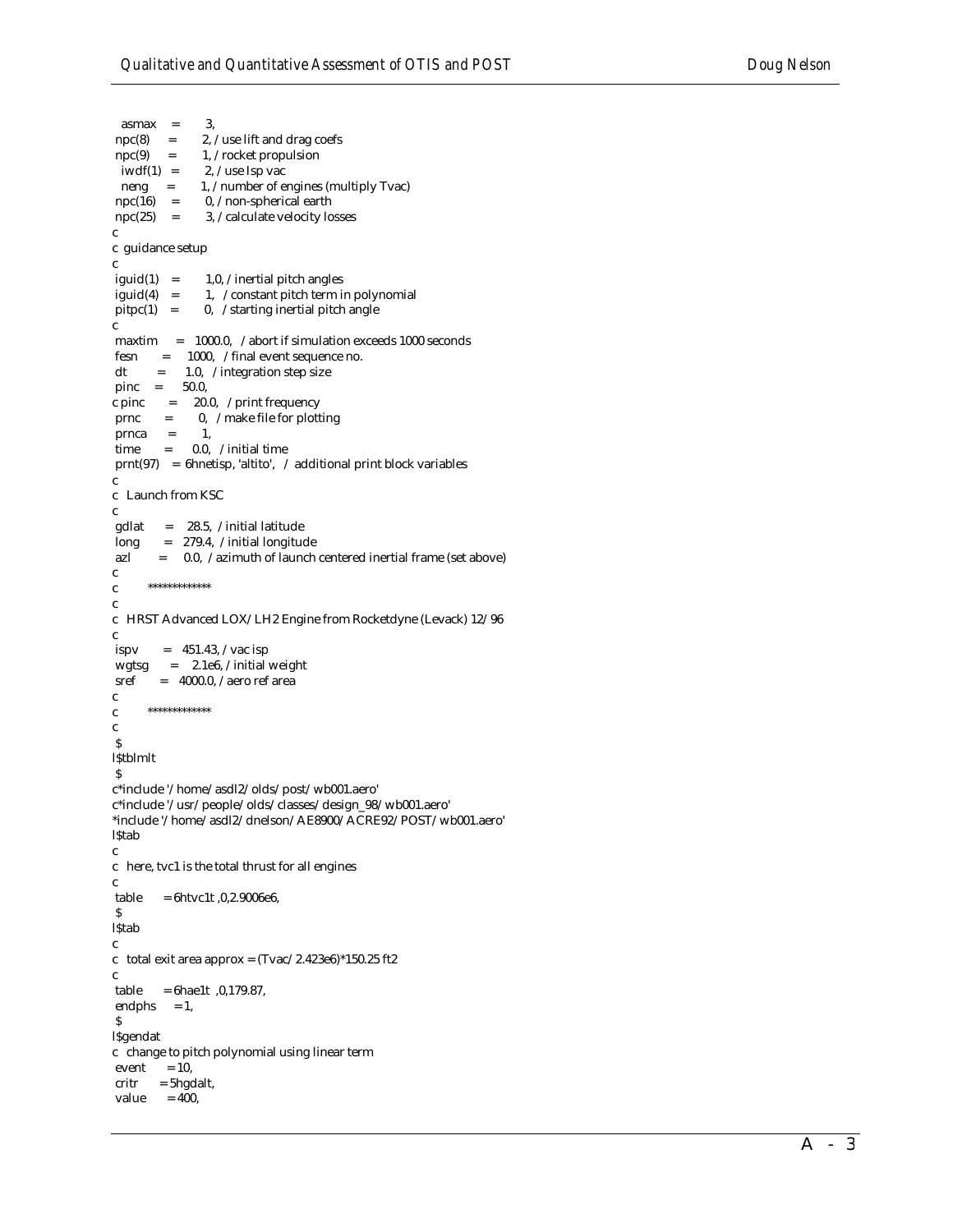```
\text{asmax} = 3.
npc(8) = 2, /use lift and drag coefs
\text{mpc}(9) = 1, / \text{rocket population}iwdf(1) = 2, /use Isp vac
neng = 1, /number of engines (multiply Tvac)<br>npc(16) = 0, /non-spherical earth
                0, /non-spherical earth
\text{npc}(25) = 3, /calculate velocity losses
c
c guidance setup
c
iguid(1) = 1,0, /inertial pitch angles
iguid(4) = 1, /constant pitch term in polynomial
pitpc(1) = 0, /starting inertial pitch angle
c
 maxtim = 1000.0, /abort if simulation exceeds 1000 seconds
 fesn = 1000, /final event sequence no.
dt = 1.0, /integration step size
 pinc = 50.0,
c pinc = 20.0, /print frequency
prnc = 0, /make file for plotting
prnca = 1,
 time = 0.0, /initial time
 prnt(97) = 6hnetisp, 'altito', / additional print block variables
c
c Launch from KSC
c<br>gdlat
       = 28.5, /initial latitude
 long = 279.4, /initial longitude
 azl = 0.0, /azimuth of launch centered inertial frame (set above)
c
c *************
c
c HRST Advanced LOX/LH2 Engine from Rocketdyne (Levack) 12/96
c
ispv = 451.43, /vac isp
wgtsg = 2.1e6, /initial weight
sref = 4000.0, /aero ref areac
c *************
c
 $
l$tblmlt
 $
c*include '/home/asdl2/olds/post/wb001.aero'
c*include '/usr/people/olds/classes/design_98/wb001.aero'
*include '/home/asdl2/dnelson/AE8900/ACRE92/POST/wb001.aero'
l$tab
c
c here, tvc1 is the total thrust for all engines
c
 table = 6htvc1t ,0,2.9006e6,
 $
l$tab
c
c total exit area approx = (Tvac/2.423e6)*150.25 ft2
c
 table = 6hae1t ,0,179.87,
endphs = 1,
 $
l$gendat
c change to pitch polynomial using linear term
event = 10,
critr = 5hgdalt,
value = 400,
```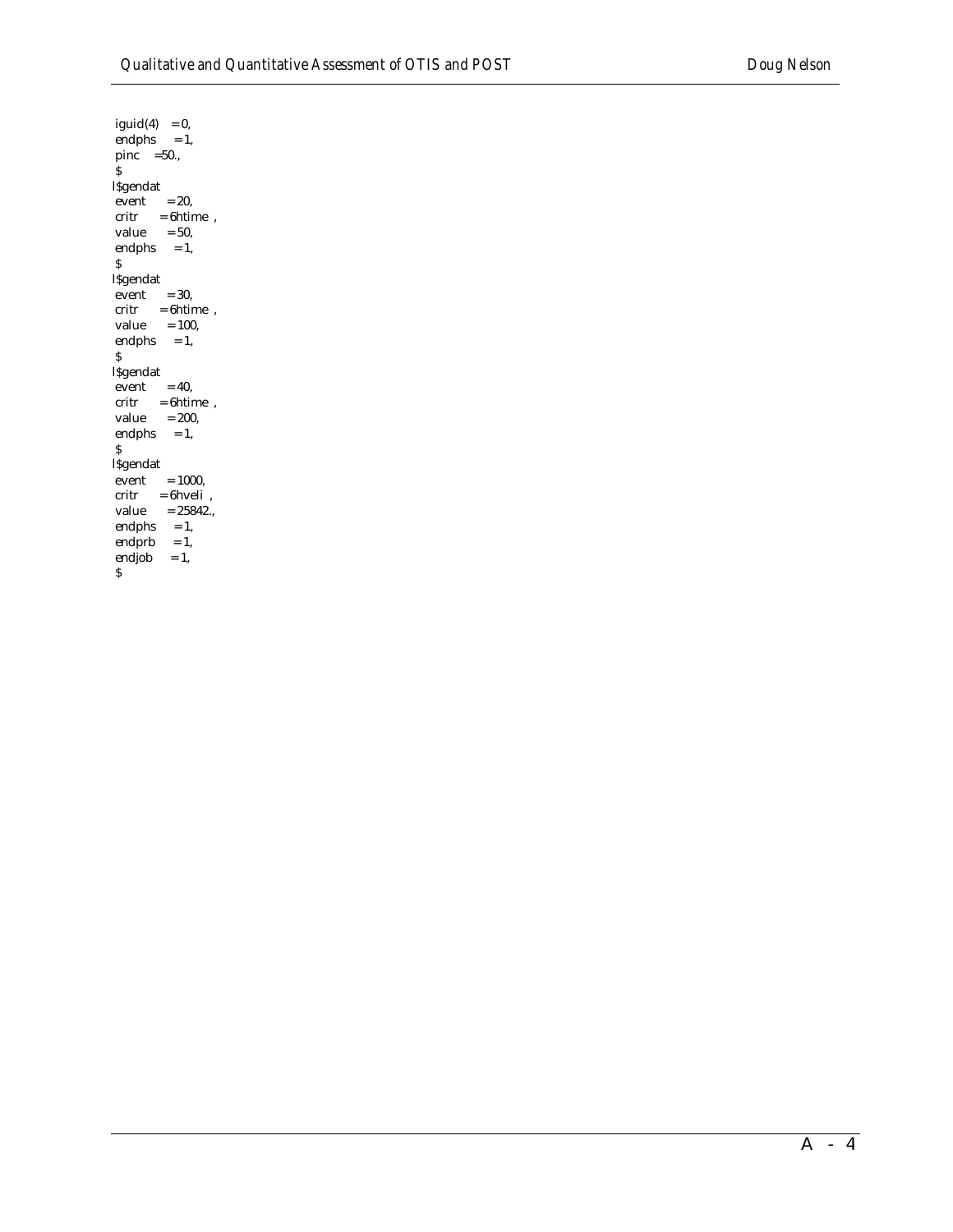$\mbox{i} \mbox{guid(4)} \quad = 0,$  $endphs = 1,$ pinc  $=50.$  \$ l\$gendat  $event = 20,$  $\begin{array}{lll} \mbox{critr} & = \mbox{6htime}\ \ , \end{array}$ value  $= 50$ ,  $endphs = 1$ , \$ l\$gendat  $\text{event} = 30,$  $critr = 6$ htime,  $value = 100,$  $\mbox{endphs}\quad = 1,$  $\mathsf{S}$ l\$gendat  $\text{event} = 40,$  $critr = 6$ htime, value  $= 200$ , endphs  $= 1$ , \$ l\$gendat  $\text{event} = 1000,$  $critr = 6$ hveli,  $value$  = 25842., endphs  $= 1$ , endprb  $= 1$ , endjob  $= 1$ ,  $\boldsymbol{\mathsf{S}}$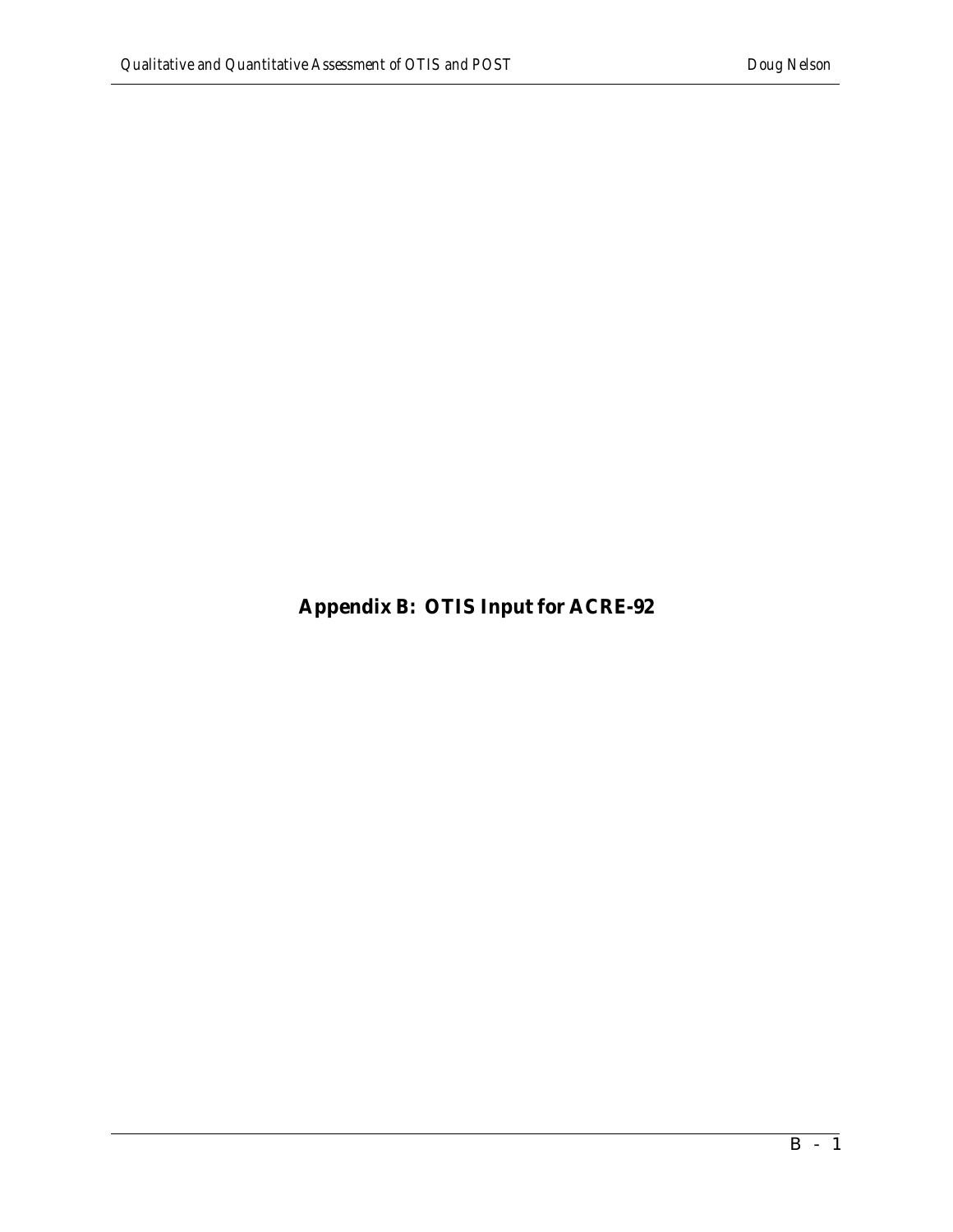**Appendix B: OTIS Input for ACRE-92**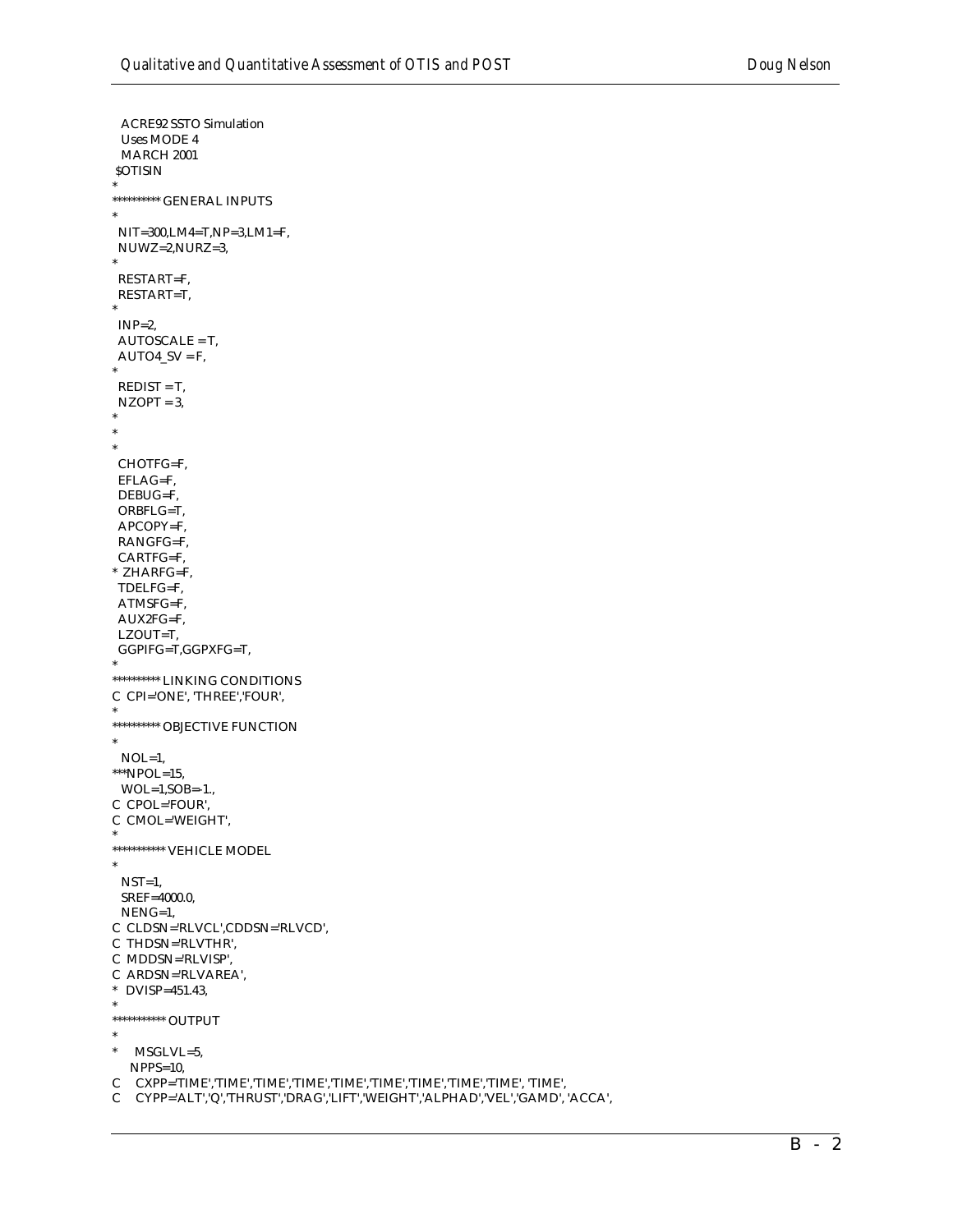```
ACRE92 SSTO Simulation
 Uses MODE 4
 MARCH 2001
SOTISIN
********** GENERAL INPUTS
\astNIT=300, LM4=T, NP=3, LM1=F,NUWZ=2,NURZ=3,
 RESTART=F,
RESTART=T,
INP=2,
AUTOSCALE = T,
AUTO4_SV = F,
REDIST = T,NZOPT = 3,
CHOTFG=F,
 EFLAG=F,
 DEBUG=F,
 ORBFLG=T,
 APCOPY=F.
 RANGFG=F,
 CARTFG=F,
* ZHARFG=F,
TDELFG=F,
 ATMSFG=F,
AUX2FG=F.
LZOUT=T,
GGPIFG=T,GGPXFG=T,
********** LINKING CONDITIONS
C CPI='ONE', 'THREE', 'FOUR',
********** OBJECTIVE FUNCTION
\astNOL=1,
***NPOL=15,
 WOL=1, SOB=-1.C CPOL='FOUR',
C CMOL='WEIGHT',
*********** VEHICLE MODEL
\astNST=1,SREF=4000.0,
 NENG=1,
C CLDSN='RLVCL',CDDSN='RLVCD',
C THDSN='RLVTHR',
C MDDSN='RLVISP',
C ARDSN='RLVAREA',
* DVISP=451.43,
\ast*********** OUTPUT
\astMSGLVL=5,
  NPPS=10,
C CXPP='TIME','TIME','TIME','TIME','TIME','TIME','TIME','TIME','TIME', 'TIME', 'TIME',
```
C CYPP='ALT','Q','THRUST','DRAG','LIFT','WEIGHT','ALPHAD','VEL','GAMD', 'ACCA',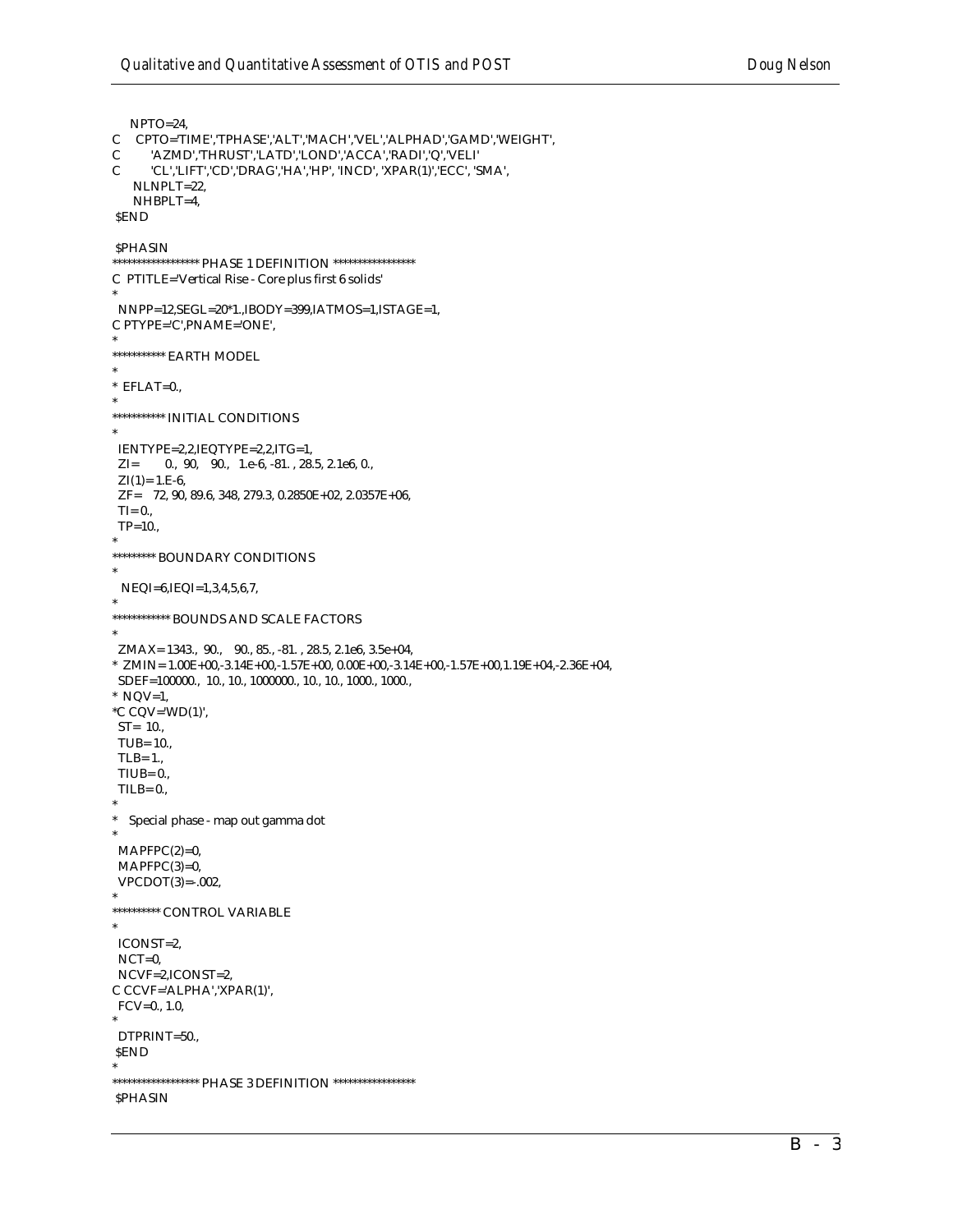```
NPTO=24.
  CPTO='TIME','TPHASE','ALT','MACH','VEL','ALPHAD','GAMD','WEIGHT',
\mathsf{C}'AZMD','THRUST','LATD','LOND','ACCA','RADI','Q','VELI'
\mathcal{C}'CL','LIFT','CD','DRAG','HA','HP', 'INCD', 'XPAR(1)','ECC', 'SMA',
\mathcal{C}_{\mathcal{C}}NLNPLT=22,
   NHBPLT=4,
SEND
SPHASIN
****************** PHASE 1 DEFINITION *****************
C PTITLE='Vertical Rise - Core plus first 6 solids'
NNPP=12,SEGL=20*1.,IBODY=399,IATMOS=1,ISTAGE=1,
C PTYPE='C', PNAME='ONE',
*********** EARTH MODEL
^\ast EFLAT=0.,
*********** INITIAL CONDITIONS
IENTYPE=2,2,IEQTYPE=2,2,ITG=1,
ZI = 0., 90, 90., 1.e-6, -81., 28.5, 2.1e6, 0.,
 ZI(1)=1.E-6,
 ZF= 72, 90, 89.6, 348, 279.3, 0.2850E+02, 2.0357E+06,
 TI = 0.,TP=10.********* BOUNDARY CONDITIONS
 NEQI=6,IEQI=1,3,4,5,6,7,
************ BOUNDS AND SCALE FACTORS
ZMAX = 1343., 90., 90., 85., -81., 28.5, 2.1e6, 3.5e+04,* ZMIN= 1.00E+00,-3.14E+00,-1.57E+00, 0.00E+00,-3.14E+00,-1.57E+00,1.19E+04,-2.36E+04,^\ast NQV=1,
^{\ast}C CQV='WD(1)',
ST = 10.TUB= 10.,
TLB = 1.TIUB = 0.TILB=0.* Special phase - map out gamma dot
MAPFPC(2)=0.MAPFPC(3)=0,VPCDOT(3) = -.002,********** CONTROL VARIABLE
ICONST=2,
NCT=0,
NCVF=2,ICONST=2,
C CCVF='ALPHA','XPAR(1)',
FCV=0., 1.0,DTPRINT=50.,
\pmb{\text{SEND}}****************** PHASE 3 DEFINITION *****************
SPHASIN
```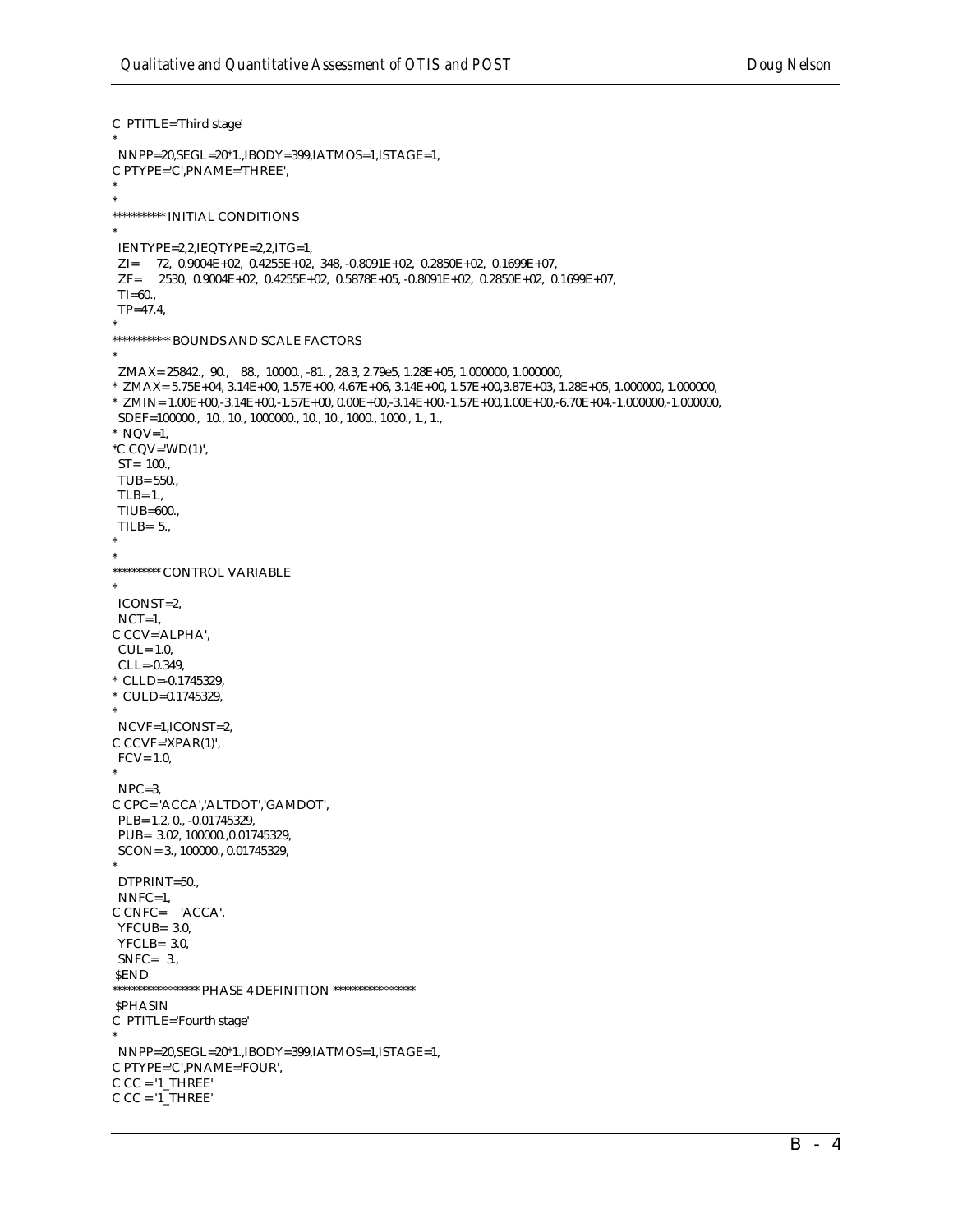```
C PTITLE='Third stage'
NNPP=20,SEGL=20*1.,IBODY=399,IATMOS=1,ISTAGE=1,
C PTYPE='C', PNAME='THREE',
*********** INITIAL CONDITIONS
IENTYPE=2,2,IEQTYPE=2,2,ITG=1,
\begin{array}{lll} \rm{ZI} = & 72, \ 0.9004E+02, \ 0.4255E+02, \ 348, \ -0.8091E+02, \ 0.2850E+02, \ 0.1699E+07, \\ \rm{ZF} = & 2530, \ 0.9004E+02, \ 0.4255E+02, \ 0.5878E+05, \ -0.8091E+02, \ 0.2850E+02, \ 0.1699E+07, \end{array}TI = 60...TP = 47.4************ BOUNDS AND SCALE FACTORS
ZMAX= 25842., 90., 88., 10000., -81., 28.3, 2.79e5, 1.28E+05, 1.000000, 1.000000,
* ZMAX= 5.75E+04, 3.14E+00, 1.57E+00, 4.67E+06, 3.14E+00, 1.57E+00,3.87E+03, 1.28E+05, 1.000000, 1.000000,
* ZMIN= 1.00E+00,-3.14E+00,-1.57E+00, 0.00E+00,-3.14E+00,-1.57E+00,1.00E+00,-6.70E+04,-1.000000,-1.000000,* NQV=1,
^{\ast}C CQV='WD(1)',
ST = 100.TUB= 550.,
 TLB = 1.TIUB=600.,
 TILB=5.
********** CONTROL VARIABLE
ICONST=2.
NCT=1,
C CCV='ALPHA',
CUL = 1.0,
 CLL=-0.349* CLLD=-0.1745329,
* CULD=0.1745329,
NCVF=1,ICONST=2,
C CCVF='XPAR(1)',
FCV = 1.0NPC=3C CPC='ACCA','ALTDOT','GAMDOT',
 PLB= 1.2, 0., -0.01745329,
PUB= 3.02, 100000., 0.01745329,
SCON = 3., 100000., 0.01745329.DTPRINT=50.,
NNFC=1,
C CNFC= 'ACCA',
 YFCUB = 3.0YFCLB = 3.0SNFC= 3.SEND
****************** PHASE 4 DEFINITION *****************
SPHASIN
C PTITLE='Fourth stage'
NNPP=20, SEGL=20*1., IBODY=399, IATMOS=1, ISTAGE=1,
C PTYPE='C', PNAME='FOUR',
CC = '1_THREE'
C CC = '1 THREE'
```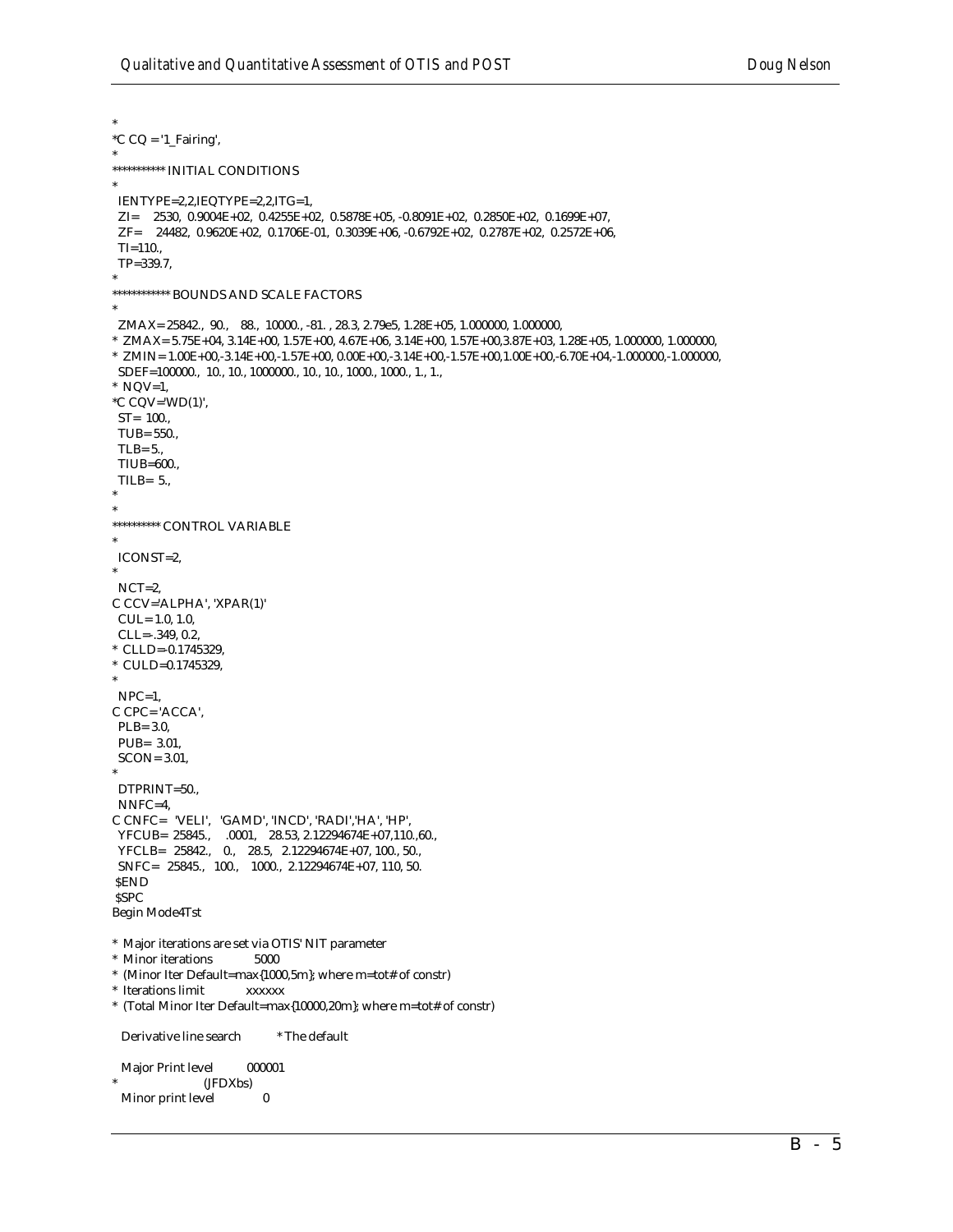$^{\ast}$ C CQ = '1\_Fairing',  $\ast$ IENTYPE=2,2,IEQTYPE=2,2,ITG=1,  $ZI = 2530, 0.9004E + 02, 0.4255E + 02, 0.5878E + 05, -0.8091E + 02, 0.2850E + 02, 0.1699E + 07,$  $ZF = 24482, 0.9620E+02, 0.1706E-01, 0.3039E+06, -0.6792E+02, 0.2787E+02, 0.2572E+06,$  $TI=110.$  $TP = 339.7$ , \*\*\*\*\*\*\*\*\*\*\*\* BOUNDS AND SCALE FACTORS  $\ast$  $ZMAX = 25842, 90, 88, 10000, -81, 28.3, 2.79e5, 1.28E+05, 1.000000, 1.000000,$ \* ZMAX= 5.75E+04, 3.14E+00, 1.57E+00, 4.67E+06, 3.14E+00, 1.57E+00,3.87E+03, 1.28E+05, 1.000000, 1.000000,  $\hbox{ ``ZMIN=1.00E+00,-3.14E+00,-1.57E+00, 0.00E+00,-3.14E+00,-1.57E+00,1.00E+00,-6.70E+04,-1.000000,-1.000000,-1.000000,-1.000000,-1.000000,-1.000000,-1.000000,-1.000000,-1.000000,-1.000000,-1.000000,-1.000000,-1.000000,-1.000000,-1.000000,-1.00$  $*$  NQV=1,  $^{\ast}$ C CQV='WD(1)',  $ST = 100.$ TUB= 550..  $TLB = 5...$ TIUB=600., TILB= $5.,$ \*\*\*\*\*\*\*\*\*\* CONTROL VARIABLE ICONST=2,  $NCT=2$ . C CCV='ALPHA', 'XPAR(1)'  $CUL = 1.0, 1.0,$  $CLL=-.349, 0.2,$ \* CLLD=-0.1745329, \* CULD=0.1745329.  $NPC=1$ , C CPC='ACCA',  $PLB = 3.0,$ PUB= 3.01,  $SCON = 3.01$ , DTPRINT=50.,  $NNFC=4$ ,  $\begin{tabular}{ll} $C$ CNFC = 'VELI', 'GAMD', 'INCD', 'RADI', 'HA', 'HP', \\ $YFCUB = 25845., \quad .0001, \quad 28.53, \quad 2.12294674E+07, 110., 60., \end{tabular}$ YFCLB= 25842., 0., 28.5, 2.12294674E+07, 100., 50., SNFC= 25845., 100., 1000., 2.12294674E+07, 110, 50.  $\pmb{\text{SEND}}$ **SSPC** Begin Mode4Tst \* Major iterations are set via OTIS' NIT parameter  $^\ast\,$  Minor iterations 5000 \* (Minor Iter Default=max{1000,5m}; where m=tot# of constr) \* Iterations limit **XXXXXX** \* (Total Minor Iter Default=max{10000,20m}; where m=tot# of constr) Derivative line search \* The default Major Print level 000001 (JFDXbs)  $\bf{0}$ Minor print level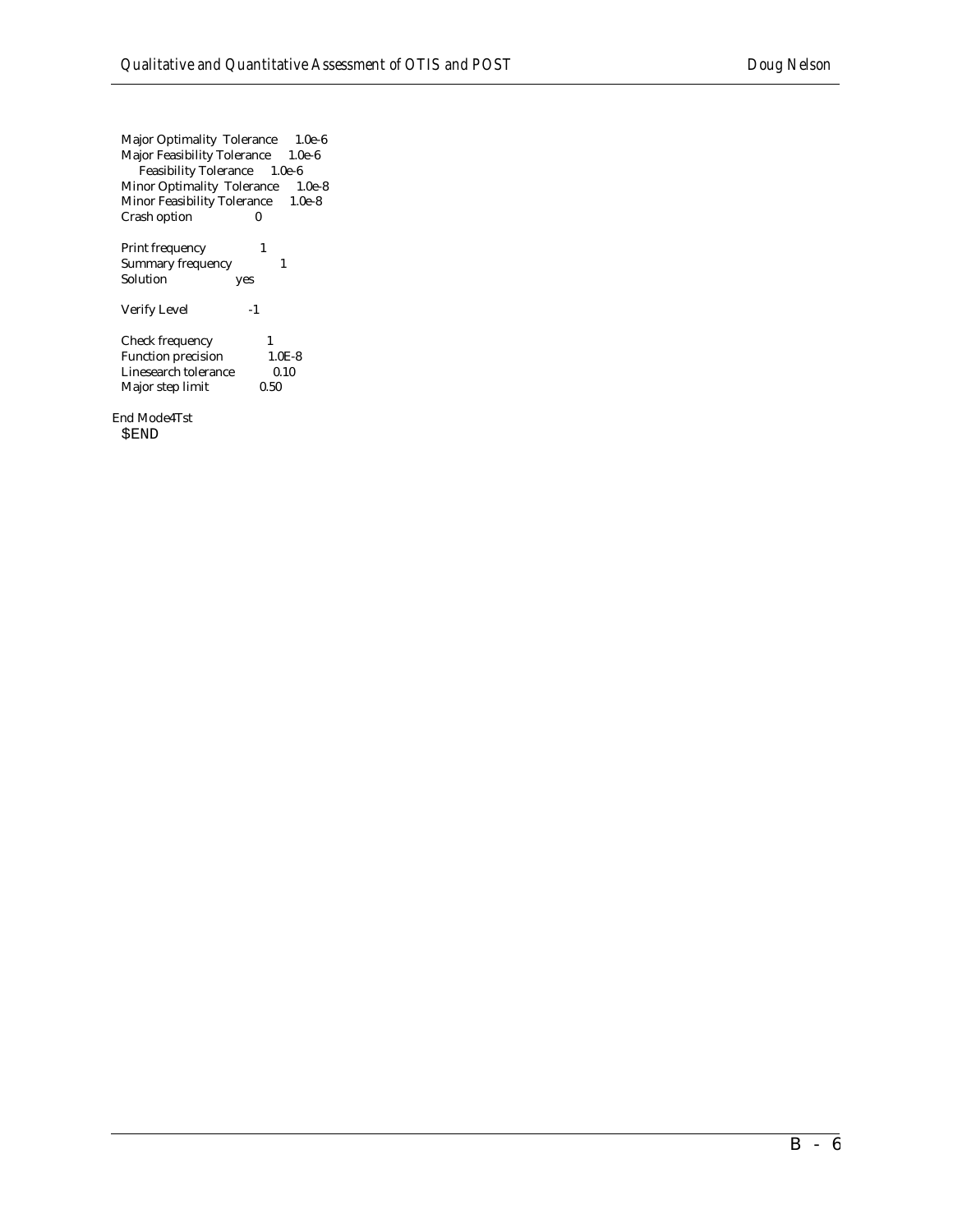Major Optimality Tolerance 1.0e-6 Major Feasibility Tolerance 1.0e-6 Feasibility Tolerance 1.0e-6 Minor Optimality Tolerance 1.0e-8 Minor Feasibility Tolerance 1.0e-8 Crash option 0 Print frequency 1

Summary frequency 1 Solution yes Verify Level -1

Check frequency 1<br>Function precision 1.0E-8 Function precision Linesearch tolerance 0.10<br>Major step limit 0.50 Major step limit

End Mode4Tst \$END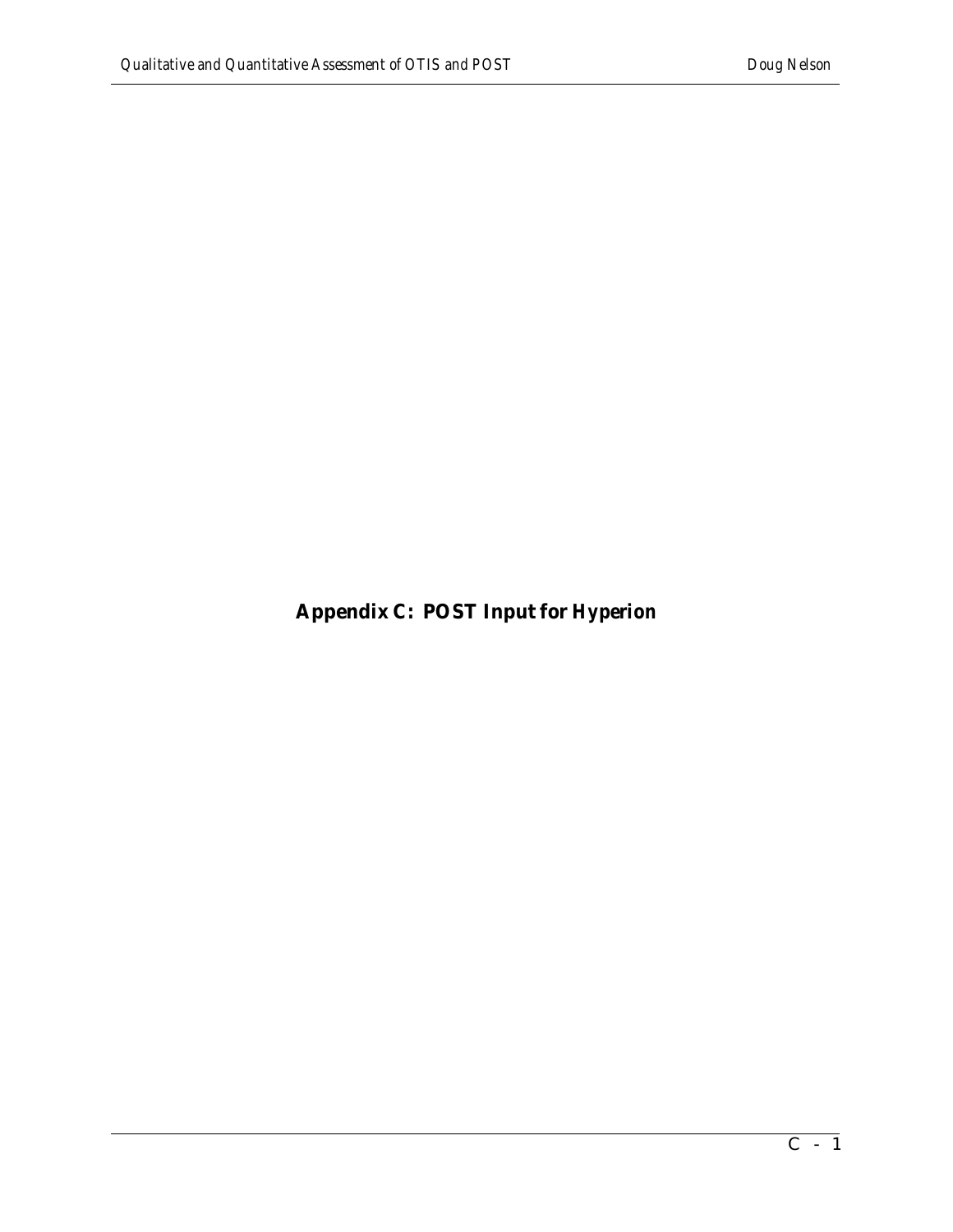**Appendix C: POST Input for** *Hyperion*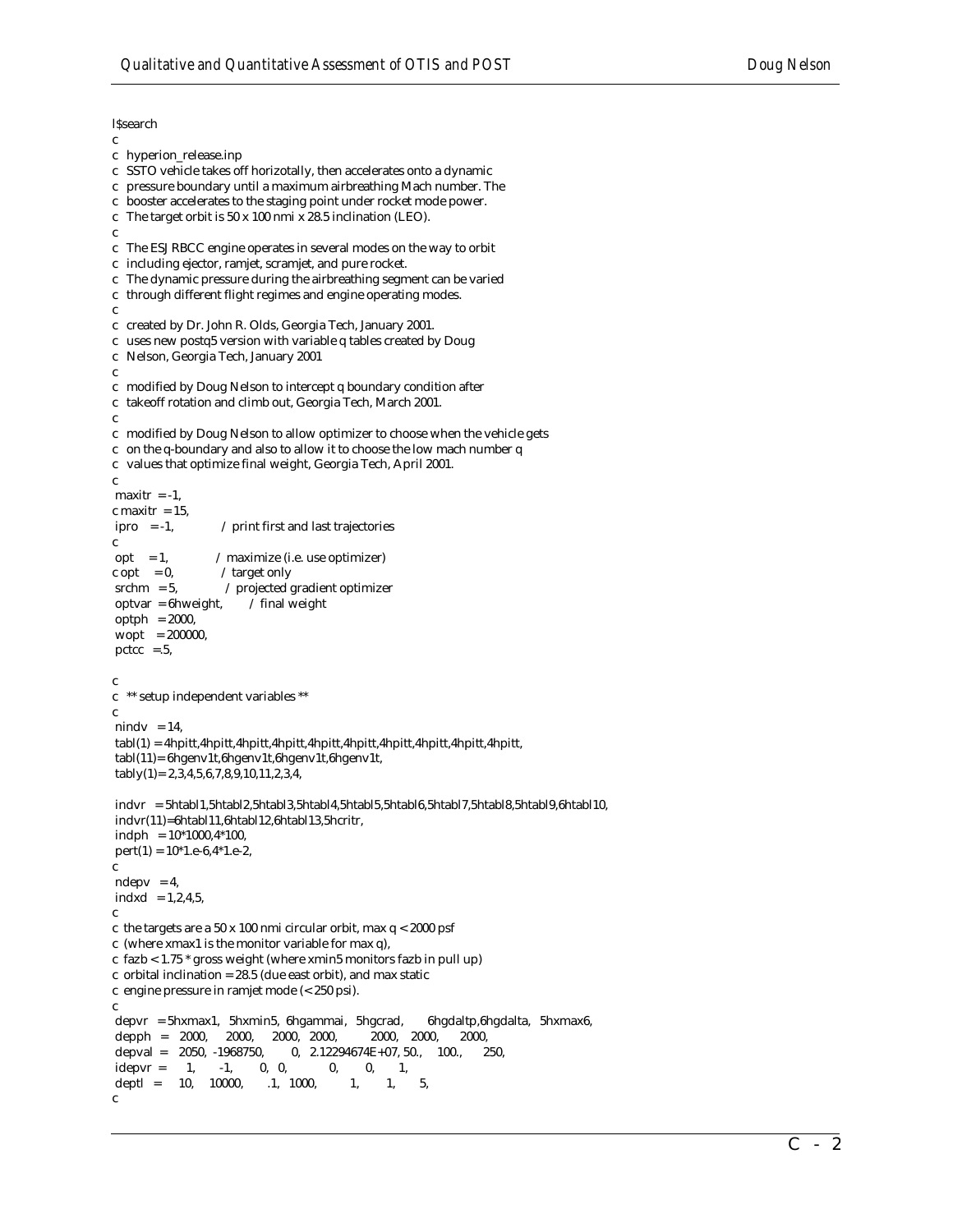**l**Ssearch

```
c 
c hyperion_release.inp
c SSTO vehicle takes off horizotally, then accelerates onto a dynamic
c pressure boundary until a maximum airbreathing Mach number. The
c booster accelerates to the staging point under rocket mode power.
c The target orbit is 50 x 100 nmi x 28.5 inclination (LEO).
c
c The ESJ RBCC engine operates in several modes on the way to orbit
c including ejector, ramjet, scramjet, and pure rocket.
c The dynamic pressure during the airbreathing segment can be varied
c through different flight regimes and engine operating modes.
c
c created by Dr. John R. Olds, Georgia Tech, January 2001.
c uses new postq5 version with variable q tables created by Doug
c Nelson, Georgia Tech, January 2001
c
c modified by Doug Nelson to intercept q boundary condition after
c takeoff rotation and climb out, Georgia Tech, March 2001.
c
c modified by Doug Nelson to allow optimizer to choose when the vehicle gets
c on the q-boundary and also to allow it to choose the low mach number q
c values that optimize final weight, Georgia Tech, April 2001.
c
maxitr = -1.
c maxitr = 15,
ipro = -1, / print first and last trajectories
c
opt = 1, / maximize (i.e. use optimizer)
c opt = 0, \ell target only
srchm = 5, \qquad / projected gradient optimizer
optvar = 6hweight, / final weight
optph = 2000,
 wopt = 200000,
pctcc =.5,c
c ** setup independent variables **
c
nindv = 14,
tabl(1) = 4hpitt,4hpitt,4hpitt,4hpitt,4hpitt,4hpitt,4hpitt,4hpitt,4hpitt,4hpitt,
 tabl(11)= 6hgenv1t,6hgenv1t,6hgenv1t,6hgenv1t,
 tably(1)= 2,3,4,5,6,7,8,9,10,11,2,3,4,
 indvr = 5htabl1,5htabl2,5htabl3,5htabl4,5htabl5,5htabl6,5htabl7,5htabl8,5htabl9,6htabl10,
 indvr(11)=6htabl11,6htabl12,6htabl13,5hcritr,
indph = 10*1000, 4*100,pert(1) = 10*1.e-6, 4*1.e-2,c
ndepv = 4,
indxd = 1,2,4,5,c
c the targets are a 50 x 100 nmi circular orbit, max q < 2000 psf
c (where xmax1 is the monitor variable for max q),
c fazb < 1.75 * gross weight (where xmin5 monitors fazb in pull up)
c orbital inclination = 28.5 (due east orbit), and max static
c engine pressure in ramjet mode (< 250 psi).
c
depvr = 5hxmax1, 5hxmin5, 6hgammai, 5hgcrad, 6hgdaltp,6hgdalta, 5hxmax6, depph = 2000, 2000, 2000, 2000, 2000, 2000, 2000, 2000, 2000, 2000, 2000, 2000, 2000, 2000, 2000, 2000, 2000, 200 depph = 2000, 2000, 2000, 2000, 2000, 2000, 2000,
depval = 2050, -1968750, 0, 2.12294674E+07, 50., 100., 250,
idepvr = 1, -1, 0, 0, 0, 0, 1,deptl = 10, 10000, .1, 1000, 1, 1, 5,
c
```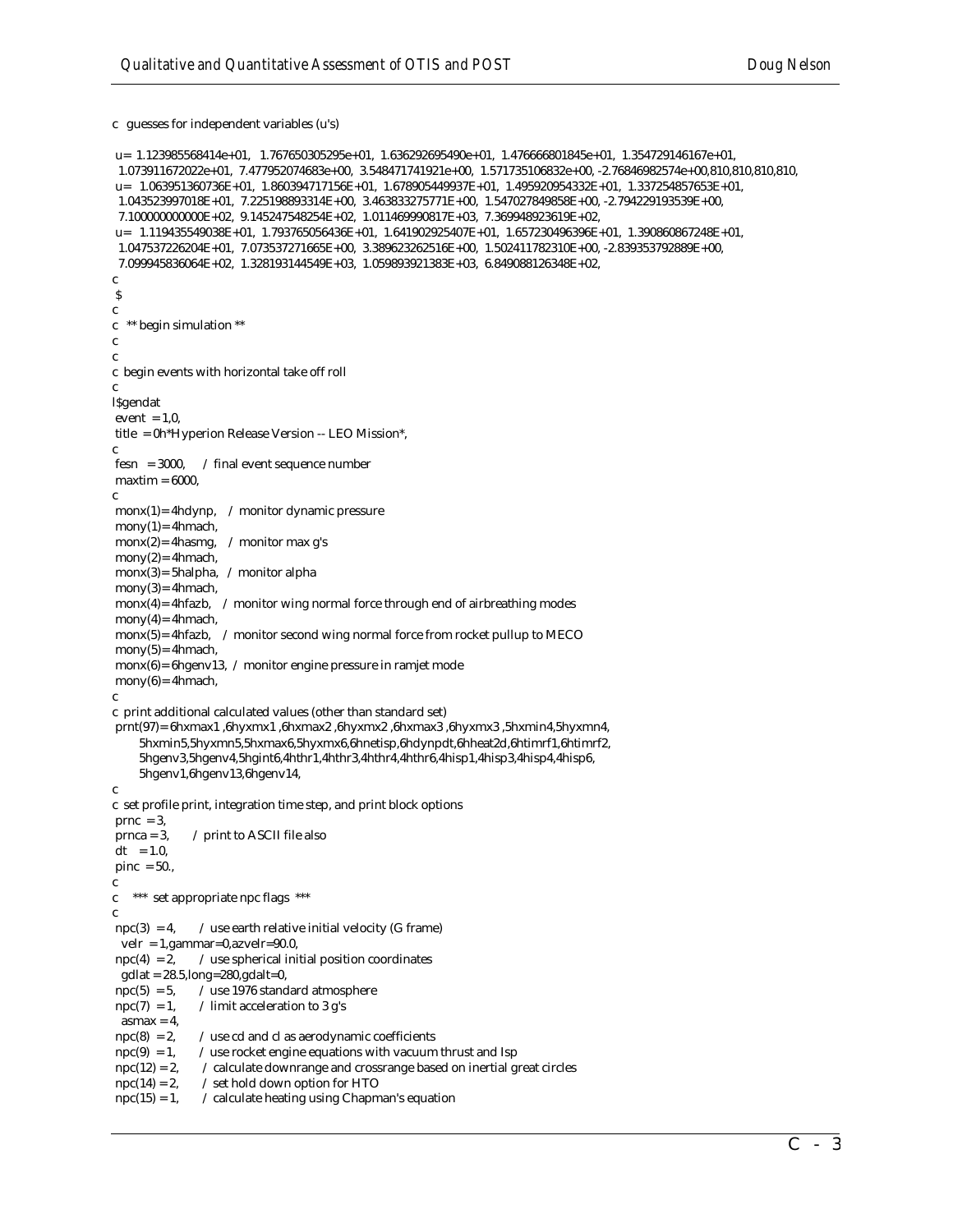c guesses for independent variables (u's)

```
 u= 1.123985568414e+01, 1.767650305295e+01, 1.636292695490e+01, 1.476666801845e+01, 1.354729146167e+01,
  1.073911672022e+01, 7.477952074683e+00, 3.548471741921e+00, 1.571735106832e+00, -2.76846982574e+00,810,810,810,810,
u\hspace*{-.2mm}=\hspace*{-.2mm} 1.063951360736E+01, \hspace*{-.2mm} 1.860394717156E+01, \hspace*{-.2mm} 1.678905449937E+01, \hspace*{-.2mm} 1.495920954332E+01, \hspace*{-.2mm} 1.337254857653E+01, 1.043523997018E+01, 7.225198893314E+00, 3.463833275771E+00, 1.547027849858E+00, -2.794229193539E+00,
  7.100000000000E+02, 9.145247548254E+02, 1.011469990817E+03, 7.369948923619E+02,
 u= 1.119435549038E+01, 1.793765056436E+01, 1.641902925407E+01, 1.657230496396E+01, 1.390860867248E+01,
 1.047537226204E+01,\ 7.073537271665E+00,\ 3.389623262516E+00,\ 1.502411782310E+00,\ -2.839353792889E+00, 7.099945836064E+02, 1.328193144549E+03, 1.059893921383E+03, 6.849088126348E+02,
c
 $
c
c ** begin simulation **
c
c
c begin events with horizontal take off roll
c
l$gendat
event = 1,0 title = 0h*Hyperion Release Version -- LEO Mission*, 
c
fesn = 3000, / final event sequence number
maxtim = 6000,c 
 monx(1)= 4hdynp, / monitor dynamic pressure
mony(1) = 4hmach,monx(2)= 4hasmg, / monitor max g's
mony(2) = 4hmach, monx(3)= 5halpha, / monitor alpha
mony(3) = 4hmach,monx(4)= 4hfazb, \angle monitor wing normal force through end of airbreathing modes
mony(4)= 4hmach,
 monx(5)= 4hfazb, / monitor second wing normal force from rocket pullup to MECO
mony(5) = 4hmach,\text{monx}(6) = 6hgenv13, / monitor engine pressure in ramjet mode
mony(6)= 4hmach,
c
c print additional calculated values (other than standard set)
 prnt(97)= 6hxmax1 ,6hyxmx1 ,6hxmax2 ,6hyxmx2 ,6hxmax3 ,6hyxmx3 ,5hxmin4,5hyxmn4,
      5hxmin5,5hyxmn5,5hxmax6,5hyxmx6,6hnetisp,6hdynpdt,6hheat2d,6htimrf1,6htimrf2,
      5hgenv3,5hgenv4,5hgint6,4hthr1,4hthr3,4hthr4,4hthr6,4hisp1,4hisp3,4hisp4,4hisp6,
      5hgenv1,6hgenv13,6hgenv14,
c 
c set profile print, integration time step, and print block options
prnc = 3,
prnca = 3, / print to ASCII file also
dt = 1.0.
pinc = 50.,
c
c *** set appropriate npc flags ***
c 
npc(3) = 4, / use earth relative initial velocity (G frame)
 velr = 1, gammar=0, azvelr=90.0,
npc(4) = 2, / use spherical initial position coordinates
  gdlat = 28.5,long=280,gdalt=0, 
npc(5) = 5, \angle use 1976 standard atmosphere
\text{npc}(7) = 1, / limit acceleration to 3 g's
 a<sub>smax</sub> = 4,
npc(8) = 2, / use cd and cl as aerodynamic coefficients
npc(9) = 1, / use rocket engine equations with vacuum thrust and Isp
npc(12) = 2, / calculate downrange and crossrange based on inertial great circles
npc(14) = 2, / set hold down option for HTO
npc(15) = 1, / calculate heating using Chapman's equation
```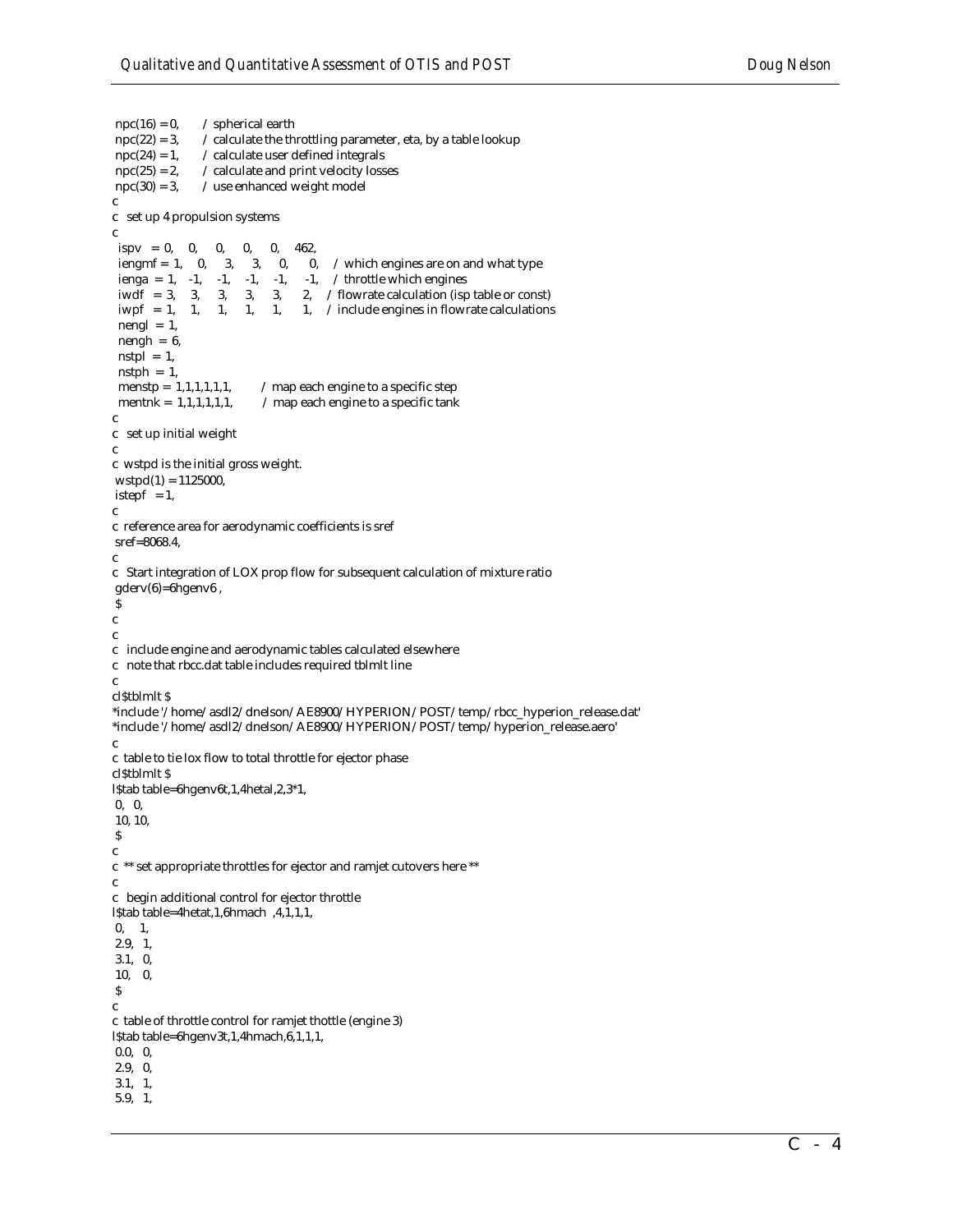```
npc(16) = 0, / spherical earth<br>npc(22) = 3, / calculate the th
                  \overline{\phantom{x}} calculate the throttling parameter, eta, by a table lookup
npc(24) = 1, / calculate user defined integrals
npc(25) = 2, \angle calculate and print velocity losses
npc(30) = 3, / use enhanced weight model
c
c set up 4 propulsion systems
c
 ispv = 0, 0, 0, 0, 0, 462,iengmf = 1, 0, 3, 3, 0, 0, / which engines are on and what type
 ienga = 1, -1, -1, -1, -1, -1, / throttle which engines<br>iwdf = 3, 3, 3, 3, 3, 2, / flowrate calculation (isp
 iwdf = 3, 3, 3, 3, 3, 2, / flowrate calculation (isp table or const) iwpf = 1, 1, 1, 1, 1, / include engines in flowrate calculations
                               1, 1, / include engines in flowrate calculations
 nengl = 1,
 nengh = 6,
 nstpl = 1,
 nstph = 1,
 menstp = 1,1,1,1,1,1, \ldots / map each engine to a specific step
 mentnk = 1,1,1,1,1,1, / map each engine to a specific tank
c
c set up initial weight
c
c wstpd is the initial gross weight. 
wstpd(1) = 1125000,istepf = 1,
c
c reference area for aerodynamic coefficients is sref
 sref=8068.4,
c
c Start integration of LOX prop flow for subsequent calculation of mixture ratio
 gderv(6)=6hgenv6 ,
 $
c
c
c include engine and aerodynamic tables calculated elsewhere
c note that rbcc.dat table includes required tblmlt line
c
cl$tblmlt $
*include '/home/asdl2/dnelson/AE8900/HYPERION/POST/temp/rbcc_hyperion_release.dat'
*include '/home/asdl2/dnelson/AE8900/HYPERION/POST/temp/hyperion_release.aero'
c
c table to tie lox flow to total throttle for ejector phase
cl$tblmlt $
l$tab table=6hgenv6t,1,4hetal,2,3*1,
 0, 0,
 10, 10,
\boldsymbol{\mathsf{S}}c
c ** set appropriate throttles for ejector and ramjet cutovers here **
c
c begin additional control for ejector throttle
l$tab table=4hetat,1,6hmach ,4,1,1,1,
 0, 1,
 2.9, 1,
 3.1, 0,
 10, 0,
\mathbf Sc
c table of throttle control for ramjet thottle (engine 3)
l$tab table=6hgenv3t,1,4hmach,6,1,1,1,
 0.0, 0,
 2.9, 0,
 3.1, 1,
 5.9, 1,
```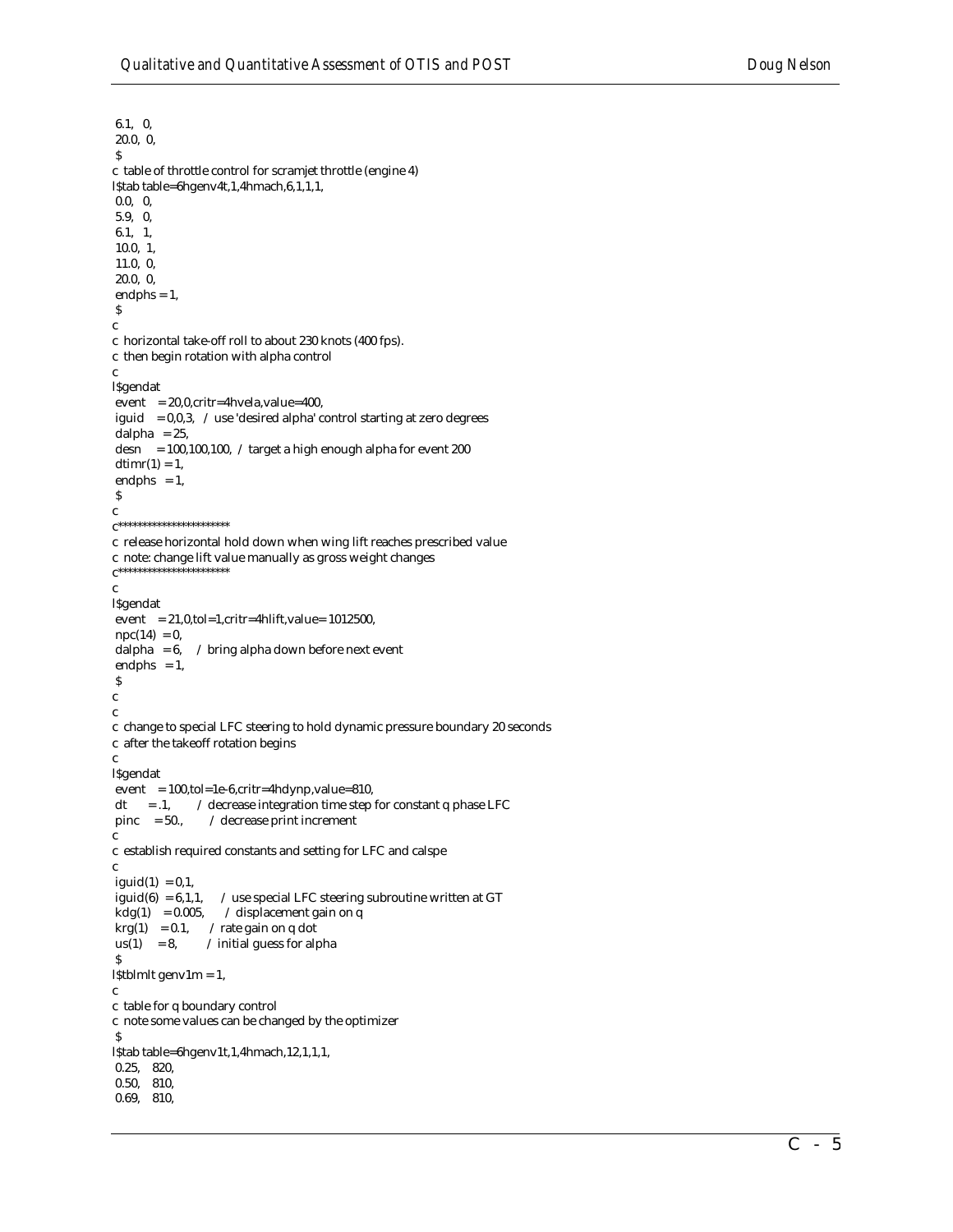6.1, 0, 20.0, 0,  $\boldsymbol{\mathsf{S}}$ c table of throttle control for scramjet throttle (engine 4) l\$tab table=6hgenv4t,1,4hmach,6,1,1,1, 0.0, 0, 5.9, 0, 6.1, 1, 10.0, 1, 11.0, 0, 20.0, 0, endphs  $= 1$ , \$ c c horizontal take-off roll to about 230 knots (400 fps). c then begin rotation with alpha control c l\$gendat  $event = 20,0, crit = 4$ hvela, value=400, iguid =  $0,0,3$ , / use 'desired alpha' control starting at zero degrees dalpha  $= 25$ , desn = 100,100,100, / target a high enough alpha for event 200  $\,$  $d$ timr $(1) = 1$ , endphs  $= 1$ ,  $\boldsymbol{\mathsf{S}}$ c  ${\bf c}^{***************************}$ c release horizontal hold down when wing lift reaches prescribed value c note: change lift value manually as gross weight changes c\*\*\*\*\*\*\*\*\*\*\*\*\*\*\*\*\*\*\*\*\*\*\* c l\$gendat event  $= 21,0,tol=1,critr=4hlift,value= 1012500,$  $npc(14) = 0,$ <br>dalpha = 6, / bring alpha down before next event endphs  $= 1$ , \$ c c c change to special LFC steering to hold dynamic pressure boundary 20 seconds c after the takeoff rotation begins c l\$gendat event =  $100$ ,tol=1e-6,critr=4hdynp,value=810,  $dt = .1$ , / decrease integration time step for constant q phase LFC pinc  $= 50$ ., / decrease print increment c c establish required constants and setting for LFC and calspe c  $i$ guid $(1) = 0,1$ , iguid(6) = 6,1,1,  $\quad$  / use special LFC steering subroutine written at GT kdg(1) = 0.005,  $\quad$  / displacement gain on q  $\ell$  displacement gain on q  $krg(1) = 0.1,$  / rate gain on q dot  $us(1) = 8$ , / initial guess for alpha \$ l\$tblmlt genv1m = 1, c c table for q boundary control c note some values can be changed by the optimizer \$ l\$tab table=6hgenv1t,1,4hmach,12,1,1,1, 0.25, 820, 0.50, 810, 0.69, 810,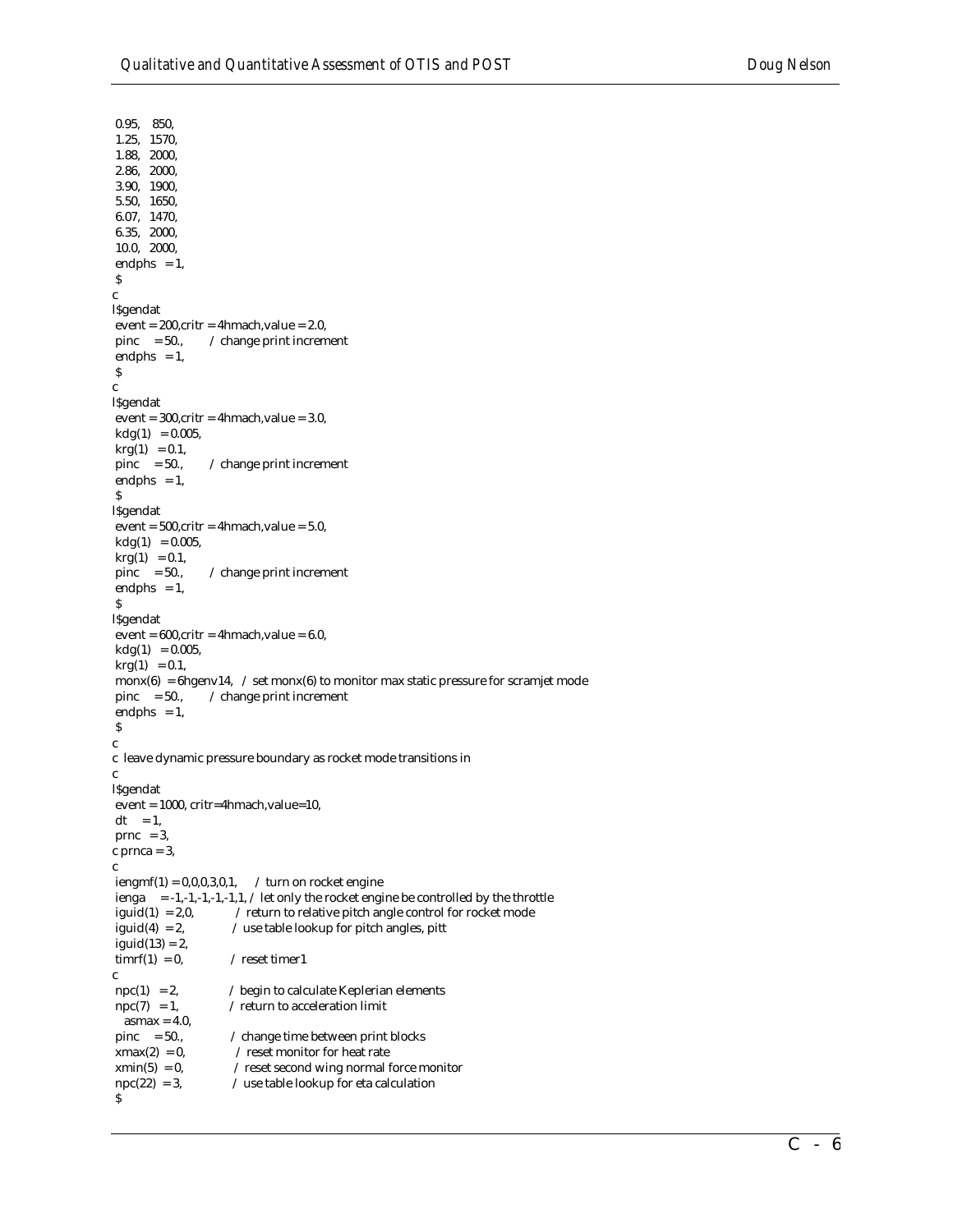0.95, 850, 1.25, 1570, 1.88, 2000, 2.86, 2000, 3.90, 1900, 5.50, 1650, 6.07, 1470, 6.35, 2000, 10.0, 2000, endphs  $= 1$ ,  $\boldsymbol{\mathsf{S}}$ c l\$gendat  $event = 200, crit = 4hmach, value = 2.0,$ pinc =  $50$ .,  $\angle$  change print increment endphs  $= 1$ , \$ c l\$gendat  $event = 300, critr = 4hmach, value = 3.0,$  $kdg(1) = 0.005$ ,  $krg(1) = 0.1,$ <br>pinc = 50.,  $/$  change print increment endphs  $= 1$ , \$ l\$gendat  $event = 500, crit = 4hmach, value = 5.0,$  $kdg(1) = 0.005$ ,  $krg(1) = 0.1$ , pinc =  $50$ .,  $\angle$  change print increment endphs  $= 1$ , \$ l\$gendat  $event = 600, critr = 4hmach, value = 6.0,$  $kdg(1) = 0.005,$  $krg(1) = 0.1$ ,  $\text{monx}(6) = 6$ hgenv14, / set monx $(6)$  to monitor max static pressure for scramjet mode pinc  $= 50$ .,  $\angle$  change print increment endphs  $= 1$ , \$ c c leave dynamic pressure boundary as rocket mode transitions in c l\$gendat event = 1000, critr=4hmach,value=10,  $dt = 1$ ,  $prnc = 3$ ,  $c$  prnca = 3, c  $i$ engmf(1) = 0,0,0,3,0,1,  $\angle$  turn on rocket engine ienga = -1,-1,-1,-1,-1,1,  $\prime$  let only the rocket engine be controlled by the throttle iguid(1) = 2,0,  $\sqrt{\ }$  return to relative pitch angle control for rocket mode iguid(4) = 2,  $\angle$  use table lookup for pitch angles, pitt  $i$ guid $(13) = 2$ ,  $\text{turnrf}(1) = 0,$  / reset timer1 c  $npc(1) = 2$ , / begin to calculate Keplerian elements  $\text{npc}(7) = 1,$  / return to acceleration limit  $a<sub>smax</sub> = 4.0$ , pinc  $= 50$ .,  $\angle$  change time between print blocks  $xmax(2) = 0$ , / reset monitor for heat rate  $xmin(5) = 0$ , / reset second wing normal force monitor  $npc(22) = 3$ ,  $/$  use table lookup for eta calculation \$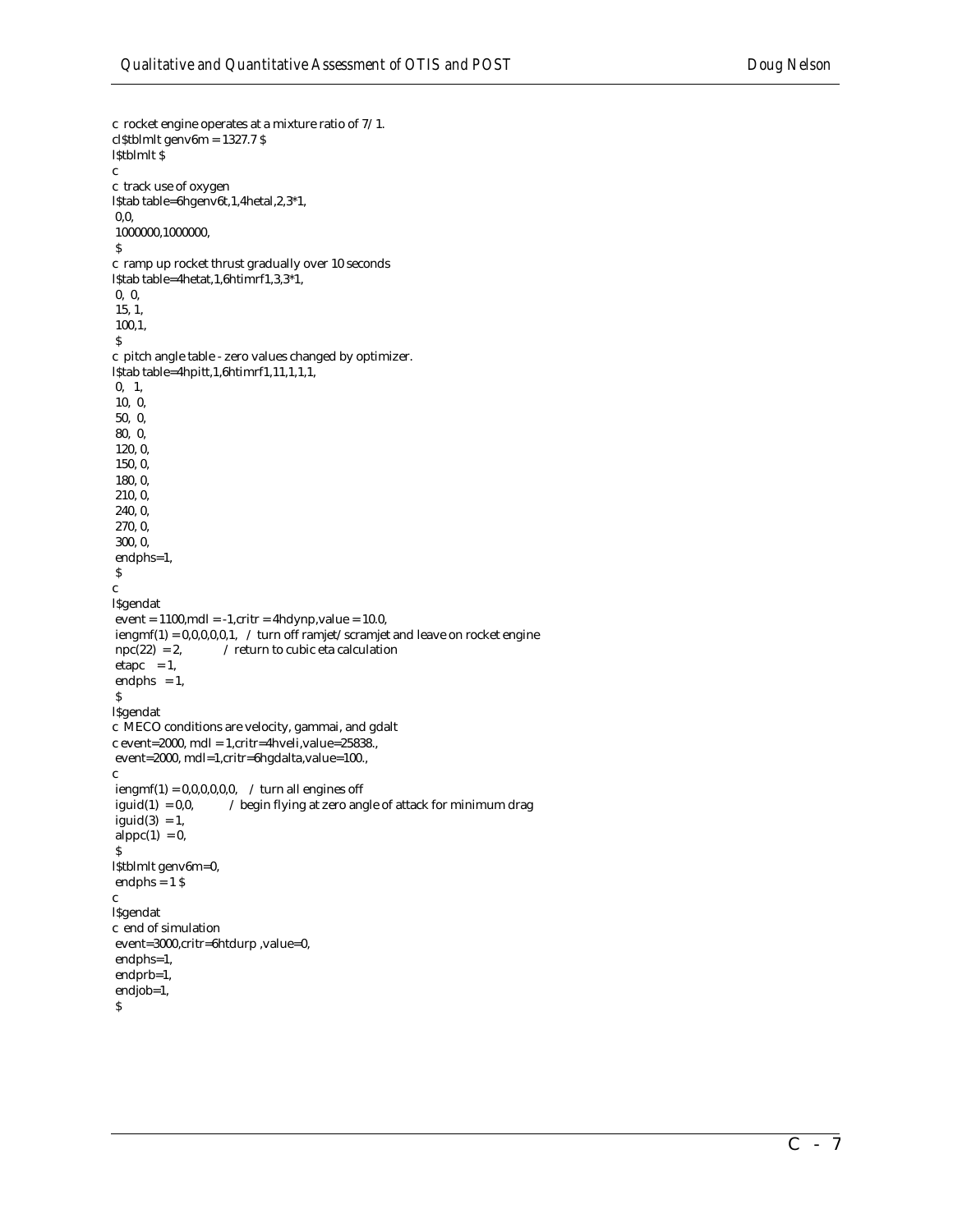```
c rocket engine operates at a mixture ratio of 7/1.
cl$tblmlt genv6m = 1327.7 $
l$tblmlt $
c
c track use of oxygen
l$tab table=6hgenv6t,1,4hetal,2,3*1,
 0,0,
 1000000,1000000,
\mathbf Sc ramp up rocket thrust gradually over 10 seconds
l$tab table=4hetat,1,6htimrf1,3,3*1,
 0, 0,
 15, 1,
 100,1,
 $
c pitch angle table - zero values changed by optimizer. 
l$tab table=4hpitt,1,6htimrf1,11,1,1,1,
 0, 1,
 10, 0,
 50, 0,
 80, 0, 
 120, 0,
 150, 0,
 180, 0,
 210, 0,
 240, 0,
 270, 0,
 300, 0,
 endphs=1,
\boldsymbol{\mathsf{S}}c
l$gendat
event = 1100, mdl = -1, critr = 4hdynp, value = 10.0,iengmf(1) = 0,0,0,0,0,1, / turn off ramjet/scramjet and leave on rocket engine npc(22) = 2, / return to cubic eta calculation
                      / return to cubic eta calculation
etapc = 1,
endphs = 1,
 $
l$gendat
c MECO conditions are velocity, gammai, and gdalt
c event=2000, mdl = 1,critr=4hveli,value=25838.,
 event=2000, mdl=1,critr=6hgdalta,value=100.,
\mathbf ciengmf(1) = 0,0,0,0,0,0,0, / turn all engines off
iguid(1) = 0,0, / begin flying at zero angle of attack for minimum drag
iguid(3) = 1,
alppc(1) = 0,
 $
l$tblmlt genv6m=0,
endphs = 1 $
c
l$gendat
c end of simulation
 event=3000,critr=6htdurp ,value=0,
 endphs=1,
 endprb=1,
 endjob=1,
 $
```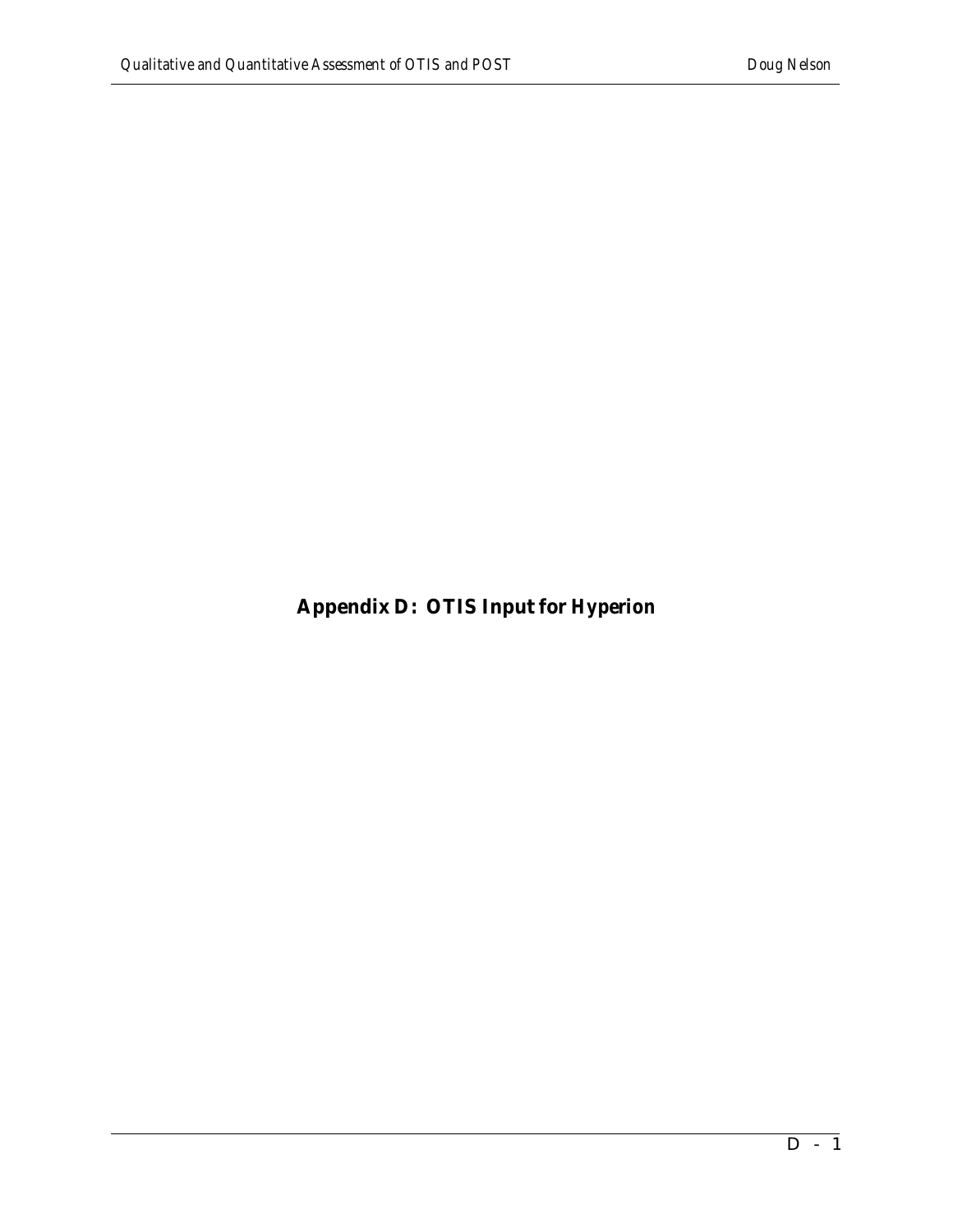**Appendix D: OTIS Input for** *Hyperion*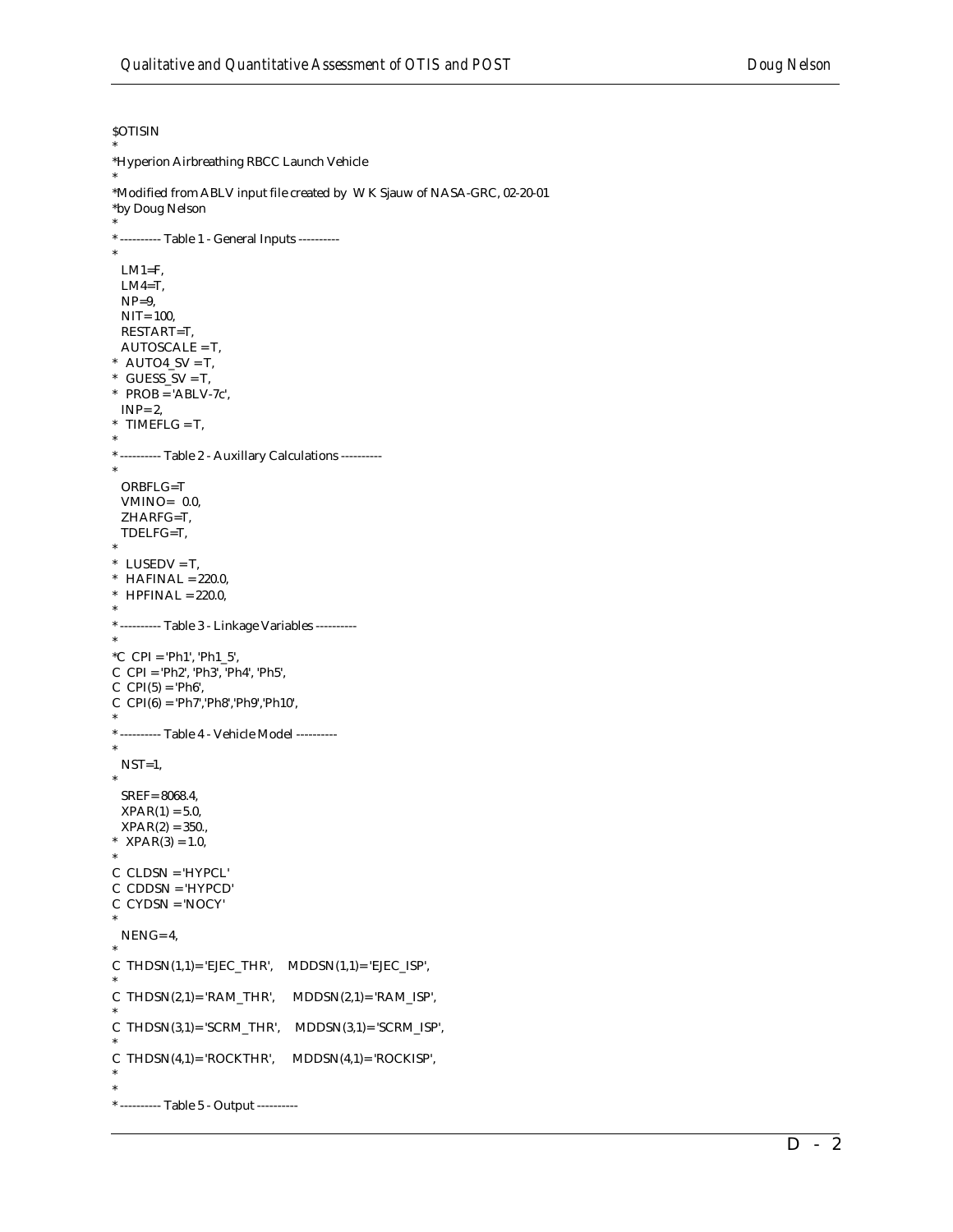#### **\$OTISIN**

\*

```
*Hyperion Airbreathing RBCC Launch Vehicle
*
*Modified from ABLV input file created by W K Sjauw of NASA-GRC, 02-20-01
*by Doug Nelson
*
* ---------- Table 1 - General Inputs ----------
*
 LM1=F,
  LM4=T,
 NP=9,
  NIT= 100, 
  RESTART=T,
  AUTOSCALE = T,
* AUTO4_SV = T,
* GUESS_SV = T,
* PROB = 'ABLV-7c', INP= 2,
* TIMEFLG = T,
*
* ---------- Table 2 - Auxillary Calculations ----------
*
  ORBFLG=T
  VMINO= 0.0,
  ZHARFG=T,
  TDELFG=T,
*
* LUSEDV = T,
* HAFINAL = 220.0,
* HPFINAL = 220.0,
*
* ---------- Table 3 - Linkage Variables ----------
*
*C CPI = 'Ph1', 'Ph1_5',
C CPI = 'Ph2', 'Ph3', 'Ph4', 'Ph5', 
C CPI(5) = 'Ph6',C CPI(6) = 'Ph7','Ph8','Ph9','Ph10', 
*
* ---------- Table 4 - Vehicle Model ----------
*
 NST=1,
*
  SREF= 8068.4,
 XPAR(1) = 5.0,
 XPAR(2) = 350.* XPAR(3) = 1.0,
*
C CLDSN = 'HYPCL'
C CDDSN = 'HYPCD'
C CYDSN = 'NOCY'
*
 NENG= 4,
*
C THDSN(1,1)= 'EJEC_THR', MDDSN(1,1)= 'EJEC_ISP',
*
C THDSN(2,1)= 'RAM_THR', MDDSN(2,1)= 'RAM_ISP',
*
C THDSN(3,1)= 'SCRM_THR', MDDSN(3,1)= 'SCRM_ISP',
*
C THDSN(4,1)= 'ROCKTHR', MDDSN(4,1)= 'ROCKISP', 
*
*
* ---------- Table 5 - Output ----------
```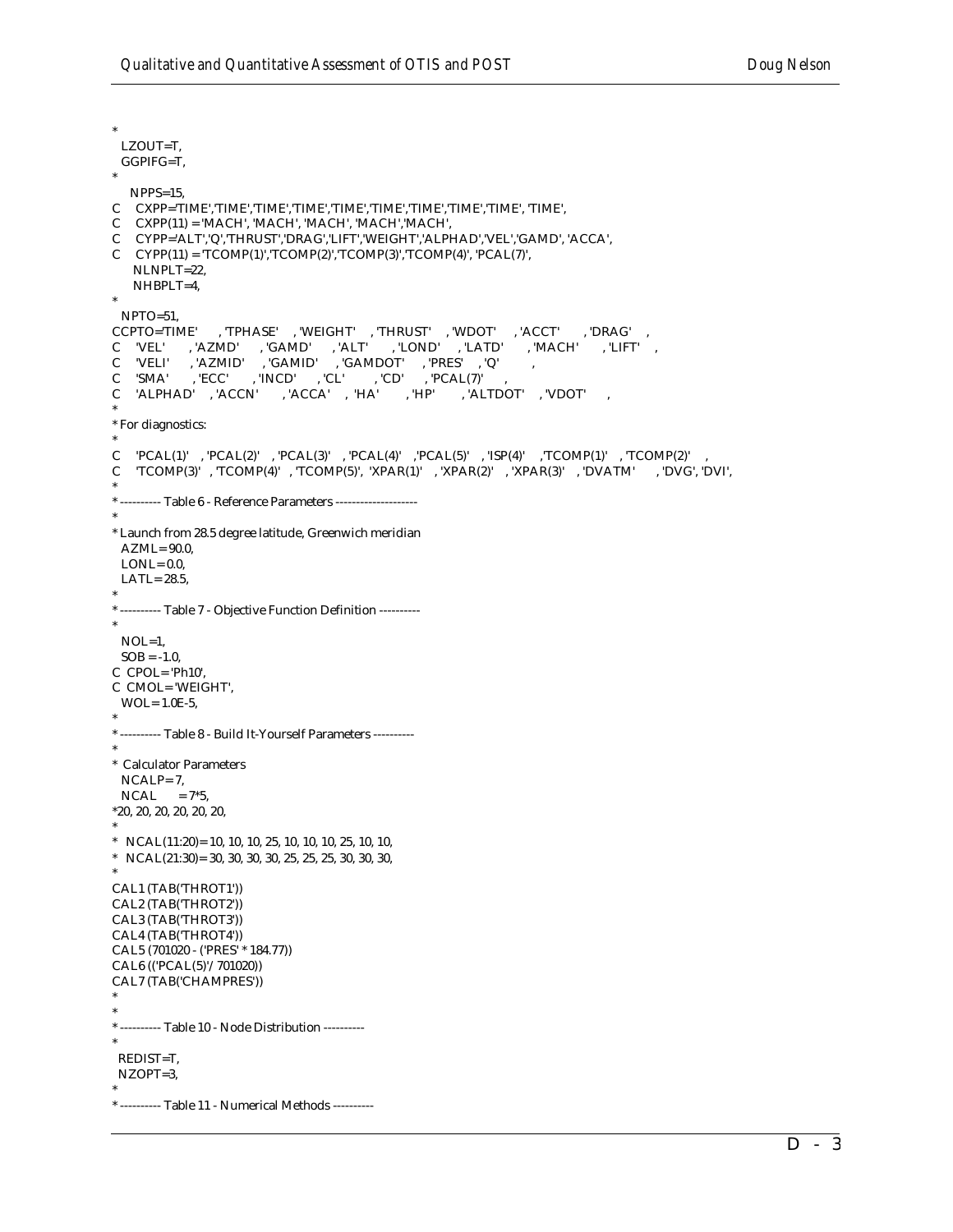\* LZOUT=T, GGPIFG=T, \* NPPS=15, C CXPP='TIME','TIME','TIME','TIME','TIME','TIME','TIME','TIME','TIME', 'TIME', C CXPP(11) = 'MACH', 'MACH', 'MACH', 'MACH','MACH', C CYPP='ALT','Q','THRUST','DRAG','LIFT','WEIGHT','ALPHAD','VEL','GAMD', 'ACCA',  $CYPP(11) = TCOMP(1)'$ ,  $TCOMP(2)'$ ,  $TCOMP(3)'$ ,  $TCOMP(4)'$ ,  $'PCAL(7)'$ , NLNPLT=22, NHBPLT=4, \* NPTO=51,<br>CCPTO='TIME' , 'TPHASE' , 'WEIGHT' , 'THRUST' , 'WDOT' , 'ACCT' , 'DRAG' C 'VEL' , 'AZMD' , 'GAMD' , 'ALT' , 'LOND' , 'LATD' , 'MACH' , 'LIFT' , C 'VELI' , 'AZMID' , 'GAMID' , 'GAMDOT' , 'PRES' , 'Q' , C 'SMA' , 'ECC' , 'INCD' , 'CL' , 'CD' , 'PCAL(7)' , C 'ALPHAD' , 'ACCN' , 'ACCA' , 'HA' , 'HP' , 'ALTDOT' , 'VDOT' , \* \* For diagnostics: \*  $\begin{array}{cccc} \textrm{C} & \textrm{PCAL}(1)' & , \textrm{PCAL}(2)' & , \textrm{PCAL}(3)' & , \textrm{PCAL}(4)' & , \textrm{PCAL}(5)' & , \textrm{ISP}(4)' & , \textrm{TCOMP}(1)' & , \textrm{TCOMP}(2)' \end{array}$ C  $TCOMP(3)'$ ,  $TCOMP(4)'$ ,  $TCOMP(5)'$ ,  $XPAR(1)'$ ,  $XPAR(2)'$ ,  $XPAR(3)'$ ,  $'DVATM'$ ,  $'DVG', 'DVI',$ \* \* ---------- Table 6 - Reference Parameters -------------------- \* \* Launch from 28.5 degree latitude, Greenwich meridian AZML= 90.0,  $LONI = 0.0$  LATL= 28.5, \* \* ---------- Table 7 - Objective Function Definition ---------- \* NOL=1,  $SOB = -1.0$ , C CPOL= 'Ph10', C CMOL= 'WEIGHT', WOL= 1.0E-5, \* \* ---------- Table 8 - Build It-Yourself Parameters ---------- \* \* Calculator Parameters NCALP= 7,  $NCAL = 7*5$ , \*20, 20, 20, 20, 20, 20, \* \* NCAL(11:20) = 10, 10, 10, 25, 10, 10, 10, 25, 10, 10, \* NCAL(21:30)= 30, 30, 30, 30, 25, 25, 25, 30, 30, 30, \* CAL1 (TAB('THROT1')) CAL2 (TAB('THROT2')) CAL3 (TAB('THROT3')) CAL4 (TAB('THROT4')) CAL5 (701020 - ('PRES' \* 184.77)) CAL6 (('PCAL(5)'/701020)) CAL7 (TAB('CHAMPRES')) \* \* \* ---------- Table 10 - Node Distribution ---------- \* REDIST=T, NZOPT=3, \* \* ---------- Table 11 - Numerical Methods ----------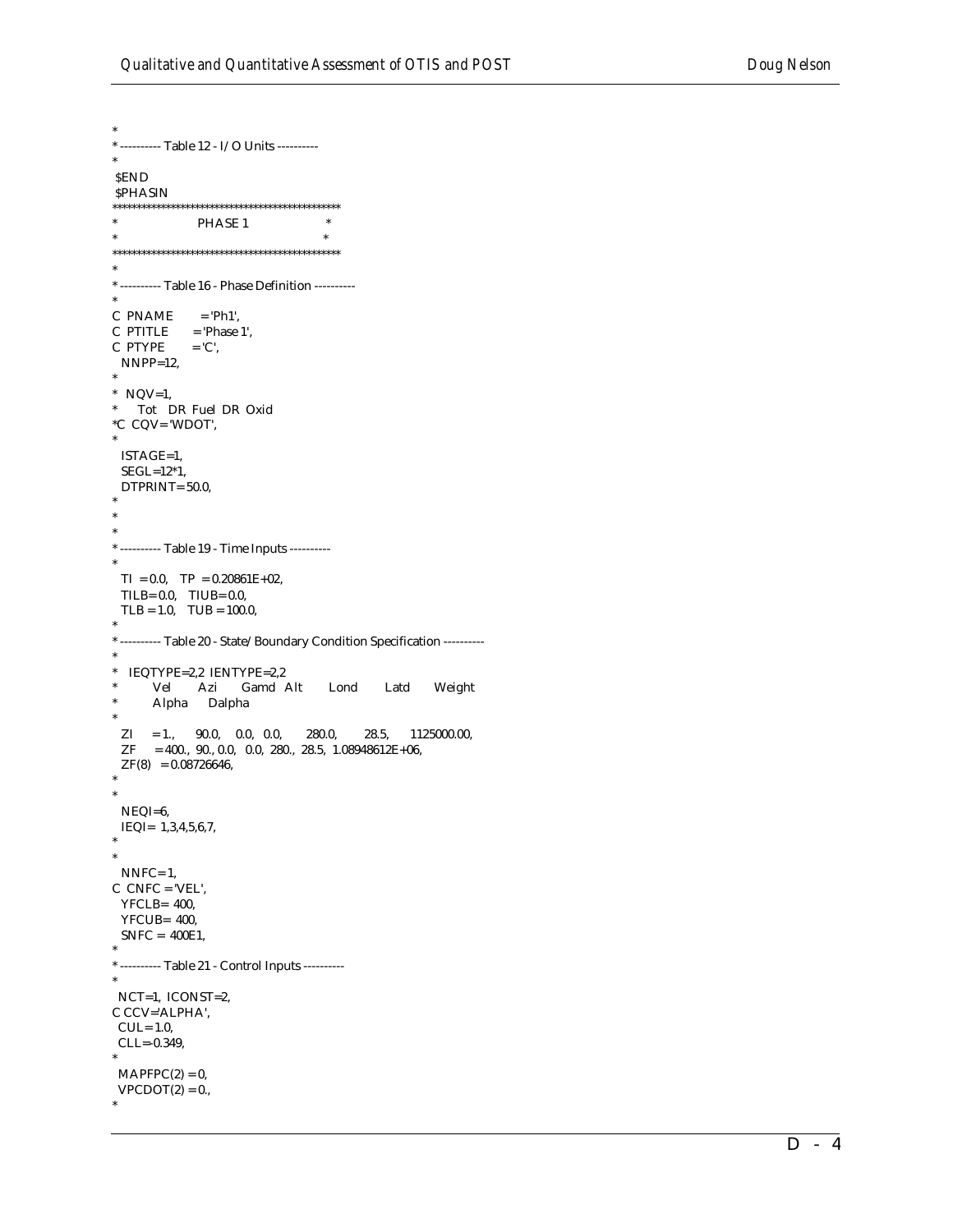\* ---------- Table 12 - I/O Units ----------**SEND SPHASIN**  $\ast$  $\overline{\phantom{a}}$ PHASE 1  $\ast$  $^*$  ---------- Table 16 - Phase Definition ----------C PNAME  $=$  'Ph1',  $C$  PTITLE = 'Phase 1', C PTYPE  $=$  'C',  $NNPP=12$ , \*  $NQV=1$ , \* Tot DR Fuel DR Oxid  $^{\ast}{\rm C}$  CQV= 'WDOT', ISTAGE=1,  $SEGL=12*1$ , DTPRINT= 50.0, \* --------- Table 19 - Time Inputs ---------- $TI = 0.0$ ,  $TP = 0.20861E+02$ , TILB=  $0.0$ , TIUB=  $0.0$ ,  $TLB = 1.0$ ,  $TLB = 100.0$ , \* --------- Table 20 - State/Boundary Condition Specification ----------\* IEQTYPE=2,2 IENTYPE=2,2 Vel Azi Gamd Alt Lond Latd Weight Alpha Dalpha  $ZI = 1.,$  90.0, 0.0, 0.0, 280.0,  $28.5, 1125000.00,$  $ZF$  = 400., 90., 0.0, 0.0, 280., 28.5, 1.08948612E+06,  $ZF(8) = 0.08726646,$ NEQI=6, IEQI=  $1,3,4,5,6,7$ ,  $NNFC=1$ ,  $C$  CNFC = 'VEL',  $YFCLB = 400$ , YFCUB= 400,  $SNFC = 400E1,$ \* ---------- Table 21 - Control Inputs ---------- $NCT=1$ ,  $ICONST=2$ , C CCV='ALPHA',  $CUL = 1.0$ ,  $CLL = -0.349,$  $MAPFPC(2) = 0,$  $VPCDOT(2) = 0.$  $\omega$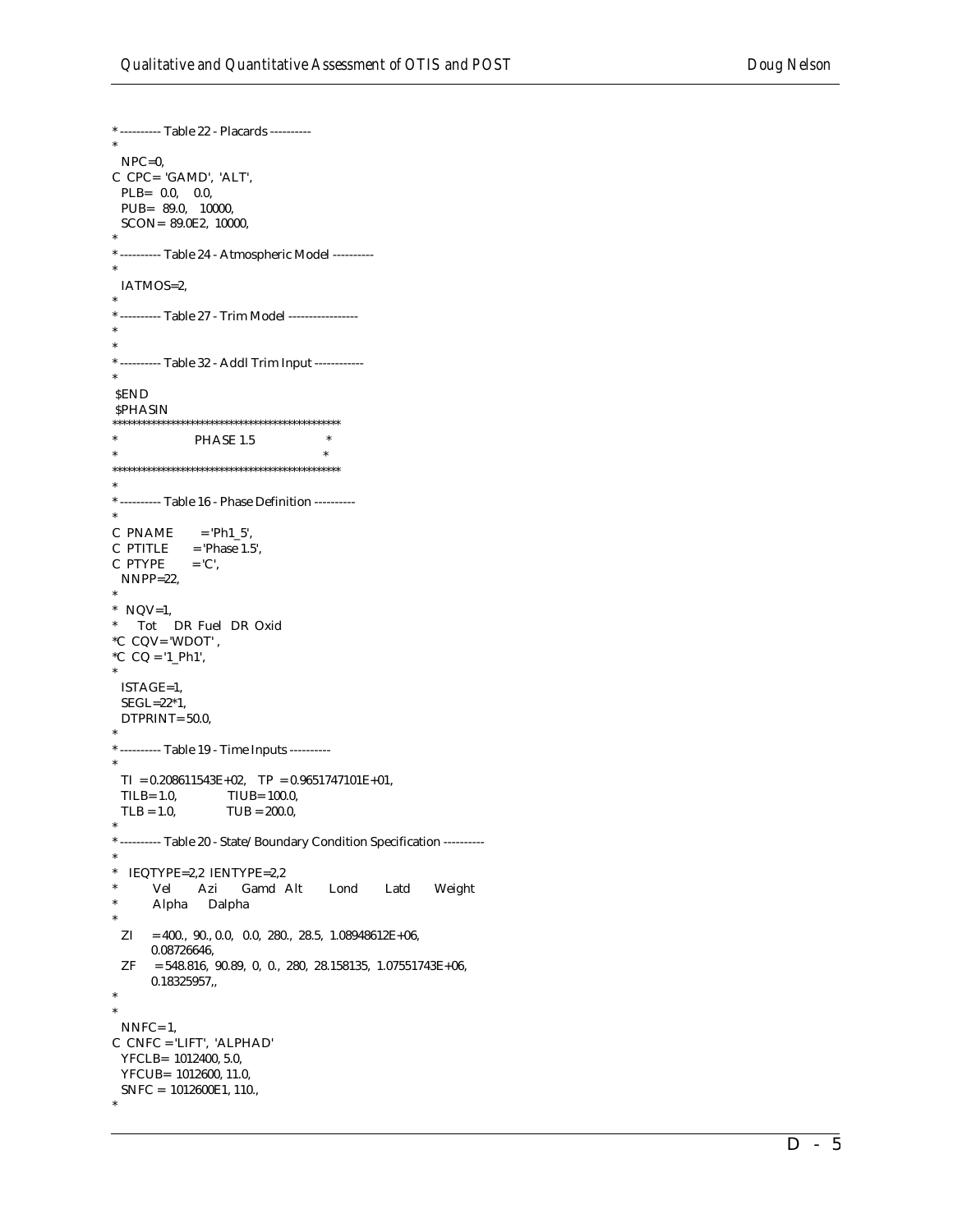```
* ---------- Table 22 - Placards ----------
 NPC=0,
C CPC= 'GAMD', 'ALT',
 PLB = 0.0, 0.0,PUB= 89.0, 10000,
 SCON= 89.0E2, 10000,
* ---------- Table 24 - Atmospheric Model ----------
 IATMOS=2,
* ---------- Table 27 - Trim Model -----------------
* ---------- Table 32 - Addl Trim Input ------------
SEND
SPHASIN
\ast\astPHASE 1.5
                                  \ast*---------- Table 16 - Phase Definition ----------
C PNAME
            = 'Ph1_5',
C PTITLE
           = 'Phase 1.5',
C PTYPE
            = 'C',
 NNPP=22* NQV=1,
  Tot DR Fuel DR Oxid
^{\ast} \mathrm{C} CQV= 'WDOT' ,
^{\ast}{\rm C} CQ = '1_Ph1',
 ISTAGE=1,
 SEGL=22*1,DTPRINT=50.0,
* ---------- Table 19 - Time Inputs ----------
 TI = 0.208611543E+02, TP = 0.9651747101E+01,
 TLB = 1.0,
                  TIUB= 100.0,
 TLB = 1.0,TUB = 200.0,* --------- Table 20 - State/Boundary Condition Specification ----------
\ast* IEQTYPE=2,2 IENTYPE=2,2
           Azi Gamd Alt
      Vel
                                   Lond
                                           Latd
                                                    Weight
      Alpha Dalpha
 ZI = 400., 90., 0.0, 0.0, 280., 28.5, 1.08948612E+06,0.08726646,
 ZF=548.816, 90.89, 0, 0., 280, 28.158135, 1.07551743E+06,0.18325957,NNFC=1,
C CNFC = 'LIFT', 'ALPHAD'
 YFCLB= 1012400, 5.0,
 YFCUB= 1012600, 11.0,
 SNFC = 1012600E1, 110.,
```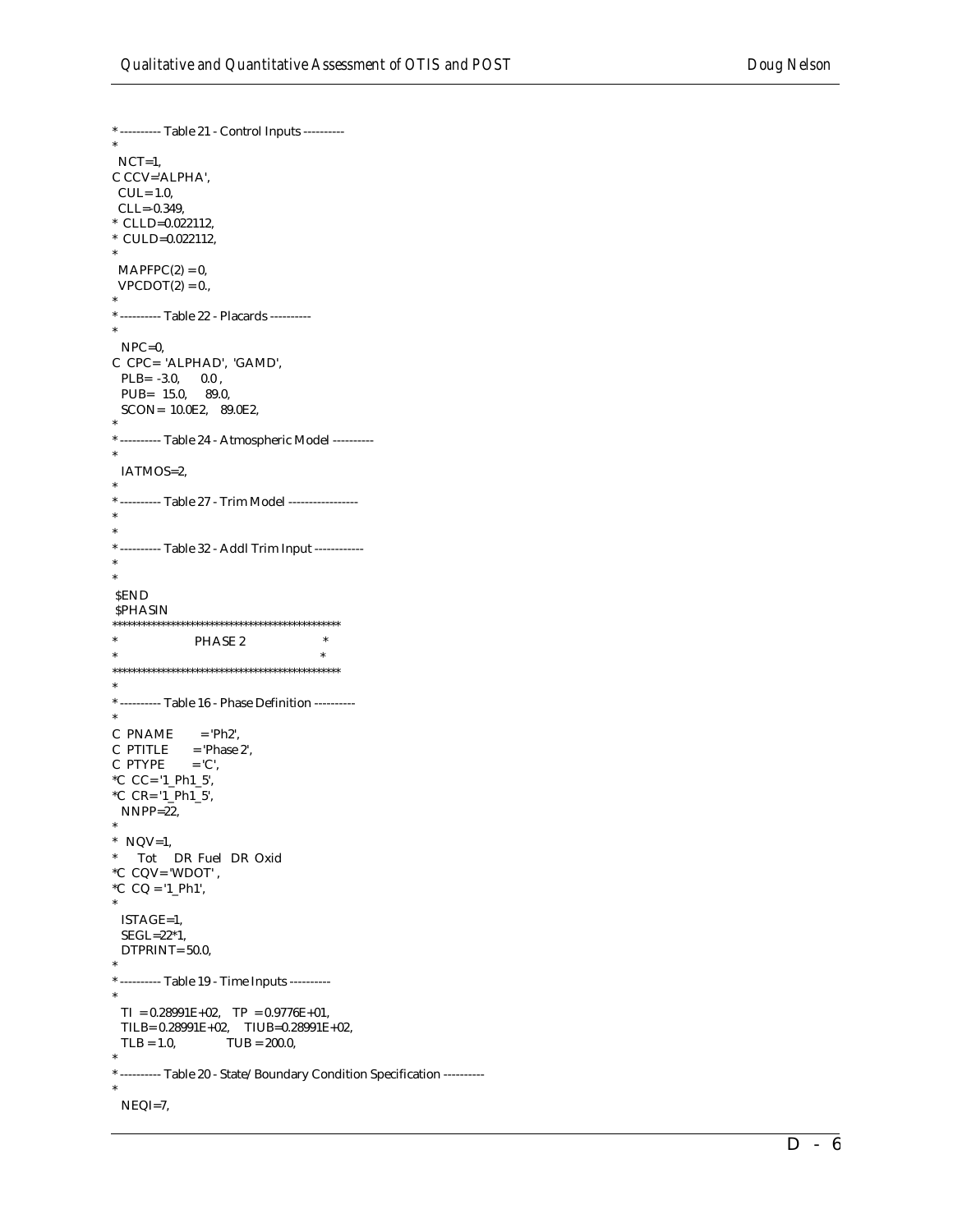\* ---------- Table 21 - Control Inputs ---------- \* NCT=1, C CCV='ALPHA', CUL= 1.0, CLL=-0.349, \* CLLD=0.022112, \* CULD=0.022112, \*  $MAPFPC(2) = 0$ ,  $VPCDOT(2) = 0.$ \* \* ---------- Table 22 - Placards ---------- \* NPC=0, C CPC= 'ALPHAD', 'GAMD',  $PLB = -3.0, 0.0$ , PUB= 15.0, 89.0, SCON= 10.0E2, 89.0E2, \* \* ---------- Table 24 - Atmospheric Model ---------- \* IATMOS=2, \* \* ---------- Table 27 - Trim Model ----------------- \* \* \* ---------- Table 32 - Addl Trim Input ------------ \* \* \$END *SPHASIN* \*\*\*\*\*\*\*\*\*\*\*\*\*\*\*\*\*\*\*\*\*\*\*\*\*\*\*\*\*\*\*\*\*\*\*\*\*\*\*\*\*\*\*\*\*\*\* PHASE 2  $*$   $*$ \*\*\*\*\*\*\*\*\*\*\*\*\*\*\*\*\*\*\*\*\*\*\*\*\*\*\*\*\*\*\*\*\*\*\*\*\*\*\*\*\*\*\*\*\*\*\* \* \* ---------- Table 16 - Phase Definition ---------- \*  $C$  PNAME =  $Ph2'$ ,  $C$  PTITLE = 'Phase 2',  $C$  PTYPE  $= 'C',$ \*C CC= '1\_Ph1\_5', \*C CR= '1\_Ph1\_5', NNPP=22, \*  $*$  NQV=1, \* Tot DR Fuel DR Oxid  $^{\ast}{\rm C}$  CQV= 'WDOT' ,  $^{\ast}C$  CQ = '1\_Ph1', \* ISTAGE=1, SEGL=22\*1, DTPRINT= 50.0, \* \* ---------- Table 19 - Time Inputs ---------- \*  $TI = 0.28991E+02$ ,  $TP = 0.9776E+01$ , TILB=  $0.28991E+02$ , TIUB= $0.28991E+02$ ,<br>TLB = 1.0, TUB = 200.0,  $TUB = 200.0,$ \* \* ---------- Table 20 - State/Boundary Condition Specification ---------- \* NEQI=7,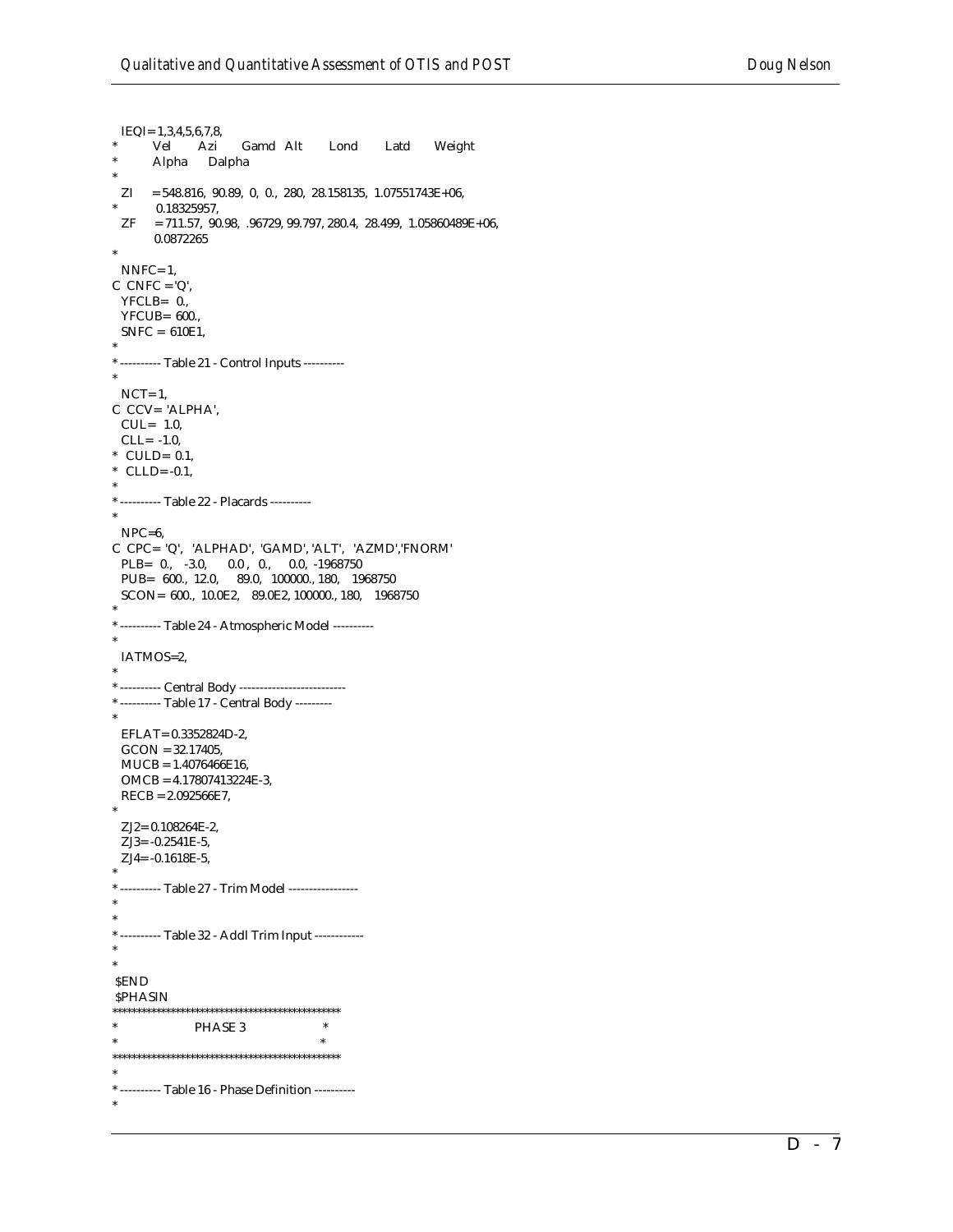```
IEQI = 1, 3, 4, 5, 6, 7, 8,Vel Azi
                     Gamd Alt
                                            Latd
                                                    Weight
                                   Lond
      Alpha Dalpha
 ZI = 548.816, 90.89, 0, 0, 280, 28.158135, 1.07551743E+06,0.18325957,
 ZF = 711.57, 90.98, .96729, 99.797, 280.4, 28.499, 1.05860489E+06,
      0.0872265
 NNFC=1,
C CNFC = 'Q',YFCLB = 0.,YFCUB= 600.,
 SNFC = 610E1,* ---------- Table 21 - Control Inputs ----------
 NCT=1,
C CCV= 'ALPHA',
 CUL = 1.0,
 CLL = -1.0* CULD= 0.1,
* CLLD=-0.1,
* ---------- Table 22 - Placards ----------
 NPC=6,
C CPC= 'Q', 'ALPHAD', 'GAMD', 'ALT', 'AZMD','FNORM'
 PLB= 0., -3.0, 0.0, 0., 0.0, -1968750PUB= 600., 12.0, 89.0, 100000., 180, 1968750
 SCON= 600., 10.0E2, 89.0E2, 100000., 180, 1968750
* --------- Table 24 - Atmospheric Model ----------
 IATMOS=2,
* ---------- Central Body --------------------------
* ---------- Table 17 - Central Body ---------
 EFLAT= 0.3352824D-2,
 GCON = 32.17405,MUCB = 1.4076466E16,OMCB = 4.17807413224E-3,RECB = 2.092566E7,ZJ2 = 0.108264E-2,ZJ3 = -0.2541E-5.ZJ4 = -0.1618E-5,
* ---------- Table 27 - Trim Model -----------------
* ---------- Table 32 - Addl Trim Input ------------
SEND
SPHASIN
\astPHASE 3
                                \ast^* ---------- Table 16 - Phase Definition ----------
```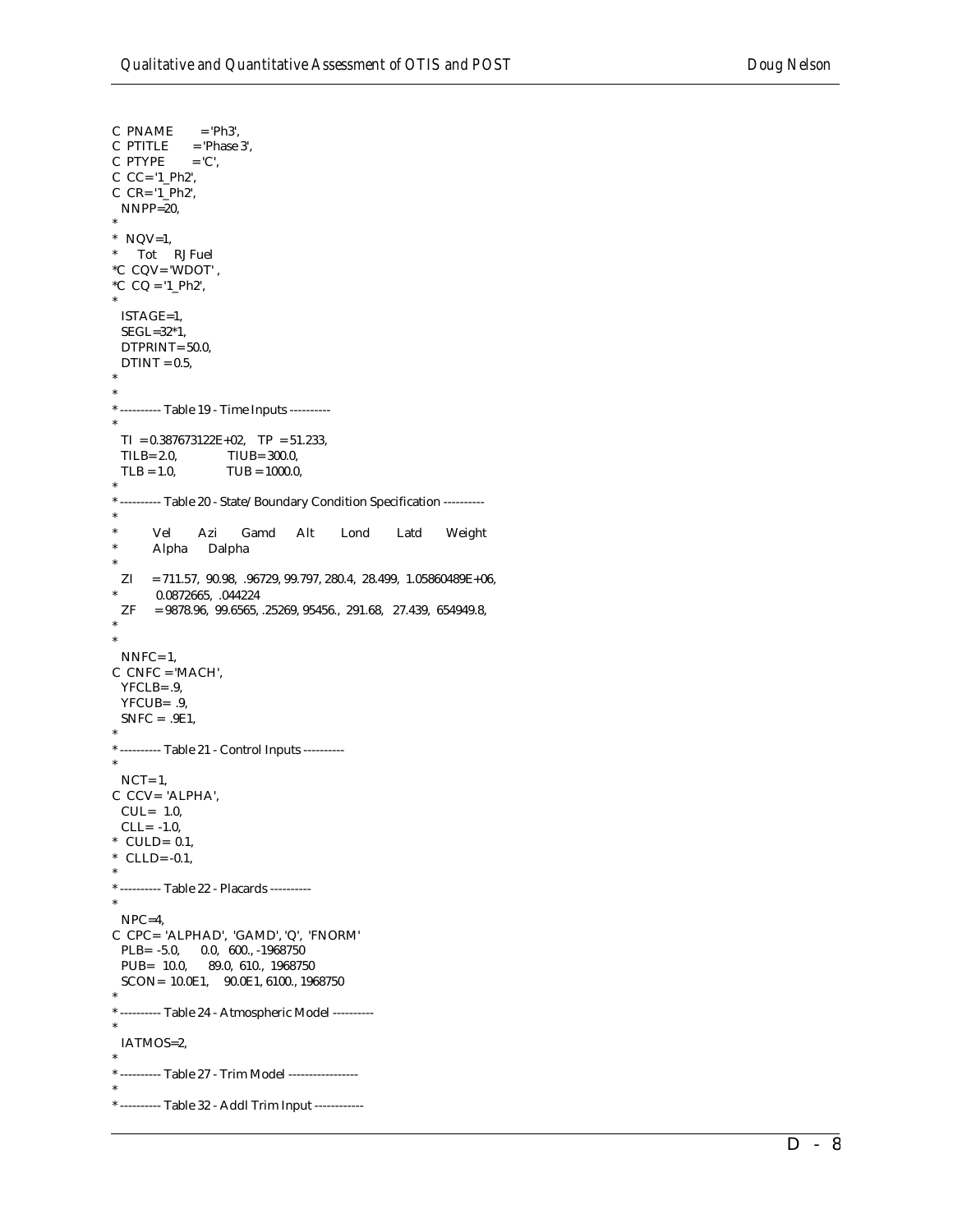```
C PNAME
              = 'Ph3',
            = 'Phase 3',
C PTITLE
C PTYPE
            = 'C',
C CC = '1 Ph2',
C CR = '1 Ph2',
 NNPP=20,
* NQV=1,
* Tot RJ Fuel
*C CQV= 'WDOT',
*C CQ = 1 Ph2,
 ISTAGE=1,
 SEGL=32*1,
 DTPRINT=50.0,
 DTINT = 0.5,
* --------- Table 19 - Time Inputs ----------
 TI = 0.387673122E+02, TP = 51.233,
 TLB = 2.0,TIUB= 300.0,
 TLB = 1.0,TUB = 1000.0,* --------- Table 20 - State/Boundary Condition Specification ----------
       Vel
              Azi
                      Gamd
                              Alt
                                      Lond
                                                Latd
                                                        Weight
      Alpha Dalpha
 ZI = 711.57, 90.98, .96729, 99.797, 280.4, 28.499, 1.05860489E+06,0.0872665, .044224
 ZF= 9878.96, 99.6565, .25269, 95456, 291.68, 27.439, 654949.8,NNFC=1,
C CNFC = 'MACH',
 YFCLB = .9YFCUB= .9,
 SNFC = .9E1,* ---------- Table 21 - Control Inputs ----------
 NCT=1,
C CCV= 'ALPHA',
 CUL= 1.0,CLL = -1.0,
* CULD= 0.1,
* CLLD=-0.1,
* ---------- Table 22 - Placards ----------
 NPC=4,
C CPC= 'ALPHAD', 'GAMD', 'Q', 'FNORM'
 PLB= -5.0, 0.0, 600., -1968750PUB= 10.0, 89.0, 610., 1968750
 SCON= 10.0E1, 90.0E1, 6100., 1968750
* --------- Table 24 - Atmospheric Model ----------
 IATMOS=2,
* ---------- Table 27 - Trim Model -----------------
* ---------- Table 32 - Addl Trim Input ------------
```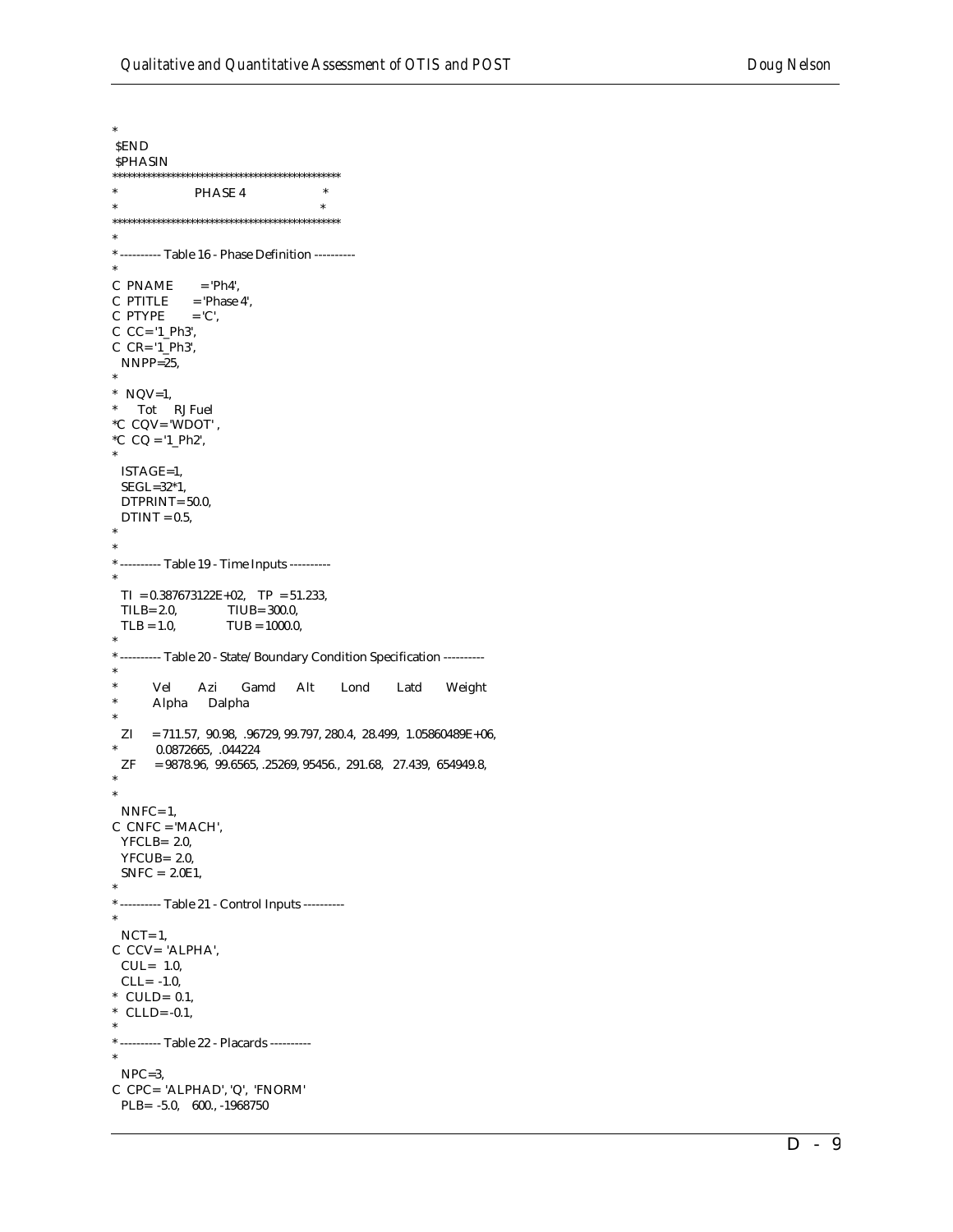$\ast$ **SEND SPHASIN**  $\ast$ PHASE 4  $\ast$  $\ast$ \* --------- Table 16 - Phase Definition ---------C PNAME  $=$  'Ph4',  $C$  PTITLE = 'Phase 4', C PTYPE  $=$  'C',  $C$   $CC = '1$   $Ph3'$ ,  $C$   $CR = '1_Ph3',$  $NNPP=25$ , \*  $NQV=1$ ,  $^*$   $\quad$  Tot  $\quad$  RJ Fuel  $^{\ast}C$  CQV= 'WDOT' , \*C  $CQ = '1_Ph2',$ ISTAGE=1,  $SEGL=32*1,$ DTPRINT=50.0,  $DTINT = 0.5$ , \* ---------- Table 19 - Time Inputs ---------- $TI = 0.387673122E+02$ ,  $TP = 51.233$ ,  $TLB = 2.0$ TIUB= 300.0,  $TLB = 1.0$ ,  $TUB = 1000.0$ , \* --------- Table 20 - State/Boundary Condition Specification ---------Vel Azi Gamd Alt Lond Latd Weight Alpha Dalpha  $ZI = 711.57, 90.98, .96729, 99.797, 280.4, 28.499, 1.05860489E+06,$ 0.0872665, .044224  $ZF$  $= 9878.96, 99.6565, .25269, 95456., 291.68, 27.439, 654949.8,$  $NNFC=1$ ,  $C$  CNFC = 'MACH',  $YFCLB = 2.0$  $YFCUB = 2.0$  $SNFC = 2.0E1$ , \* ---------- Table 21 - Control Inputs ---------- $NCT=1$ , C CCV= 'ALPHA',  $CUL = 1.0$  $CLL = -1.0$ \* CULD=  $0.1$ , \* CLLD= -0.1, \* ---------- Table 22 - Placards ---------- $\rm{NPC}\text{=}3,$ C CPC= 'ALPHAD', 'Q', 'FNORM' PLB= -5.0, 600., -1968750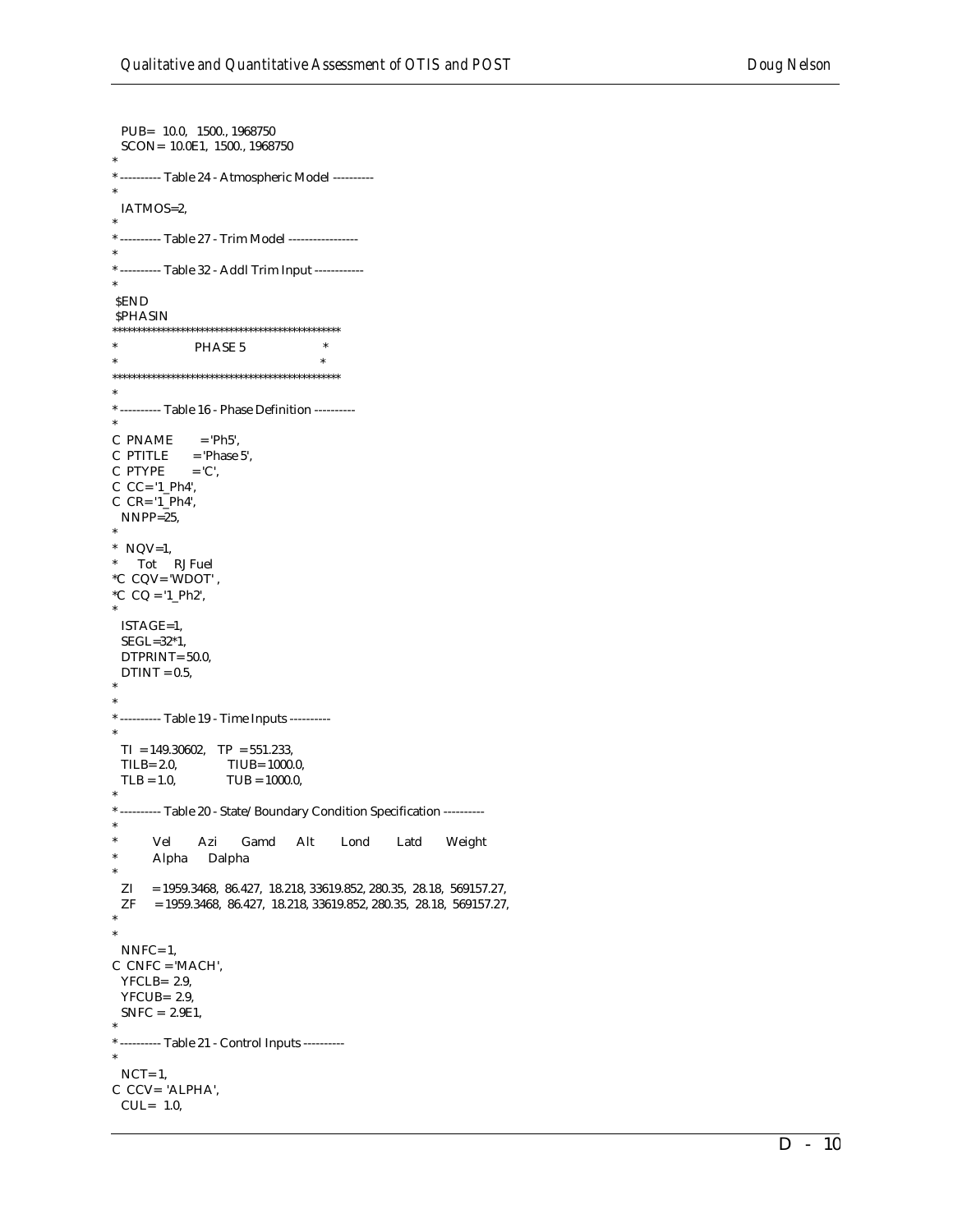PUB= 10.0, 1500., 1968750 SCON= 10.0E1, 1500., 1968750 \* --------- Table 24 - Atmospheric Model ----------IATMOS=2, \* ---------- Table 27 - Trim Model -----------------\* ---------- Table 32 - Addl Trim Input ------------**SEND SPHASIN**  $\ast$ PHASE 5  $\ast$  $\rightarrow$  $^*$  ---------- Table 16 - Phase Definition ----------C PNAME  $=$  'Ph5'.  $=$  'Phase 5', C PTITLE C PTYPE  $=$  'C',  $C$   $C$  = '1\_Ph4',  $C$   $CR = '1$   $Ph4'$ ,  $NNPP=25$  $*$  NQV=1, \* Tot RJ Fuel \*C CQV= 'WDOT', \*C  $CQ = 1 Ph2$ , ISTAGE=1,  $SEGL=32*1$ , DTPRINT= 50.0,  $DTINT = 0.5$ , \* ---------- Table 19 - Time Inputs ---------- $TI = 149.30602$ ,  $TP = 551.233$ , TIUB= 1000.0,  $TLB = 2.0$  $TLB = 1.0,$  $TUB = 1000.0,$ \* --------- Table 20 - State/Boundary Condition Specification ----------Vel Azi Gamd Alt Lond Latd Weight  $\ast$ Alpha Dalpha  $ZI = 1959.3468, 86.427, 18.218, 33619.852, 280.35, 28.18, 569157.27,$  $ZF = 1959.3468, 86.427, 18.218, 33619.852, 280.35, 28.18, 569157.27,$  $NNFC=1$ ,  $C$  CNFC = 'MACH',  $YFCLB = 2.9$  $YFCUB = 2.9$  $SNFC = 2.9E1$ , \* ---------- Table 21 - Control Inputs ---------- $NCT=1$ , C CCV= 'ALPHA',  $CUL = 1.0,$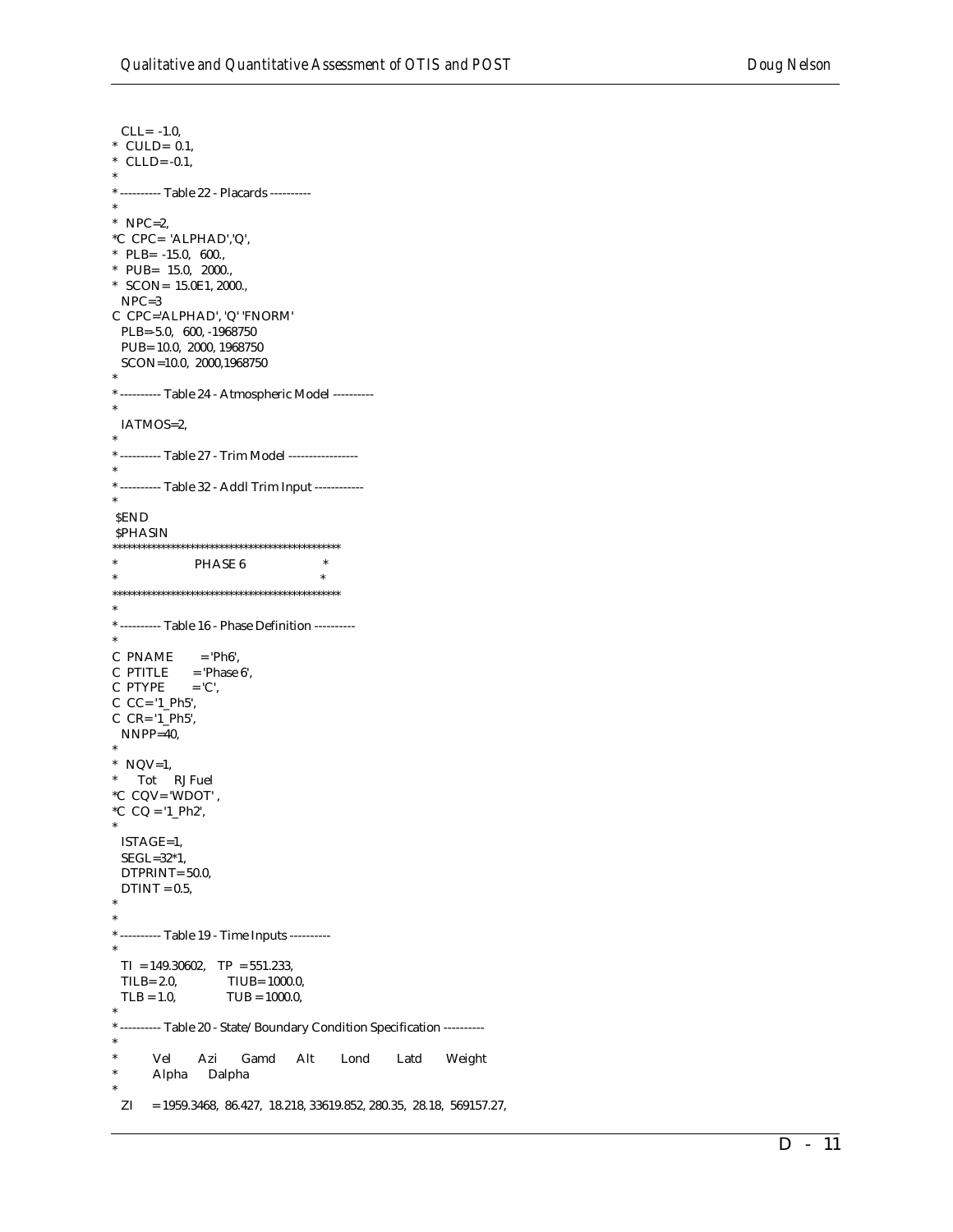$CLL = -1.0$ , \* CULD=  $0.1$ , \* CLLD= $-0.1$ , \* ---------- Table 22 - Placards ----------\* NPC=2,  $^{\ast} \text{C}$  CPC= 'ALPHAD','Q', \* PLB=  $-15.0, 600.,$ \* PUB= 15.0, 2000., \* SCON=  $15.0E1$ , 2000.,  $NPC=3$ C CPC='ALPHAD', 'Q' 'FNORM' PLB=-5.0, 600, -1968750 PUB=10.0, 2000, 1968750 SCON=10.0, 2000,1968750 \* --------- Table 24 - Atmospheric Model ----------IATMOS=2, \* ---------- Table 27 - Trim Model -----------------\* ---------- Table 32 - Addl Trim Input ------------**SEND SPHASIN**  $\star$  $\ast$ PHASE 6  $\ast$  $\ast$ \* ---------- Table 16 - Phase Definition ----------C PNAME  $=$  'Ph6', C PTITLE  $=$  'Phase 6',  $\cal C$  PTYPE  $=$  'C'.  $C$   $CC = '1$   $Ph5'$ ,  $C$   $CR = '1_Ph5',$  $NNPP=40$ ,  $*$  NQV=1, Tot RJ Fuel  $^{\ast}C$  CQV= 'WDOT' , \*C  $CQ = 1 Ph2$ , ISTAGE=1,  $SEGL=32*1$ , DTPRINT=50.0,  $DTINT = 0.5,$ \* --------- Table 19 - Time Inputs ---------- $TI = 149.30602$ ,  $TP = 551.233$ ,  $TLB = 2.0$ TIUB= 1000.0,  $TLB = 1.0,$  $TUB = 1000.0,$ \* --------- Table 20 - State/Boundary Condition Specification ----------Vel Azi Gamd Alt Lond Latd Weight Alpha Dalpha  $ZI = 1959.3468, 86.427, 18.218, 33619.852, 280.35, 28.18, 569157.27,$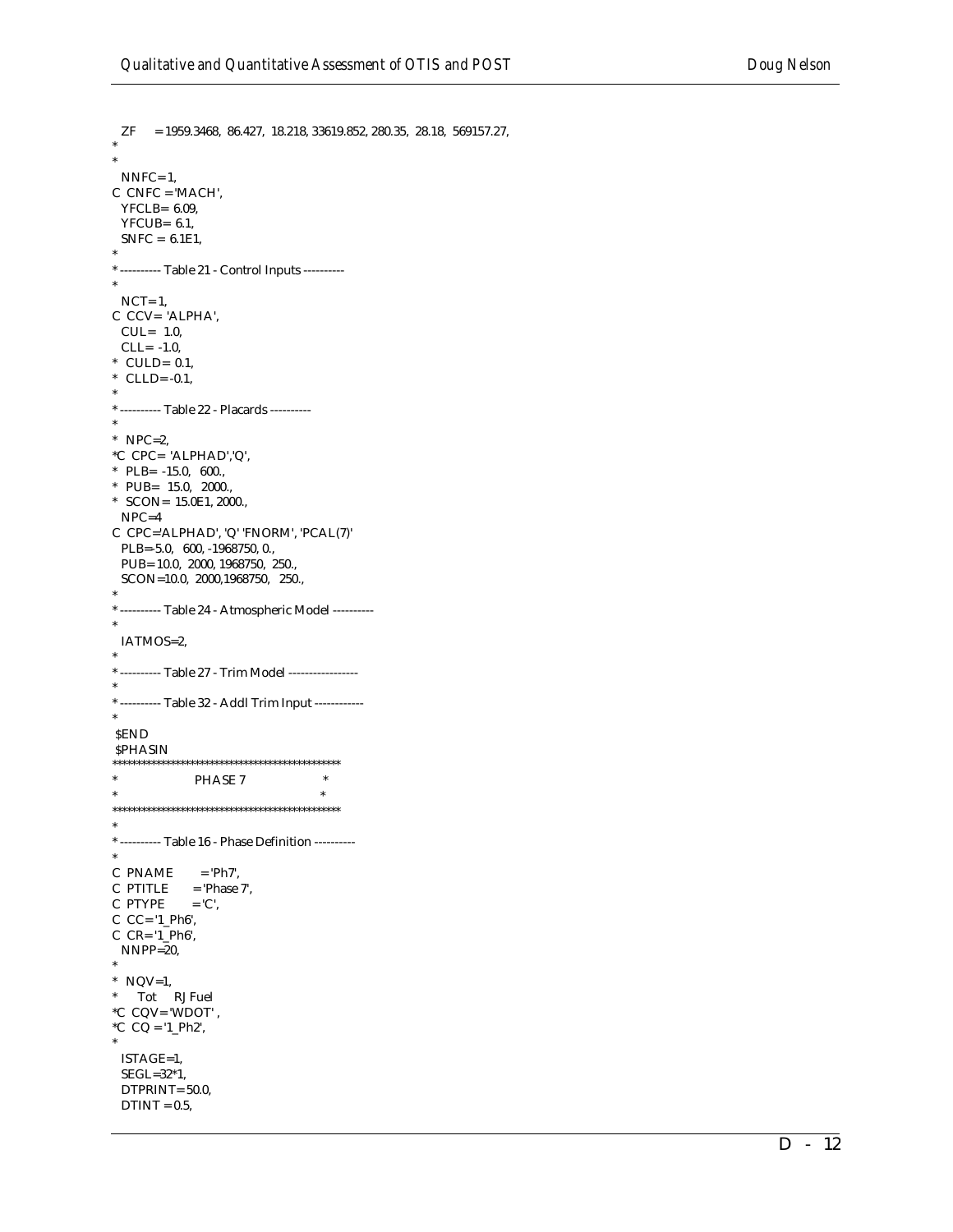```
ZF = 1959.3468, 86.427, 18.218, 33619.852, 280.35, 28.18, 569157.27,NNFC=1,
C CNFC = 'MACH',
 YFCLB= 6.09,
 YFCUB = 6.1,SNFC = 6.1E1,
* --------- Table 21 - Control Inputs ----------
 NCT=1,
C CCV= 'ALPHA',
 CUL = 1.0,
 CLL = -1.0,
* CULD= 0.1,
* CLLD=-0.1,
* ---------- Table 22 - Placards ----------
* NPC=2.
*C CPC= 'ALPHAD','Q',
* PLB= -15.0, 600.,* PUB= 15.0, 2000.,* SCON= 15.0E1, 2000.,
 NPC=4C CPC='ALPHAD', 'Q' 'FNORM', 'PCAL(7)'
 PLB=-5.0, 600, -1968750, 0.,
 PUB= 10.0, 2000, 1968750, 250.,
 SCON=10.0, 2000,1968750, 250.,
* --------- Table 24 - Atmospheric Model ----------
 IATMOS=2,
* ---------- Table 32 - Addl Trim Input ------------
SEND
SPHASIN
\pmPHASE 7
                                \qquad \qquad *\ast* --------- Table 16 - Phase Definition ---------
C PNAME = 'Ph7',
\begin{array}{lll} \mbox{C PTTILE} & \mbox{ = 'Phase $7$}, \end{array}C PTYPE
            = 'C',
C C = '1 Ph6',
C CR = '1_Ph6',NNPP=20,
* NQV=1,
^{\ast} \quad Tot \quad RJ Fuel
^{\ast}\mathrm{C} CQV= 'WDOT' ,
*C CQ = '1_Ph2',ISTAGE=1,
 SEGL=32*1,DTPRINT= 50.0,
 DTINT = 0.5,
```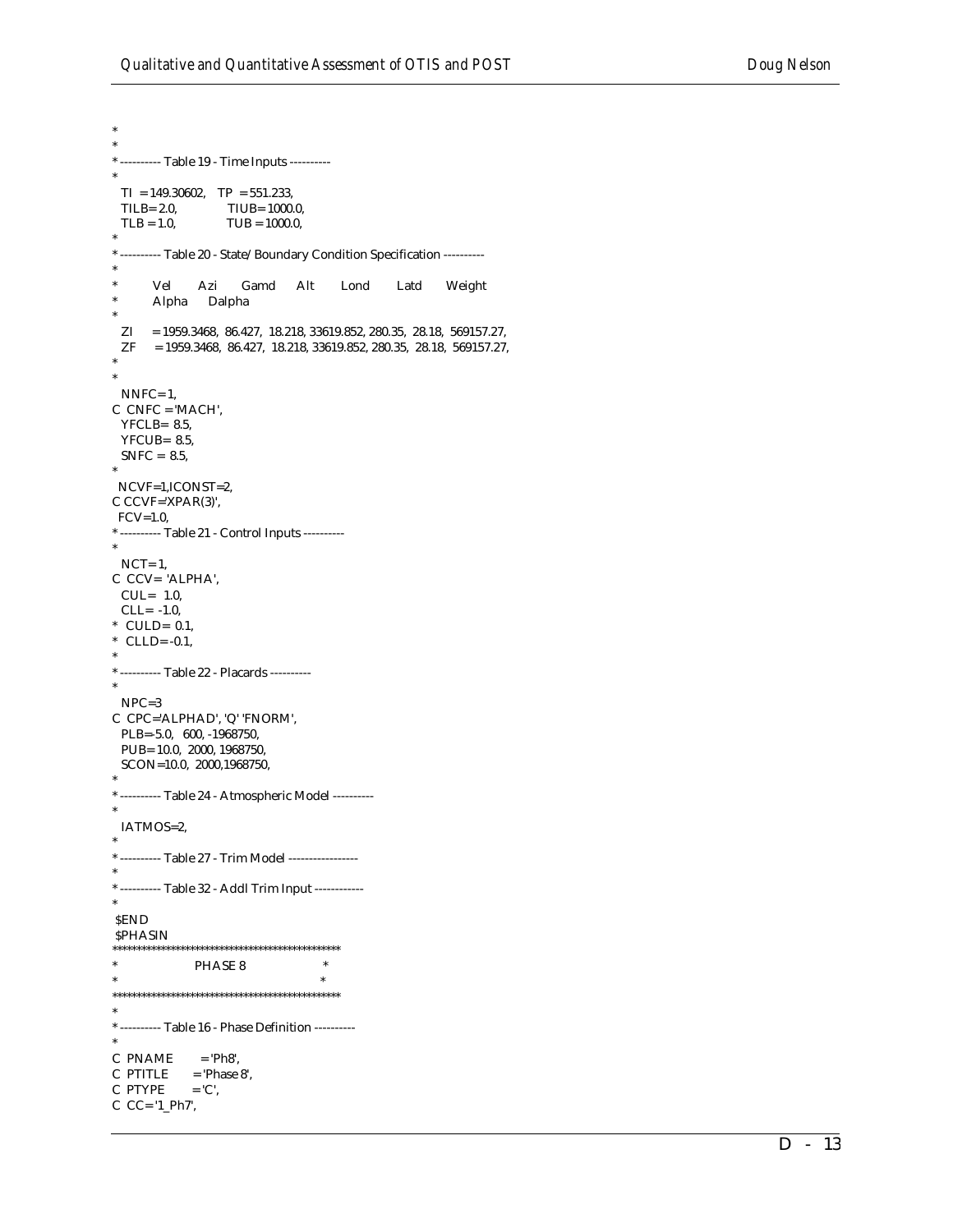```
*
*
* ---------- Table 19 - Time Inputs ----------
*
 TI = 149.30602, TP = 551.233,
 TILB= 2.0, TIUB= 1000.0,
 TLB = 1.0, TLB = 1000.0,*
* ---------- Table 20 - State/Boundary Condition Specification ----------
*
       Vel Azi Gamd Alt Lond Latd Weight
      Alpha Dalpha
*
  ZI = 1959.3468, 86.427, 18.218, 33619.852, 280.35, 28.18, 569157.27,
  ZF = 1959.3468, 86.427, 18.218, 33619.852, 280.35, 28.18, 569157.27,
*
*
  NNFC= 1,
C CNFC = 'MACH',
  YFCLB= 8.5,
  YFCUB= 8.5,
 SNFC = 8.5,
*
 NCVF=1,ICONST=2,
C CCVF='XPAR(3)',
 FCV=1.0* ---------- Table 21 - Control Inputs ----------
*
 NCT=1,
C CCV= 'ALPHA',
  CUL= 1.0,
 CLL = -1.0* CULD= 0.1,
* CLLD=-0.1,
*
* ---------- Table 22 - Placards ----------
*
  NPC=3
C CPC='ALPHAD', 'Q' 'FNORM', 
  PLB=-5.0, 600, -1968750, 
  PUB= 10.0, 2000, 1968750, 
  SCON=10.0, 2000,1968750, 
*
* ---------- Table 24 - Atmospheric Model ----------
*
  IATMOS=2,
*
* ---------- Table 27 - Trim Model -----------------
*
* ---------- Table 32 - Addl Trim Input ------------
*
 $END
SPHASIN
***********************************************
              PHASE 8 ** ************************************************
*
* ---------- Table 16 - Phase Definition ----------
*
C PNAME = 'Ph8',
C PTITLE = 'Phase 8',<br>C PTYPE = 'C',
C PTYPE
C CC= '1_Ph7',
```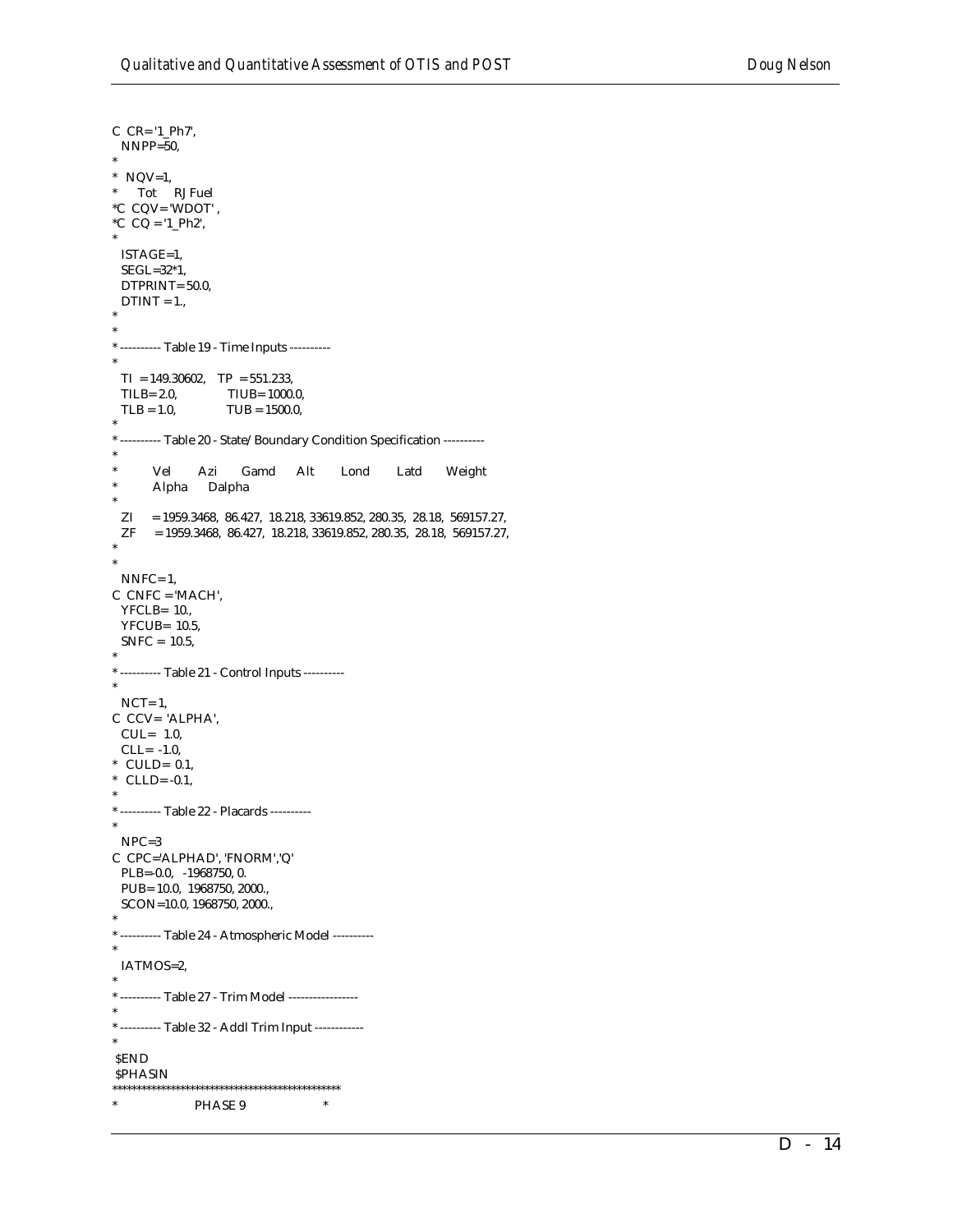$C$   $CR = '1_Ph7',$  $NNPP=50$ ,  $*$  NQV=1,  $\star$ Tot RJ Fuel  $^{\ast}C$  CQV= 'WDOT' , *\*C*  $CQ = '1_Ph2',$ ISTAGE=1,  $SEGL=32*1,$ DTPRINT= 50.0,  $DTINT = 1.,$ \* --------- Table 19 - Time Inputs ---------- $TI = 149.30602$ ,  $TP = 551.233$ , TILB= $2.0$ , TIUB= 1000.0,  $TLB = 1.0,$  $TUB = 1500.0,$ \* --------- Table 20 - State/Boundary Condition Specification ----------Vel Azi Gamd Alt Lond Latd Weight Alpha Dalpha  $ZI = 1959.3468, 86.427, 18.218, 33619.852, 280.35, 28.18, 569157.27,$  $ZF = 1959.3468, 86.427, 18.218, 33619.852, 280.35, 28.18, 569157.27,$  $NNFC = 1$ ,  $C$  CNFC = 'MACH',  $YFCLB = 10.$ YFCUB= 10.5,  $SNFC = 10.5$ , \* --------- Table 21 - Control Inputs ---------- $NCT=1$ , C CCV= 'ALPHA',  $CUL = 1.0$ ,  $CLL = -1.0$ ,  $*$  CULD= 0.1,  $CLLD = -0.1$ , \* ---------- Table 22 - Placards ---------- $NPC=3$ C CPC='ALPHAD', 'FNORM','Q' PLB=-0.0,  $-1968750, 0$ . PUB= 10.0, 1968750, 2000., SCON=10.0, 1968750, 2000., \* --------- Table 24 - Atmospheric Model ----------IATMOS=2, \* ---------- Table 27 - Trim Model -----------------\* ---------- Table 32 - Addl Trim Input ------------**SEND SPHASIN**  $\star$ PHASE 9  $\ast$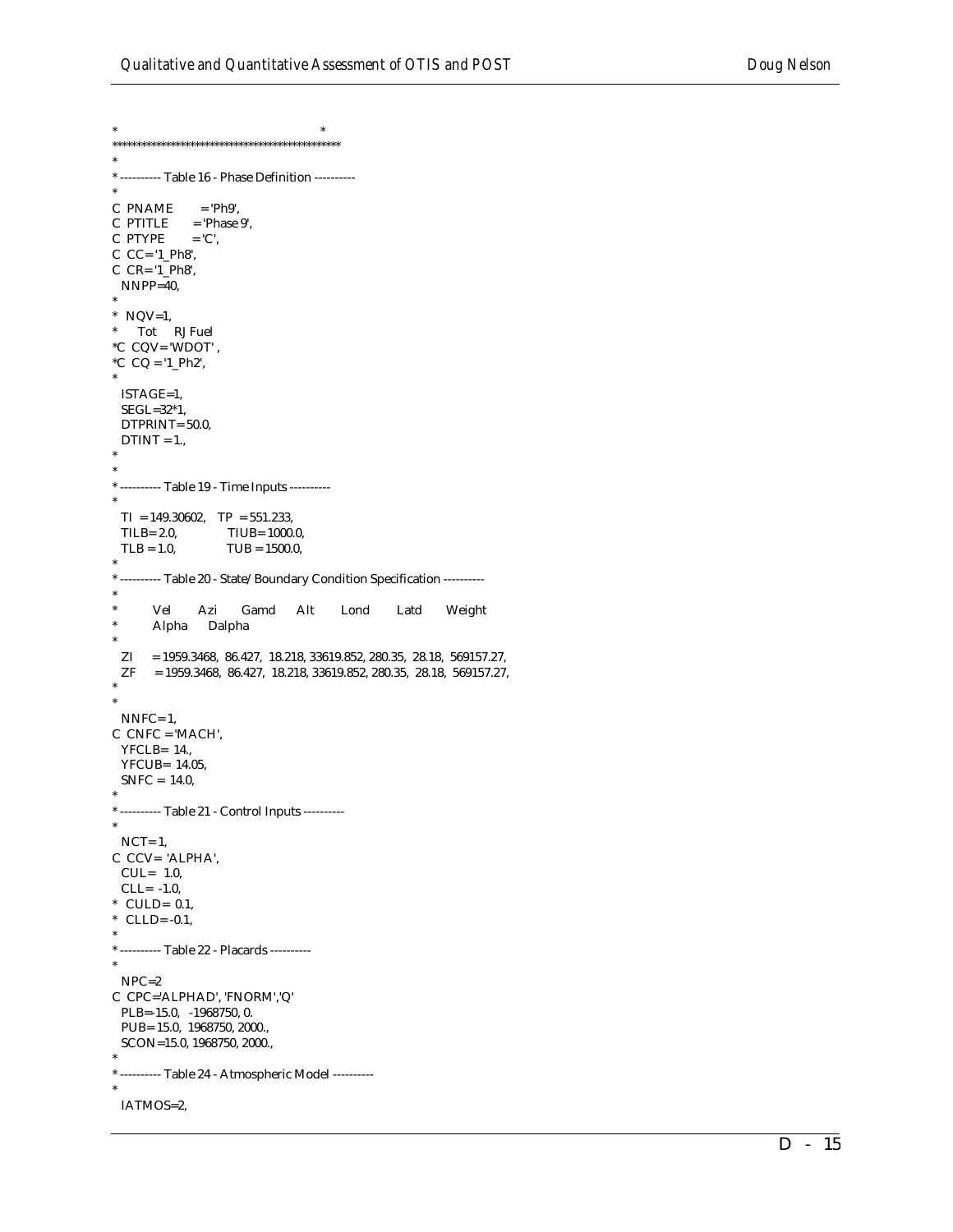\* --------- Table 16 - Phase Definition ---------C PNAME  $=$  'Ph9'.  $C$  PTITLE = 'Phase 9', C PTYPE  $=$  'C',  $C$   $CC = '1$   $Ph8'$ ,  $C$   $CR = '1$   $Ph8'$ ,  $NNPP=40$ ,  $*$  NQV=1,  $\ast$ Tot RJ Fuel  $^{\ast}C$  CQV= 'WDOT' , \*C  $CQ = 1 Ph2$ , ISTAGE=1,  $SEGL=32*1,$ DTPRINT=50.0,  $DTINT = 1.,$ \* --------- Table 19 - Time Inputs ---------- $TI = 149.30602$ ,  $TP = 551.233$ , TILB= $2.0$ , TIUB= 1000.0,  $TLB = 1.0,$  $TUB = 1500.0,$ \* --------- Table 20 - State/Boundary Condition Specification ---------- $\ast$ Vel Azi Gamd Alt Lond Latd Weight  $\star$ Alpha Dalpha  $ZI = 1959.3468, 86.427, 18.218, 33619.852, 280.35, 28.18, 569157.27,$  $\begin{array}{lll} \rm{ZF} & = 1959.3468, \ 86.427, \ 18.218, \ 33619.852, \ 280.35, \ 28.18, \ 569157.27, \end{array}$  $NNFC=1$ ,  $C$  CNFC = 'MACH', YFCLB= 14.,  $YFCUB = 14.05$ ,  $SNFC = 14.0,$ \* ---------- Table 21 - Control Inputs ---------- $NCT=1$ . C CCV= 'ALPHA',  $CUL = 1.0$ ,  $CLL = -1.0$ , \* CULD=  $0.1$ , \* CLLD= $-0.1$ , \* ---------- Table 22 - Placards ---------- $NPC=2$ C CPC='ALPHAD', 'FNORM','Q' PLB=-15.0, -1968750, 0. PUB= 15.0, 1968750, 2000., SCON=15.0, 1968750, 2000., \* --------- Table 24 - Atmospheric Model ----------IATMOS=2,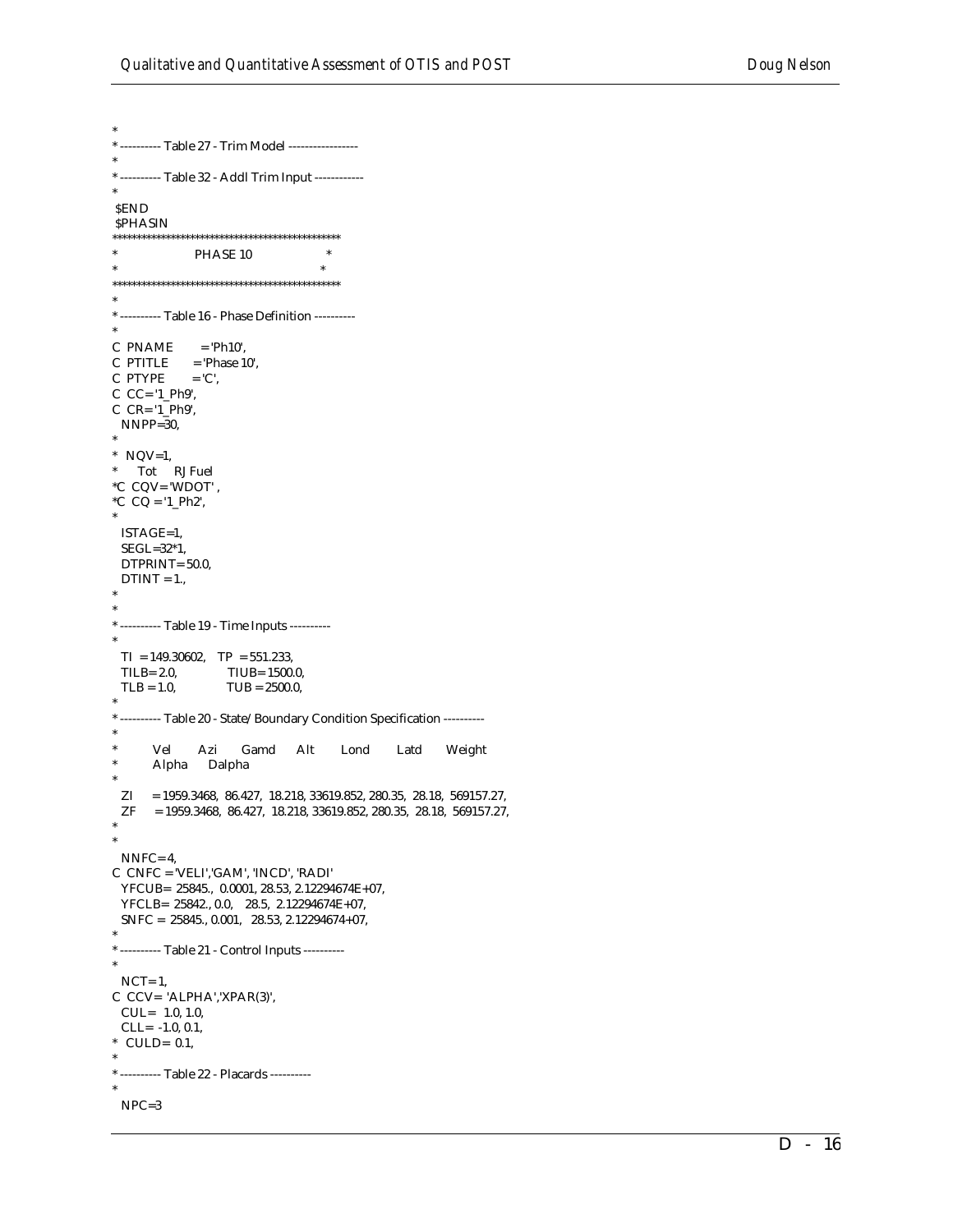\* ---------- Table 27 - Trim Model -----------------\* ---------- Table 32 - Addl Trim Input ------------**SEND**  ${\rm SPHASIN}$ PHASE 10  $\overline{\phantom{a}}$  $\ast$ \* --------- Table 16 - Phase Definition --------- $C$  PNAME = 'Ph10',  $C$  PTITLE = 'Phase 10',  $=$  'C', C PTYPE  $C$   $CC = '1$   $Ph9'$ ,  $C$   $CR = '1_Ph9',$  $NNPP=30$ ,  $*$  NQV=1,  $^{\ast}$   $\quad$  Tot  $\quad$  RJ Fuel  $^{\ast}C$  CQV= 'WDOT' , \*C  $CQ = '1_Ph2',$ ISTAGE=1, SEGL=32\*1, DTPRINT= 50.0,  $DTINT = 1.$ \* ---------- Table 19 - Time Inputs ---------- $TI = 149.30602, \quad TP = 551.233,$  $TLB = 2.0$ TIUB= 1500.0,  $TLB = 1.0$ ,  $TUB = 2500.0$ , \* ---------- Table 20 - State/Boundary Condition Specification ----------Weight Vel Azi Gamd Alt Lond Latd Alpha Dalpha  $ZI = 1959.3468, 86.427, 18.218, 33619.852, 280.35, 28.18, 569157.27,$  ${\sf ZF} \quad = 1959.3468, \ 86.427, \ 18.218, \ 33619.852, \ 280.35, \ 28.18, \ 569157.27,$  $NNFC = 4$ ,  $C$   $CNFC = 'VELI', 'GAM', 'INCD', 'RADI'$ YFCUB= 25845., 0.0001, 28.53, 2.12294674E+07,  ${\rm YFCLB}\!=\! \!\!\!\!\!{\rm 25842.,\,0.0,\quad 28.5,\,\,2.12294674E}\!\!+\!07,$ SNFC =  $25845., 0.001, 28.53, 2.12294674+07,$ \* --------- Table 21 - Control Inputs ---------- $NCT=1$ , C CCV= 'ALPHA','XPAR(3)',  $CUL = 1.0, 1.0,$ CLL= $-1.0, 0.1$ , \* CULD=  $0.1$ , \* ---------- Table 22 - Placards ---------- $NPC=3$